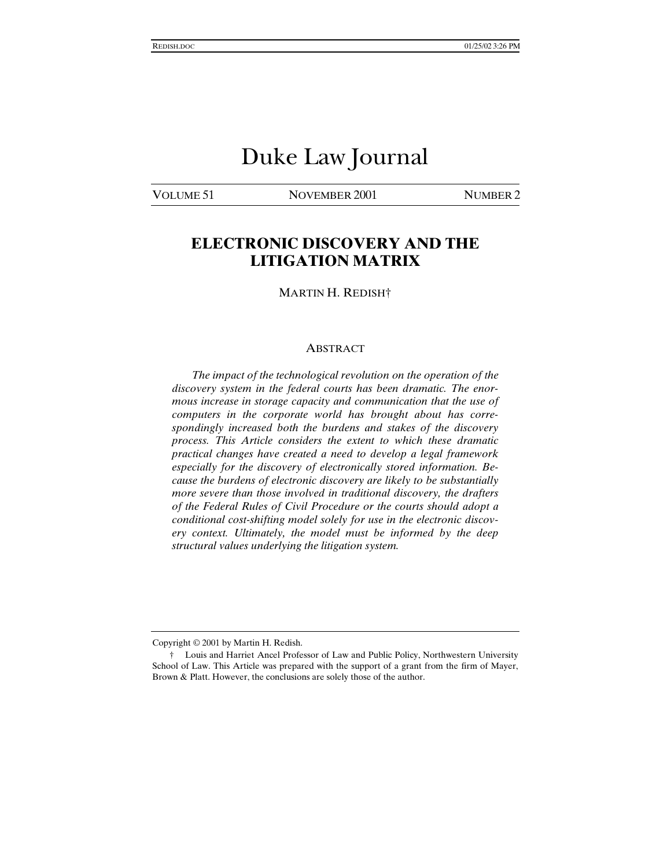# Duke Law Journal

VOLUME 51 NOVEMBER 2001 NUMBER 2

# **ELECTRONIC DISCOVERY AND THE LITIGATION MATRIX**

MARTIN H. REDISH†

#### ABSTRACT

*The impact of the technological revolution on the operation of the discovery system in the federal courts has been dramatic. The enormous increase in storage capacity and communication that the use of computers in the corporate world has brought about has correspondingly increased both the burdens and stakes of the discovery process. This Article considers the extent to which these dramatic practical changes have created a need to develop a legal framework especially for the discovery of electronically stored information. Because the burdens of electronic discovery are likely to be substantially more severe than those involved in traditional discovery, the drafters of the Federal Rules of Civil Procedure or the courts should adopt a conditional cost-shifting model solely for use in the electronic discovery context. Ultimately, the model must be informed by the deep structural values underlying the litigation system.*

Copyright © 2001 by Martin H. Redish.

<sup>†</sup> Louis and Harriet Ancel Professor of Law and Public Policy, Northwestern University School of Law. This Article was prepared with the support of a grant from the firm of Mayer, Brown & Platt. However, the conclusions are solely those of the author.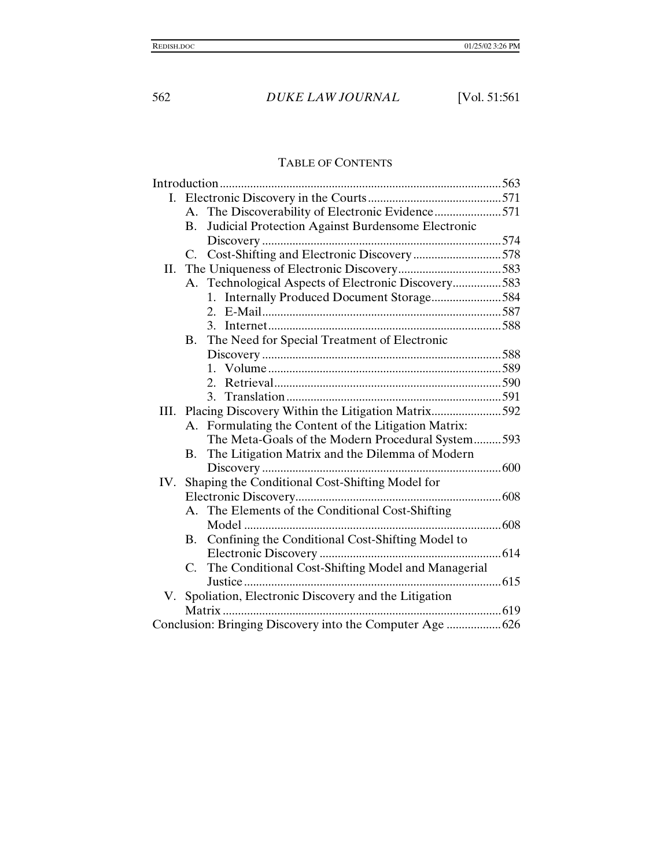# TABLE OF CONTENTS

|     |                                                        | A. The Discoverability of Electronic Evidence571       |  |
|-----|--------------------------------------------------------|--------------------------------------------------------|--|
|     | <b>B.</b>                                              | Judicial Protection Against Burdensome Electronic      |  |
|     |                                                        |                                                        |  |
|     | C.                                                     | Cost-Shifting and Electronic Discovery578              |  |
| II. |                                                        |                                                        |  |
|     | A.                                                     | Technological Aspects of Electronic Discovery583       |  |
|     |                                                        | 1. Internally Produced Document Storage584             |  |
|     |                                                        |                                                        |  |
|     |                                                        |                                                        |  |
|     | <b>B.</b>                                              | The Need for Special Treatment of Electronic           |  |
|     |                                                        |                                                        |  |
|     |                                                        |                                                        |  |
|     |                                                        |                                                        |  |
|     |                                                        |                                                        |  |
|     | III. Placing Discovery Within the Litigation Matrix592 |                                                        |  |
|     |                                                        | A. Formulating the Content of the Litigation Matrix:   |  |
|     |                                                        | The Meta-Goals of the Modern Procedural System593      |  |
|     | В.                                                     | The Litigation Matrix and the Dilemma of Modern        |  |
|     |                                                        |                                                        |  |
| IV. |                                                        | Shaping the Conditional Cost-Shifting Model for        |  |
|     |                                                        |                                                        |  |
|     |                                                        | A. The Elements of the Conditional Cost-Shifting       |  |
|     |                                                        |                                                        |  |
|     |                                                        | B. Confining the Conditional Cost-Shifting Model to    |  |
|     |                                                        |                                                        |  |
|     |                                                        | C. The Conditional Cost-Shifting Model and Managerial  |  |
|     |                                                        | Justice                                                |  |
|     |                                                        | V. Spoliation, Electronic Discovery and the Litigation |  |
|     |                                                        |                                                        |  |
|     |                                                        |                                                        |  |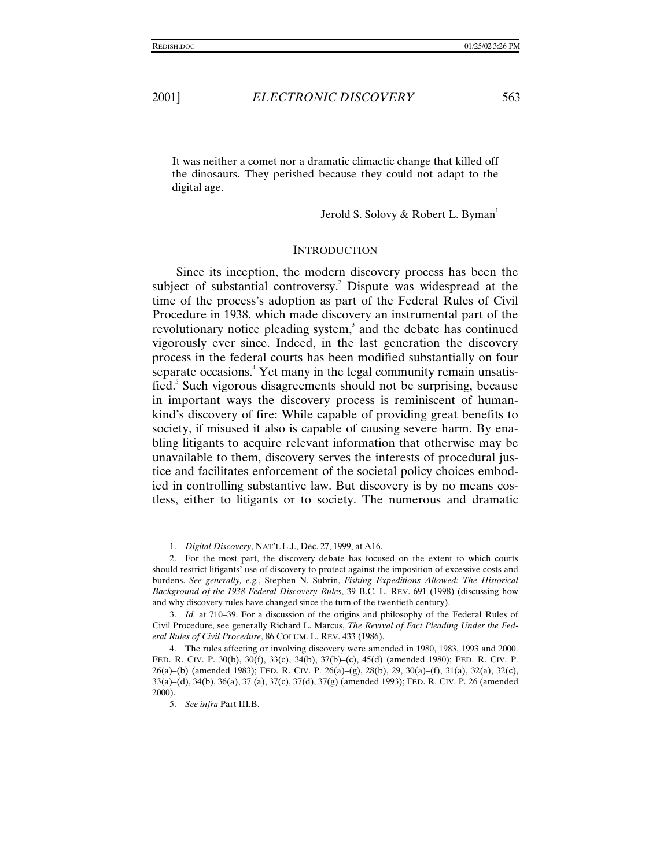It was neither a comet nor a dramatic climactic change that killed off the dinosaurs. They perished because they could not adapt to the digital age.

Jerold S. Solovy & Robert L. Byman<sup>1</sup>

#### **INTRODUCTION**

Since its inception, the modern discovery process has been the subject of substantial controversy.<sup>2</sup> Dispute was widespread at the time of the process's adoption as part of the Federal Rules of Civil Procedure in 1938, which made discovery an instrumental part of the revolutionary notice pleading system, $3$  and the debate has continued vigorously ever since. Indeed, in the last generation the discovery process in the federal courts has been modified substantially on four separate occasions.<sup>4</sup> Yet many in the legal community remain unsatisfied.<sup>5</sup> Such vigorous disagreements should not be surprising, because in important ways the discovery process is reminiscent of humankind's discovery of fire: While capable of providing great benefits to society, if misused it also is capable of causing severe harm. By enabling litigants to acquire relevant information that otherwise may be unavailable to them, discovery serves the interests of procedural justice and facilitates enforcement of the societal policy choices embodied in controlling substantive law. But discovery is by no means costless, either to litigants or to society. The numerous and dramatic

<sup>1.</sup> *Digital Discovery*, NAT'L L.J., Dec. 27, 1999, at A16.

<sup>2.</sup> For the most part, the discovery debate has focused on the extent to which courts should restrict litigants' use of discovery to protect against the imposition of excessive costs and burdens. *See generally, e.g.*, Stephen N. Subrin, *Fishing Expeditions Allowed: The Historical Background of the 1938 Federal Discovery Rules*, 39 B.C. L. REV. 691 (1998) (discussing how and why discovery rules have changed since the turn of the twentieth century).

<sup>3.</sup> *Id.* at 710–39. For a discussion of the origins and philosophy of the Federal Rules of Civil Procedure, see generally Richard L. Marcus, *The Revival of Fact Pleading Under the Federal Rules of Civil Procedure*, 86 COLUM. L. REV. 433 (1986).

<sup>4.</sup> The rules affecting or involving discovery were amended in 1980, 1983, 1993 and 2000. FED. R. CIV. P. 30(b), 30(f), 33(c), 34(b), 37(b)–(c), 45(d) (amended 1980); FED. R. CIV. P. 26(a)–(b) (amended 1983); FED. R. CIV. P. 26(a)–(g), 28(b), 29, 30(a)–(f), 31(a), 32(a), 32(c), 33(a)–(d), 34(b), 36(a), 37 (a), 37(c), 37(d), 37(g) (amended 1993); FED. R. CIV. P. 26 (amended 2000).

<sup>5.</sup> *See infra* Part III.B.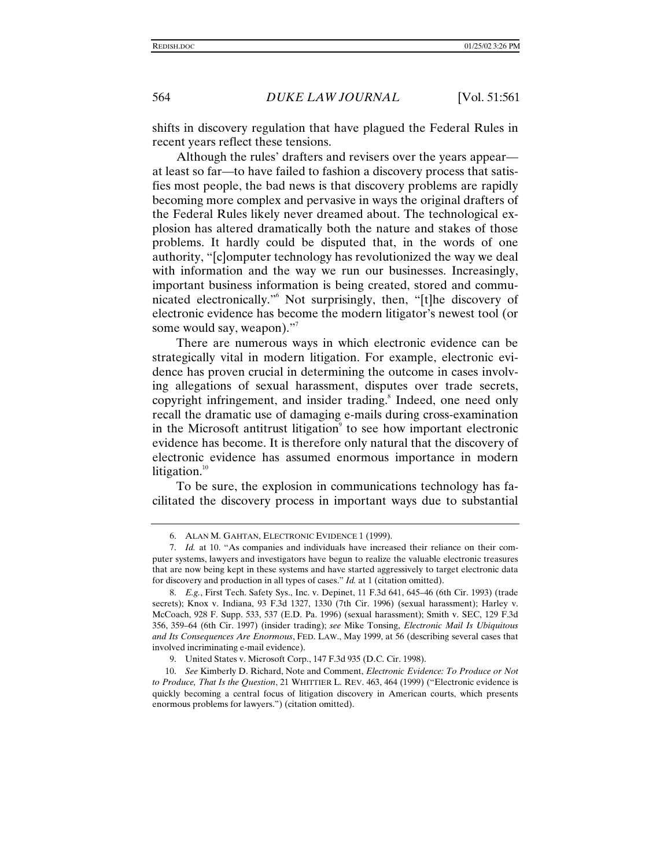shifts in discovery regulation that have plagued the Federal Rules in recent years reflect these tensions.

Although the rules' drafters and revisers over the years appear at least so far—to have failed to fashion a discovery process that satisfies most people, the bad news is that discovery problems are rapidly becoming more complex and pervasive in ways the original drafters of the Federal Rules likely never dreamed about. The technological explosion has altered dramatically both the nature and stakes of those problems. It hardly could be disputed that, in the words of one authority, "[c]omputer technology has revolutionized the way we deal with information and the way we run our businesses. Increasingly, important business information is being created, stored and communicated electronically." 6 Not surprisingly, then, "[t]he discovery of electronic evidence has become the modern litigator's newest tool (or some would say, weapon)."

There are numerous ways in which electronic evidence can be strategically vital in modern litigation. For example, electronic evidence has proven crucial in determining the outcome in cases involving allegations of sexual harassment, disputes over trade secrets, copyright infringement, and insider trading.<sup>8</sup> Indeed, one need only recall the dramatic use of damaging e-mails during cross-examination in the Microsoft antitrust litigation<sup>9</sup> to see how important electronic evidence has become. It is therefore only natural that the discovery of electronic evidence has assumed enormous importance in modern litigation. $10$ 

To be sure, the explosion in communications technology has facilitated the discovery process in important ways due to substantial

<sup>6.</sup> ALAN M. GAHTAN, ELECTRONIC EVIDENCE 1 (1999).

<sup>7.</sup> *Id.* at 10. "As companies and individuals have increased their reliance on their computer systems, lawyers and investigators have begun to realize the valuable electronic treasures that are now being kept in these systems and have started aggressively to target electronic data for discovery and production in all types of cases." *Id.* at 1 (citation omitted).

<sup>8.</sup> *E.g.*, First Tech. Safety Sys., Inc. v. Depinet, 11 F.3d 641, 645–46 (6th Cir. 1993) (trade secrets); Knox v. Indiana, 93 F.3d 1327, 1330 (7th Cir. 1996) (sexual harassment); Harley v. McCoach, 928 F. Supp. 533, 537 (E.D. Pa. 1996) (sexual harassment); Smith v. SEC, 129 F.3d 356, 359–64 (6th Cir. 1997) (insider trading); *see* Mike Tonsing, *Electronic Mail Is Ubiquitous and Its Consequences Are Enormous*, FED. LAW., May 1999, at 56 (describing several cases that involved incriminating e-mail evidence).

<sup>9.</sup> United States v. Microsoft Corp., 147 F.3d 935 (D.C. Cir. 1998).

<sup>10.</sup> *See* Kimberly D. Richard, Note and Comment, *Electronic Evidence: To Produce or Not to Produce, That Is the Question*, 21 WHITTIER L. REV. 463, 464 (1999) ("Electronic evidence is quickly becoming a central focus of litigation discovery in American courts, which presents enormous problems for lawyers.") (citation omitted).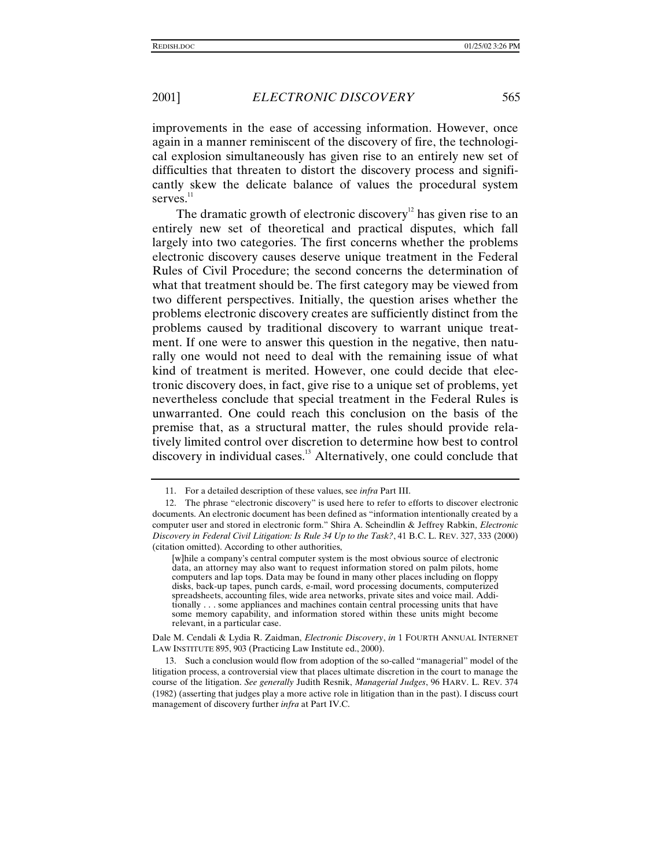improvements in the ease of accessing information. However, once again in a manner reminiscent of the discovery of fire, the technological explosion simultaneously has given rise to an entirely new set of difficulties that threaten to distort the discovery process and significantly skew the delicate balance of values the procedural system serves. $11$ 

The dramatic growth of electronic discovery<sup>12</sup> has given rise to an entirely new set of theoretical and practical disputes, which fall largely into two categories. The first concerns whether the problems electronic discovery causes deserve unique treatment in the Federal Rules of Civil Procedure; the second concerns the determination of what that treatment should be. The first category may be viewed from two different perspectives. Initially, the question arises whether the problems electronic discovery creates are sufficiently distinct from the problems caused by traditional discovery to warrant unique treatment. If one were to answer this question in the negative, then naturally one would not need to deal with the remaining issue of what kind of treatment is merited. However, one could decide that electronic discovery does, in fact, give rise to a unique set of problems, yet nevertheless conclude that special treatment in the Federal Rules is unwarranted. One could reach this conclusion on the basis of the premise that, as a structural matter, the rules should provide relatively limited control over discretion to determine how best to control discovery in individual cases.<sup>13</sup> Alternatively, one could conclude that

<sup>11.</sup> For a detailed description of these values, see *infra* Part III.

<sup>12.</sup> The phrase "electronic discovery" is used here to refer to efforts to discover electronic documents. An electronic document has been defined as "information intentionally created by a computer user and stored in electronic form." Shira A. Scheindlin & Jeffrey Rabkin, *Electronic Discovery in Federal Civil Litigation: Is Rule 34 Up to the Task?*, 41 B.C. L. REV. 327, 333 (2000) (citation omitted). According to other authorities,

<sup>[</sup>w]hile a company's central computer system is the most obvious source of electronic data, an attorney may also want to request information stored on palm pilots, home computers and lap tops. Data may be found in many other places including on floppy disks, back-up tapes, punch cards, e-mail, word processing documents, computerized spreadsheets, accounting files, wide area networks, private sites and voice mail. Additionally . . . some appliances and machines contain central processing units that have some memory capability, and information stored within these units might become relevant, in a particular case.

Dale M. Cendali & Lydia R. Zaidman, *Electronic Discovery*, *in* 1 FOURTH ANNUAL INTERNET LAW INSTITUTE 895, 903 (Practicing Law Institute ed., 2000).

<sup>13.</sup> Such a conclusion would flow from adoption of the so-called "managerial" model of the litigation process, a controversial view that places ultimate discretion in the court to manage the course of the litigation. *See generally* Judith Resnik, *Managerial Judges*, 96 HARV. L. REV. 374 (1982) (asserting that judges play a more active role in litigation than in the past). I discuss court management of discovery further *infra* at Part IV.C.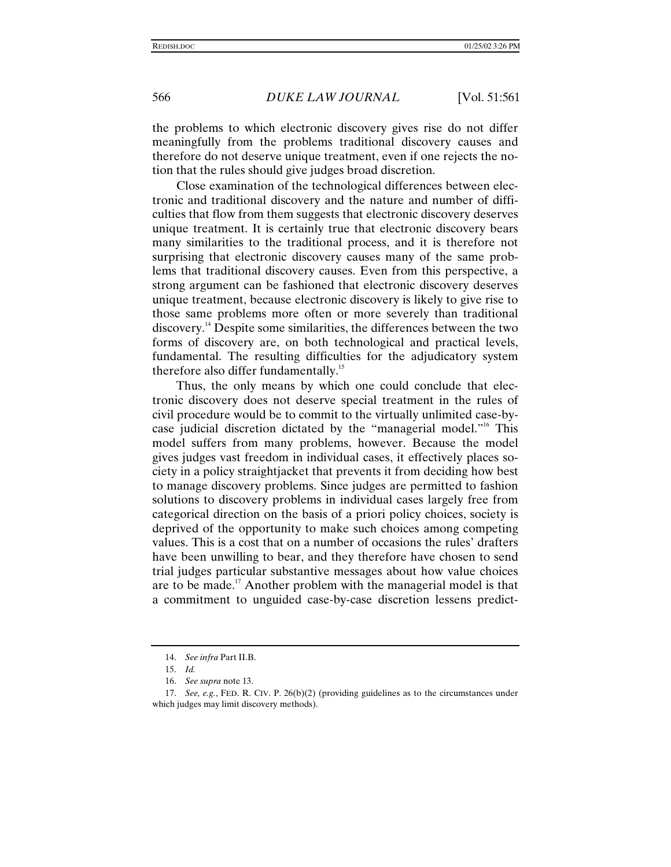the problems to which electronic discovery gives rise do not differ meaningfully from the problems traditional discovery causes and therefore do not deserve unique treatment, even if one rejects the notion that the rules should give judges broad discretion.

Close examination of the technological differences between electronic and traditional discovery and the nature and number of difficulties that flow from them suggests that electronic discovery deserves unique treatment. It is certainly true that electronic discovery bears many similarities to the traditional process, and it is therefore not surprising that electronic discovery causes many of the same problems that traditional discovery causes. Even from this perspective, a strong argument can be fashioned that electronic discovery deserves unique treatment, because electronic discovery is likely to give rise to those same problems more often or more severely than traditional discovery.14 Despite some similarities, the differences between the two forms of discovery are, on both technological and practical levels, fundamental. The resulting difficulties for the adjudicatory system therefore also differ fundamentally.<sup>15</sup>

Thus, the only means by which one could conclude that electronic discovery does not deserve special treatment in the rules of civil procedure would be to commit to the virtually unlimited case-bycase judicial discretion dictated by the "managerial model."<sup>16</sup> This model suffers from many problems, however. Because the model gives judges vast freedom in individual cases, it effectively places society in a policy straightjacket that prevents it from deciding how best to manage discovery problems. Since judges are permitted to fashion solutions to discovery problems in individual cases largely free from categorical direction on the basis of a priori policy choices, society is deprived of the opportunity to make such choices among competing values. This is a cost that on a number of occasions the rules' drafters have been unwilling to bear, and they therefore have chosen to send trial judges particular substantive messages about how value choices are to be made.<sup>17</sup> Another problem with the managerial model is that a commitment to unguided case-by-case discretion lessens predict-

<sup>14.</sup> *See infra* Part II.B.

<sup>15.</sup> *Id.*

<sup>16.</sup> *See supra* note 13.

<sup>17.</sup> *See, e.g.*, FED. R. CIV. P. 26(b)(2) (providing guidelines as to the circumstances under which judges may limit discovery methods).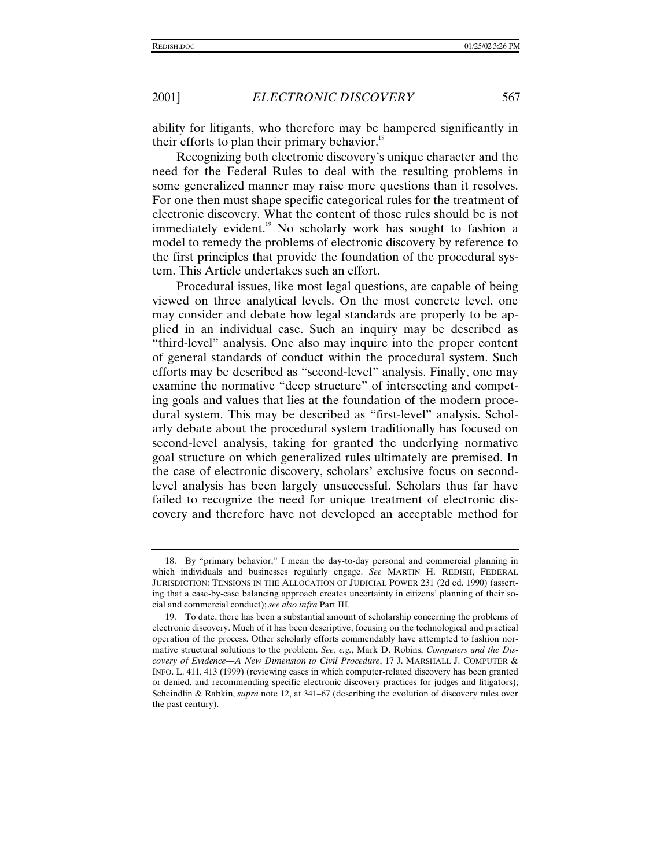ability for litigants, who therefore may be hampered significantly in their efforts to plan their primary behavior. $18$ 

Recognizing both electronic discovery's unique character and the need for the Federal Rules to deal with the resulting problems in some generalized manner may raise more questions than it resolves. For one then must shape specific categorical rules for the treatment of electronic discovery. What the content of those rules should be is not immediately evident.<sup>19</sup> No scholarly work has sought to fashion a model to remedy the problems of electronic discovery by reference to the first principles that provide the foundation of the procedural system. This Article undertakes such an effort.

Procedural issues, like most legal questions, are capable of being viewed on three analytical levels. On the most concrete level, one may consider and debate how legal standards are properly to be applied in an individual case. Such an inquiry may be described as "third-level" analysis. One also may inquire into the proper content of general standards of conduct within the procedural system. Such efforts may be described as "second-level" analysis. Finally, one may examine the normative "deep structure" of intersecting and competing goals and values that lies at the foundation of the modern procedural system. This may be described as "first-level" analysis. Scholarly debate about the procedural system traditionally has focused on second-level analysis, taking for granted the underlying normative goal structure on which generalized rules ultimately are premised. In the case of electronic discovery, scholars' exclusive focus on secondlevel analysis has been largely unsuccessful. Scholars thus far have failed to recognize the need for unique treatment of electronic discovery and therefore have not developed an acceptable method for

<sup>18.</sup> By "primary behavior," I mean the day-to-day personal and commercial planning in which individuals and businesses regularly engage. *See* MARTIN H. REDISH, FEDERAL JURISDICTION: TENSIONS IN THE ALLOCATION OF JUDICIAL POWER 231 (2d ed. 1990) (asserting that a case-by-case balancing approach creates uncertainty in citizens' planning of their social and commercial conduct); *see also infra* Part III.

<sup>19.</sup> To date, there has been a substantial amount of scholarship concerning the problems of electronic discovery. Much of it has been descriptive, focusing on the technological and practical operation of the process. Other scholarly efforts commendably have attempted to fashion normative structural solutions to the problem. *See, e.g.*, Mark D. Robins, *Computers and the Discovery of Evidence—A New Dimension to Civil Procedure*, 17 J. MARSHALL J. COMPUTER & INFO. L. 411, 413 (1999) (reviewing cases in which computer-related discovery has been granted or denied, and recommending specific electronic discovery practices for judges and litigators); Scheindlin & Rabkin, *supra* note 12, at 341–67 (describing the evolution of discovery rules over the past century).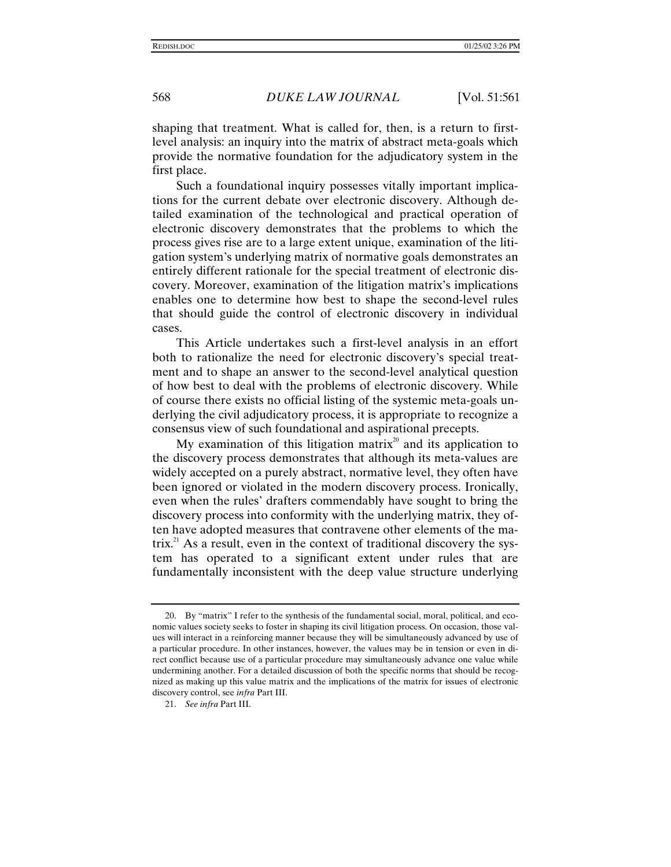shaping that treatment. What is called for, then, is a return to firstlevel analysis: an inquiry into the matrix of abstract meta-goals which provide the normative foundation for the adjudicatory system in the first place.

Such a foundational inquiry possesses vitally important implications for the current debate over electronic discovery. Although detailed examination of the technological and practical operation of electronic discovery demonstrates that the problems to which the process gives rise are to a large extent unique, examination of the litigation system's underlying matrix of normative goals demonstrates an entirely different rationale for the special treatment of electronic discovery. Moreover, examination of the litigation matrix's implications enables one to determine how best to shape the second-level rules that should guide the control of electronic discovery in individual cases.

This Article undertakes such a first-level analysis in an effort both to rationalize the need for electronic discovery's special treatment and to shape an answer to the second-level analytical question of how best to deal with the problems of electronic discovery. While of course there exists no official listing of the systemic meta-goals underlying the civil adjudicatory process, it is appropriate to recognize a consensus view of such foundational and aspirational precepts.

My examination of this litigation matrix<sup>20</sup> and its application to the discovery process demonstrates that although its meta-values are widely accepted on a purely abstract, normative level, they often have been ignored or violated in the modern discovery process. Ironically, even when the rules' drafters commendably have sought to bring the discovery process into conformity with the underlying matrix, they often have adopted measures that contravene other elements of the matrix.<sup>21</sup> As a result, even in the context of traditional discovery the system has operated to a significant extent under rules that are fundamentally inconsistent with the deep value structure underlying

<sup>20.</sup> By "matrix" I refer to the synthesis of the fundamental social, moral, political, and economic values society seeks to foster in shaping its civil litigation process. On occasion, those values will interact in a reinforcing manner because they will be simultaneously advanced by use of a particular procedure. In other instances, however, the values may be in tension or even in direct conflict because use of a particular procedure may simultaneously advance one value while undermining another. For a detailed discussion of both the specific norms that should be recognized as making up this value matrix and the implications of the matrix for issues of electronic discovery control, see *infra* Part III.

<sup>21.</sup> *See infra* Part III.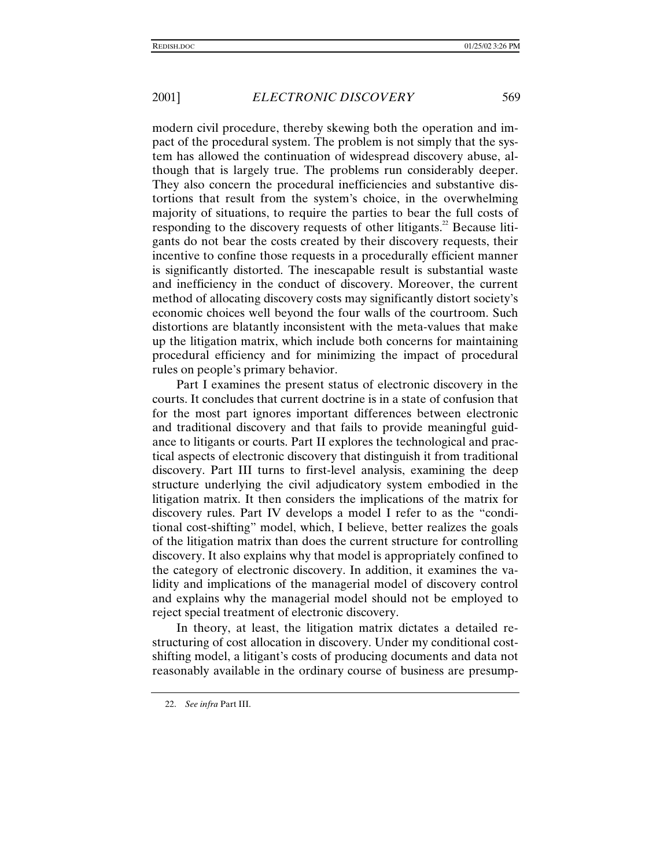modern civil procedure, thereby skewing both the operation and impact of the procedural system. The problem is not simply that the system has allowed the continuation of widespread discovery abuse, although that is largely true. The problems run considerably deeper. They also concern the procedural inefficiencies and substantive distortions that result from the system's choice, in the overwhelming majority of situations, to require the parties to bear the full costs of responding to the discovery requests of other litigants.<sup>22</sup> Because litigants do not bear the costs created by their discovery requests, their incentive to confine those requests in a procedurally efficient manner is significantly distorted. The inescapable result is substantial waste and inefficiency in the conduct of discovery. Moreover, the current method of allocating discovery costs may significantly distort society's economic choices well beyond the four walls of the courtroom. Such distortions are blatantly inconsistent with the meta-values that make up the litigation matrix, which include both concerns for maintaining procedural efficiency and for minimizing the impact of procedural rules on people's primary behavior.

Part I examines the present status of electronic discovery in the courts. It concludes that current doctrine is in a state of confusion that for the most part ignores important differences between electronic and traditional discovery and that fails to provide meaningful guidance to litigants or courts. Part II explores the technological and practical aspects of electronic discovery that distinguish it from traditional discovery. Part III turns to first-level analysis, examining the deep structure underlying the civil adjudicatory system embodied in the litigation matrix. It then considers the implications of the matrix for discovery rules. Part IV develops a model I refer to as the "conditional cost-shifting" model, which, I believe, better realizes the goals of the litigation matrix than does the current structure for controlling discovery. It also explains why that model is appropriately confined to the category of electronic discovery. In addition, it examines the validity and implications of the managerial model of discovery control and explains why the managerial model should not be employed to reject special treatment of electronic discovery.

In theory, at least, the litigation matrix dictates a detailed restructuring of cost allocation in discovery. Under my conditional costshifting model, a litigant's costs of producing documents and data not reasonably available in the ordinary course of business are presump-

<sup>22.</sup> *See infra* Part III.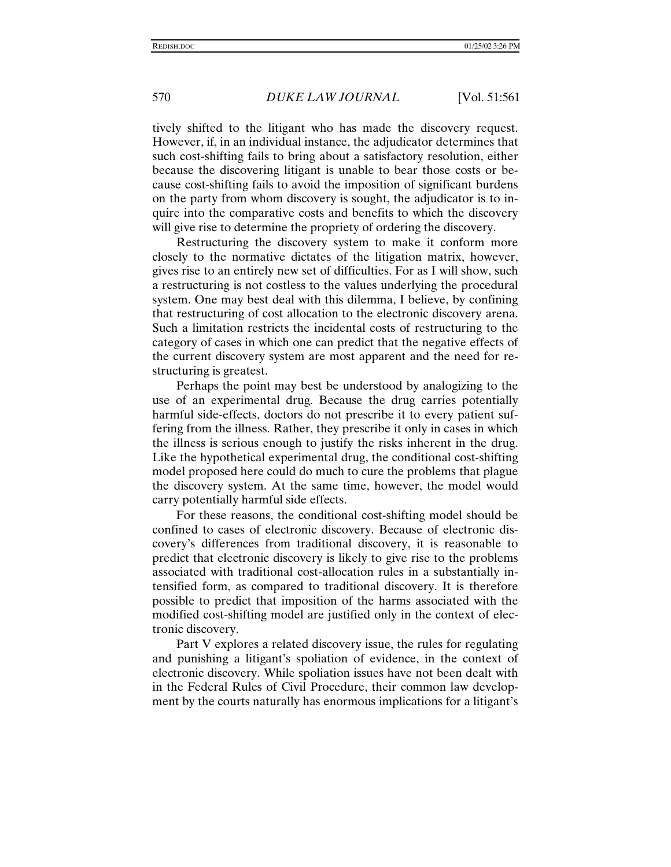tively shifted to the litigant who has made the discovery request. However, if, in an individual instance, the adjudicator determines that such cost-shifting fails to bring about a satisfactory resolution, either because the discovering litigant is unable to bear those costs or because cost-shifting fails to avoid the imposition of significant burdens on the party from whom discovery is sought, the adjudicator is to inquire into the comparative costs and benefits to which the discovery will give rise to determine the propriety of ordering the discovery.

Restructuring the discovery system to make it conform more closely to the normative dictates of the litigation matrix, however, gives rise to an entirely new set of difficulties. For as I will show, such a restructuring is not costless to the values underlying the procedural system. One may best deal with this dilemma, I believe, by confining that restructuring of cost allocation to the electronic discovery arena. Such a limitation restricts the incidental costs of restructuring to the category of cases in which one can predict that the negative effects of the current discovery system are most apparent and the need for restructuring is greatest.

Perhaps the point may best be understood by analogizing to the use of an experimental drug. Because the drug carries potentially harmful side-effects, doctors do not prescribe it to every patient suffering from the illness. Rather, they prescribe it only in cases in which the illness is serious enough to justify the risks inherent in the drug. Like the hypothetical experimental drug, the conditional cost-shifting model proposed here could do much to cure the problems that plague the discovery system. At the same time, however, the model would carry potentially harmful side effects.

For these reasons, the conditional cost-shifting model should be confined to cases of electronic discovery. Because of electronic discovery's differences from traditional discovery, it is reasonable to predict that electronic discovery is likely to give rise to the problems associated with traditional cost-allocation rules in a substantially intensified form, as compared to traditional discovery. It is therefore possible to predict that imposition of the harms associated with the modified cost-shifting model are justified only in the context of electronic discovery.

Part V explores a related discovery issue, the rules for regulating and punishing a litigant's spoliation of evidence, in the context of electronic discovery. While spoliation issues have not been dealt with in the Federal Rules of Civil Procedure, their common law development by the courts naturally has enormous implications for a litigant's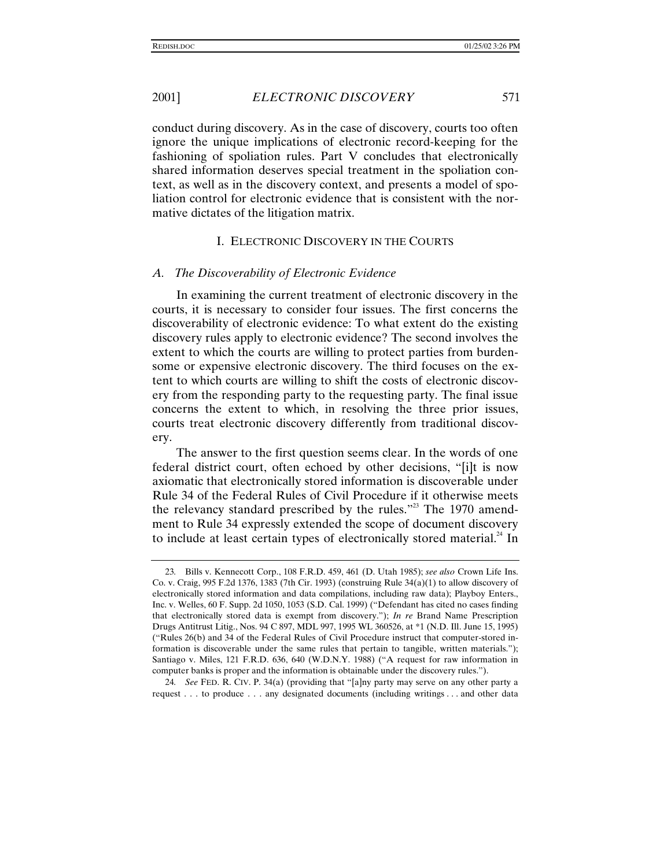conduct during discovery. As in the case of discovery, courts too often ignore the unique implications of electronic record-keeping for the fashioning of spoliation rules. Part V concludes that electronically shared information deserves special treatment in the spoliation context, as well as in the discovery context, and presents a model of spoliation control for electronic evidence that is consistent with the normative dictates of the litigation matrix.

#### I. ELECTRONIC DISCOVERY IN THE COURTS

#### *A. The Discoverability of Electronic Evidence*

In examining the current treatment of electronic discovery in the courts, it is necessary to consider four issues. The first concerns the discoverability of electronic evidence: To what extent do the existing discovery rules apply to electronic evidence? The second involves the extent to which the courts are willing to protect parties from burdensome or expensive electronic discovery. The third focuses on the extent to which courts are willing to shift the costs of electronic discovery from the responding party to the requesting party. The final issue concerns the extent to which, in resolving the three prior issues, courts treat electronic discovery differently from traditional discovery.

The answer to the first question seems clear. In the words of one federal district court, often echoed by other decisions, "[i]t is now axiomatic that electronically stored information is discoverable under Rule 34 of the Federal Rules of Civil Procedure if it otherwise meets the relevancy standard prescribed by the rules."<sup>23</sup> The 1970 amendment to Rule 34 expressly extended the scope of document discovery to include at least certain types of electronically stored material. $^{24}$  In

<sup>23</sup>*.* Bills v. Kennecott Corp., 108 F.R.D. 459, 461 (D. Utah 1985); *see also* Crown Life Ins. Co. v. Craig, 995 F.2d 1376, 1383 (7th Cir. 1993) (construing Rule 34(a)(1) to allow discovery of electronically stored information and data compilations, including raw data); Playboy Enters., Inc. v. Welles, 60 F. Supp. 2d 1050, 1053 (S.D. Cal. 1999) ("Defendant has cited no cases finding that electronically stored data is exempt from discovery."); *In re* Brand Name Prescription Drugs Antitrust Litig., Nos. 94 C 897, MDL 997, 1995 WL 360526, at \*1 (N.D. Ill. June 15, 1995) ("Rules 26(b) and 34 of the Federal Rules of Civil Procedure instruct that computer-stored information is discoverable under the same rules that pertain to tangible, written materials."); Santiago v. Miles, 121 F.R.D. 636, 640 (W.D.N.Y. 1988) ("A request for raw information in computer banks is proper and the information is obtainable under the discovery rules.").

<sup>24</sup>*. See* FED. R. CIV. P. 34(a) (providing that "[a]ny party may serve on any other party a request . . . to produce . . . any designated documents (including writings . . . and other data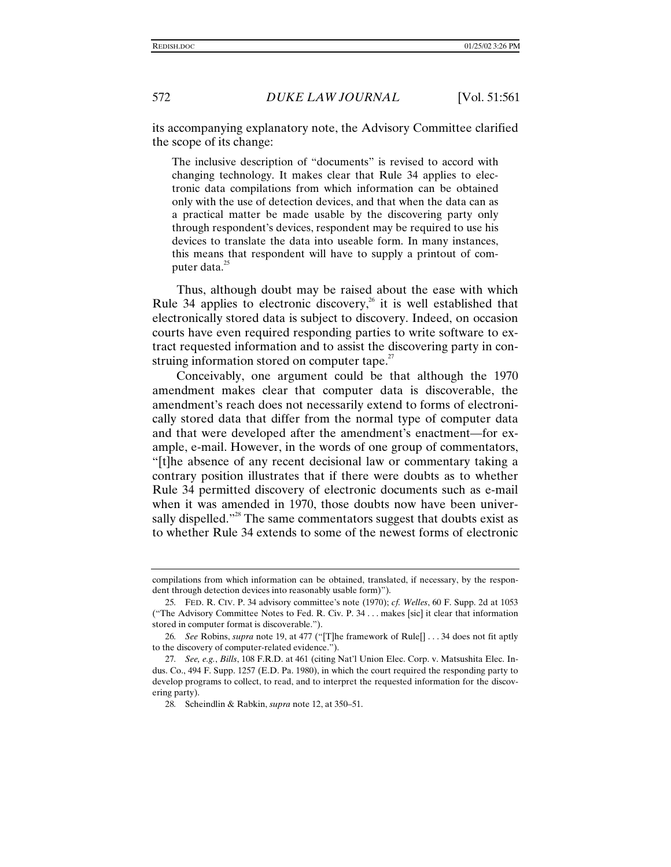its accompanying explanatory note, the Advisory Committee clarified the scope of its change:

The inclusive description of "documents" is revised to accord with changing technology. It makes clear that Rule 34 applies to electronic data compilations from which information can be obtained only with the use of detection devices, and that when the data can as a practical matter be made usable by the discovering party only through respondent's devices, respondent may be required to use his devices to translate the data into useable form. In many instances, this means that respondent will have to supply a printout of computer data. $^{25}$ 

Thus, although doubt may be raised about the ease with which Rule 34 applies to electronic discovery,<sup>26</sup> it is well established that electronically stored data is subject to discovery. Indeed, on occasion courts have even required responding parties to write software to extract requested information and to assist the discovering party in construing information stored on computer tape.<sup>27</sup>

Conceivably, one argument could be that although the 1970 amendment makes clear that computer data is discoverable, the amendment's reach does not necessarily extend to forms of electronically stored data that differ from the normal type of computer data and that were developed after the amendment's enactment—for example, e-mail. However, in the words of one group of commentators, "[t]he absence of any recent decisional law or commentary taking a contrary position illustrates that if there were doubts as to whether Rule 34 permitted discovery of electronic documents such as e-mail when it was amended in 1970, those doubts now have been universally dispelled."<sup>28</sup> The same commentators suggest that doubts exist as to whether Rule 34 extends to some of the newest forms of electronic

compilations from which information can be obtained, translated, if necessary, by the respondent through detection devices into reasonably usable form)").

<sup>25</sup>*.* FED. R. CIV. P. 34 advisory committee's note (1970); *cf. Welles*, 60 F. Supp. 2d at 1053 ("The Advisory Committee Notes to Fed. R. Civ. P. 34 . . . makes [sic] it clear that information stored in computer format is discoverable.").

<sup>26</sup>*. See* Robins, *supra* note 19, at 477 ("[T]he framework of Rule[] . . . 34 does not fit aptly to the discovery of computer-related evidence.").

<sup>27</sup>*. See, e.g.*, *Bills*, 108 F.R.D. at 461 (citing Nat'l Union Elec. Corp. v. Matsushita Elec. Indus. Co., 494 F. Supp. 1257 (E.D. Pa. 1980), in which the court required the responding party to develop programs to collect, to read, and to interpret the requested information for the discovering party).

<sup>28</sup>*.* Scheindlin & Rabkin, *supra* note 12, at 350–51.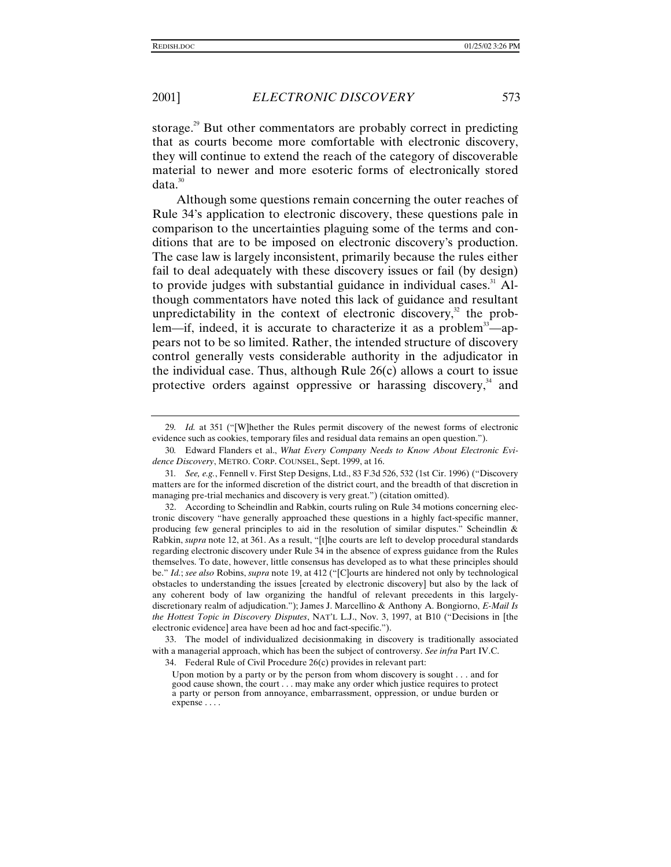storage.<sup>29</sup> But other commentators are probably correct in predicting that as courts become more comfortable with electronic discovery, they will continue to extend the reach of the category of discoverable material to newer and more esoteric forms of electronically stored  $data.<sup>30</sup>$ 

Although some questions remain concerning the outer reaches of Rule 34's application to electronic discovery, these questions pale in comparison to the uncertainties plaguing some of the terms and conditions that are to be imposed on electronic discovery's production. The case law is largely inconsistent, primarily because the rules either fail to deal adequately with these discovery issues or fail (by design) to provide judges with substantial guidance in individual cases. $31$  Although commentators have noted this lack of guidance and resultant unpredictability in the context of electronic discovery,<sup>32</sup> the problem—if, indeed, it is accurate to characterize it as a problem<sup>33</sup>—appears not to be so limited. Rather, the intended structure of discovery control generally vests considerable authority in the adjudicator in the individual case. Thus, although Rule  $26(c)$  allows a court to issue protective orders against oppressive or harassing discovery,<sup>34</sup> and

<sup>29</sup>*. Id.* at 351 ("[W]hether the Rules permit discovery of the newest forms of electronic evidence such as cookies, temporary files and residual data remains an open question.").

<sup>30</sup>*.* Edward Flanders et al., *What Every Company Needs to Know About Electronic Evidence Discovery*, METRO. CORP. COUNSEL, Sept. 1999, at 16.

<sup>31</sup>*. See, e.g.*, Fennell v. First Step Designs, Ltd., 83 F.3d 526, 532 (1st Cir. 1996) ("Discovery matters are for the informed discretion of the district court, and the breadth of that discretion in managing pre-trial mechanics and discovery is very great.") (citation omitted).

<sup>32.</sup> According to Scheindlin and Rabkin, courts ruling on Rule 34 motions concerning electronic discovery "have generally approached these questions in a highly fact-specific manner, producing few general principles to aid in the resolution of similar disputes." Scheindlin & Rabkin, *supra* note 12, at 361. As a result, "[t]he courts are left to develop procedural standards regarding electronic discovery under Rule 34 in the absence of express guidance from the Rules themselves. To date, however, little consensus has developed as to what these principles should be." *Id.*; *see also* Robins, *supra* note 19, at 412 ("[C]ourts are hindered not only by technological obstacles to understanding the issues [created by electronic discovery] but also by the lack of any coherent body of law organizing the handful of relevant precedents in this largelydiscretionary realm of adjudication."); James J. Marcellino & Anthony A. Bongiorno, *E-Mail Is the Hottest Topic in Discovery Disputes*, NAT'L L.J., Nov. 3, 1997, at B10 ("Decisions in [the electronic evidence] area have been ad hoc and fact-specific.").

<sup>33.</sup> The model of individualized decisionmaking in discovery is traditionally associated with a managerial approach, which has been the subject of controversy. *See infra* Part IV.C.

<sup>34.</sup> Federal Rule of Civil Procedure 26(c) provides in relevant part:

Upon motion by a party or by the person from whom discovery is sought . . . and for good cause shown, the court . . . may make any order which justice requires to protect a party or person from annoyance, embarrassment, oppression, or undue burden or expense . . . .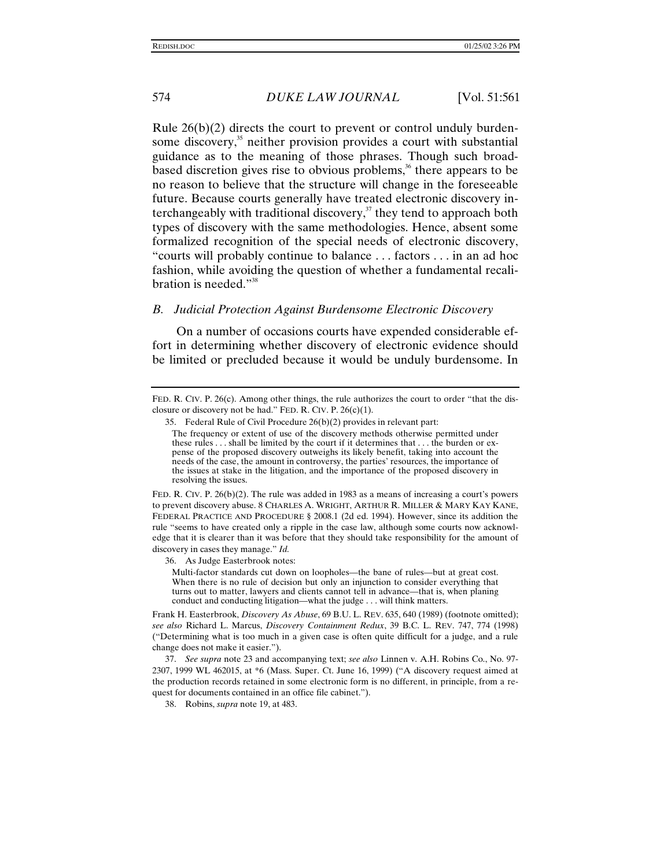Rule  $26(b)(2)$  directs the court to prevent or control unduly burdensome discovery, $35$  neither provision provides a court with substantial guidance as to the meaning of those phrases. Though such broadbased discretion gives rise to obvious problems,<sup>36</sup> there appears to be no reason to believe that the structure will change in the foreseeable future. Because courts generally have treated electronic discovery interchangeably with traditional discovery, $37$  they tend to approach both types of discovery with the same methodologies. Hence, absent some formalized recognition of the special needs of electronic discovery, "courts will probably continue to balance . . . factors . . . in an ad hoc fashion, while avoiding the question of whether a fundamental recalibration is needed." 38

#### *B. Judicial Protection Against Burdensome Electronic Discovery*

On a number of occasions courts have expended considerable effort in determining whether discovery of electronic evidence should be limited or precluded because it would be unduly burdensome. In

FED. R. CIV. P. 26(b)(2). The rule was added in 1983 as a means of increasing a court's powers to prevent discovery abuse. 8 CHARLES A. WRIGHT, ARTHUR R. MILLER & MARY KAY KANE, FEDERAL PRACTICE AND PROCEDURE § 2008.1 (2d ed. 1994). However, since its addition the rule "seems to have created only a ripple in the case law, although some courts now acknowledge that it is clearer than it was before that they should take responsibility for the amount of discovery in cases they manage." *Id.*

36. As Judge Easterbrook notes:

Multi-factor standards cut down on loopholes—the bane of rules—but at great cost. When there is no rule of decision but only an injunction to consider everything that turns out to matter, lawyers and clients cannot tell in advance—that is, when planing conduct and conducting litigation—what the judge . . . will think matters.

Frank H. Easterbrook, *Discovery As Abuse*, 69 B.U. L. REV. 635, 640 (1989) (footnote omitted); *see also* Richard L. Marcus, *Discovery Containment Redux*, 39 B.C. L. REV. 747, 774 (1998) ("Determining what is too much in a given case is often quite difficult for a judge, and a rule change does not make it easier.").

37. *See supra* note 23 and accompanying text; *see also* Linnen v. A.H. Robins Co., No. 97- 2307, 1999 WL 462015, at \*6 (Mass. Super. Ct. June 16, 1999) ("A discovery request aimed at the production records retained in some electronic form is no different, in principle, from a request for documents contained in an office file cabinet.").

38. Robins, *supra* note 19, at 483.

FED. R. CIV. P. 26(c). Among other things, the rule authorizes the court to order "that the disclosure or discovery not be had." FED. R. CIV. P.  $26(c)(1)$ .

<sup>35.</sup> Federal Rule of Civil Procedure 26(b)(2) provides in relevant part:

The frequency or extent of use of the discovery methods otherwise permitted under these rules . . . shall be limited by the court if it determines that . . . the burden or expense of the proposed discovery outweighs its likely benefit, taking into account the needs of the case, the amount in controversy, the parties' resources, the importance of the issues at stake in the litigation, and the importance of the proposed discovery in resolving the issues.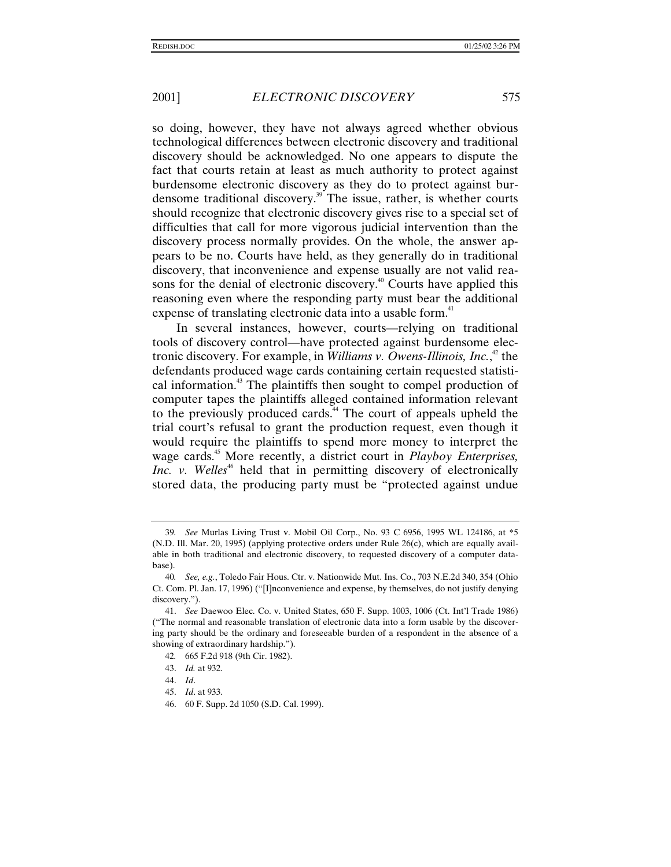so doing, however, they have not always agreed whether obvious technological differences between electronic discovery and traditional discovery should be acknowledged. No one appears to dispute the fact that courts retain at least as much authority to protect against burdensome electronic discovery as they do to protect against burdensome traditional discovery.<sup>39</sup> The issue, rather, is whether courts should recognize that electronic discovery gives rise to a special set of difficulties that call for more vigorous judicial intervention than the discovery process normally provides. On the whole, the answer appears to be no. Courts have held, as they generally do in traditional discovery, that inconvenience and expense usually are not valid reasons for the denial of electronic discovery.<sup>40</sup> Courts have applied this reasoning even where the responding party must bear the additional expense of translating electronic data into a usable form.<sup>41</sup>

In several instances, however, courts—relying on traditional tools of discovery control—have protected against burdensome electronic discovery. For example, in *Williams v. Owens-Illinois, Inc.*, 42 the defendants produced wage cards containing certain requested statistical information.<sup>43</sup> The plaintiffs then sought to compel production of computer tapes the plaintiffs alleged contained information relevant to the previously produced cards.<sup>44</sup> The court of appeals upheld the trial court's refusal to grant the production request, even though it would require the plaintiffs to spend more money to interpret the wage cards.45 More recently, a district court in *Playboy Enterprises, Inc. v. Welles*<sup>46</sup> held that in permitting discovery of electronically stored data, the producing party must be "protected against undue

<sup>39</sup>*. See* Murlas Living Trust v. Mobil Oil Corp., No. 93 C 6956, 1995 WL 124186, at \*5 (N.D. Ill. Mar. 20, 1995) (applying protective orders under Rule 26(c), which are equally available in both traditional and electronic discovery, to requested discovery of a computer database).

<sup>40</sup>*. See, e.g.*, Toledo Fair Hous. Ctr. v. Nationwide Mut. Ins. Co., 703 N.E.2d 340, 354 (Ohio Ct. Com. Pl. Jan. 17, 1996) ("[I]nconvenience and expense, by themselves, do not justify denying discovery.").

<sup>41.</sup> *See* Daewoo Elec. Co. v. United States, 650 F. Supp. 1003, 1006 (Ct. Int'l Trade 1986) ("The normal and reasonable translation of electronic data into a form usable by the discovering party should be the ordinary and foreseeable burden of a respondent in the absence of a showing of extraordinary hardship.").

<sup>42</sup>*.* 665 F.2d 918 (9th Cir. 1982).

<sup>43.</sup> *Id.* at 932.

<sup>44.</sup> *Id*.

<sup>45.</sup> *Id*. at 933.

<sup>46. 60</sup> F. Supp. 2d 1050 (S.D. Cal. 1999).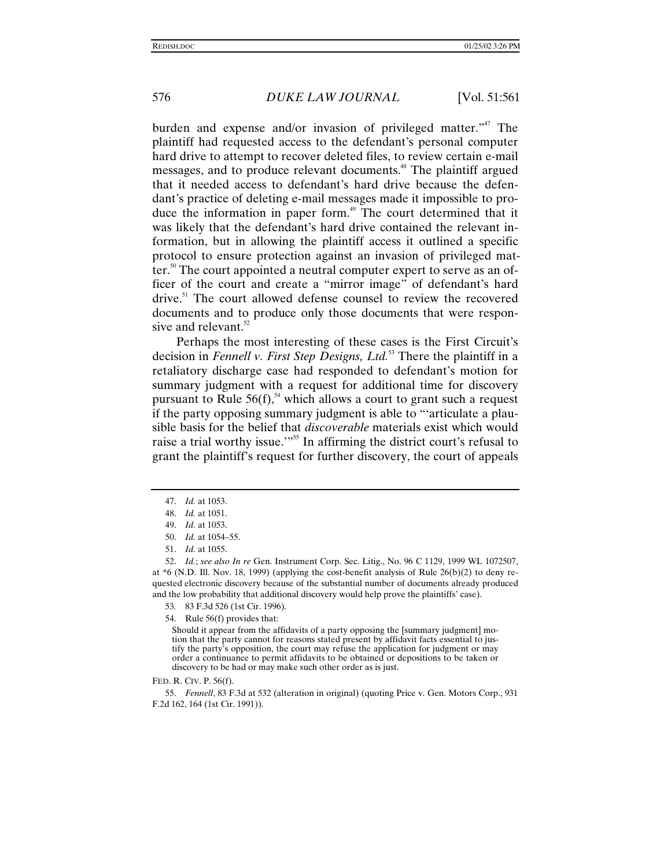burden and expense and/or invasion of privileged matter."<sup>47</sup> The plaintiff had requested access to the defendant's personal computer hard drive to attempt to recover deleted files, to review certain e-mail messages, and to produce relevant documents.<sup>48</sup> The plaintiff argued that it needed access to defendant's hard drive because the defendant's practice of deleting e-mail messages made it impossible to produce the information in paper form.<sup>49</sup> The court determined that it was likely that the defendant's hard drive contained the relevant information, but in allowing the plaintiff access it outlined a specific protocol to ensure protection against an invasion of privileged matter.<sup>50</sup> The court appointed a neutral computer expert to serve as an officer of the court and create a "mirror image" of defendant's hard drive.<sup>51</sup> The court allowed defense counsel to review the recovered documents and to produce only those documents that were responsive and relevant.<sup>52</sup>

Perhaps the most interesting of these cases is the First Circuit's decision in *Fennell v. First Step Designs, Ltd.*53 There the plaintiff in a retaliatory discharge case had responded to defendant's motion for summary judgment with a request for additional time for discovery pursuant to Rule  $56(f)$ ,<sup>54</sup> which allows a court to grant such a request if the party opposing summary judgment is able to "'articulate a plausible basis for the belief that *discoverable* materials exist which would raise a trial worthy issue."<sup>55</sup> In affirming the district court's refusal to grant the plaintiff's request for further discovery, the court of appeals

52. *Id.*; *see also In re* Gen. Instrument Corp. Sec. Litig., No. 96 C 1129, 1999 WL 1072507, at \*6 (N.D. Ill. Nov. 18, 1999) (applying the cost-benefit analysis of Rule 26(b)(2) to deny requested electronic discovery because of the substantial number of documents already produced and the low probability that additional discovery would help prove the plaintiffs' case).

- 53*.* 83 F.3d 526 (1st Cir. 1996).
- 54. Rule 56(f) provides that:

Should it appear from the affidavits of a party opposing the [summary judgment] motion that the party cannot for reasons stated present by affidavit facts essential to justify the party's opposition, the court may refuse the application for judgment or may order a continuance to permit affidavits to be obtained or depositions to be taken or discovery to be had or may make such other order as is just.

#### FED. R. CIV. P. 56(f).

55. *Fennell*, 83 F.3d at 532 (alteration in original) (quoting Price v. Gen. Motors Corp., 931 F.2d 162, 164 (1st Cir. 1991)).

<sup>47.</sup> *Id.* at 1053.

<sup>48.</sup> *Id.* at 1051.

<sup>49.</sup> *Id.* at 1053.

<sup>50.</sup> *Id.* at 1054–55.

<sup>51.</sup> *Id.* at 1055.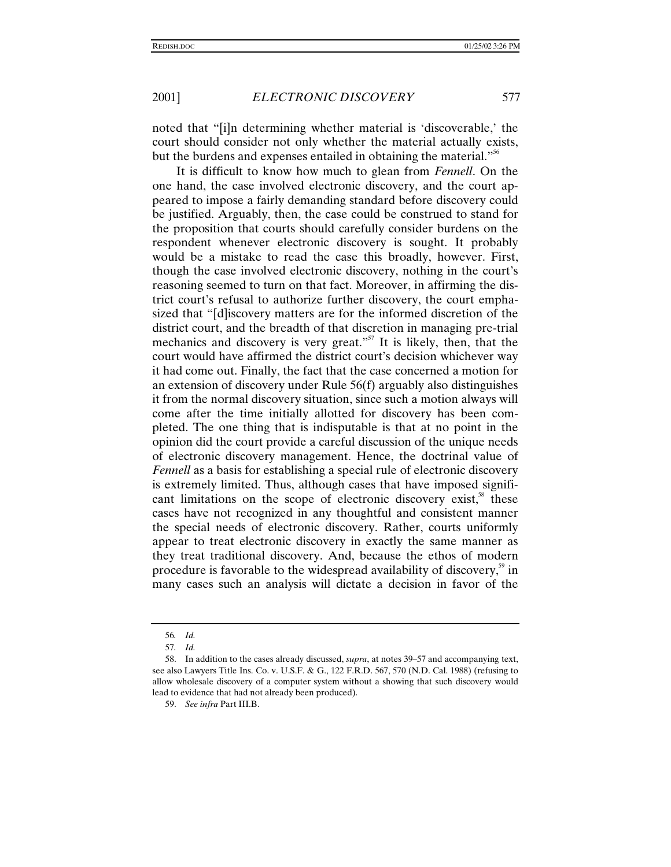noted that "[i]n determining whether material is 'discoverable,' the court should consider not only whether the material actually exists, but the burdens and expenses entailed in obtaining the material."<sup>56</sup>

It is difficult to know how much to glean from *Fennell*. On the one hand, the case involved electronic discovery, and the court appeared to impose a fairly demanding standard before discovery could be justified. Arguably, then, the case could be construed to stand for the proposition that courts should carefully consider burdens on the respondent whenever electronic discovery is sought. It probably would be a mistake to read the case this broadly, however. First, though the case involved electronic discovery, nothing in the court's reasoning seemed to turn on that fact. Moreover, in affirming the district court's refusal to authorize further discovery, the court emphasized that "[d]iscovery matters are for the informed discretion of the district court, and the breadth of that discretion in managing pre-trial mechanics and discovery is very great."<sup>57</sup> It is likely, then, that the court would have affirmed the district court's decision whichever way it had come out. Finally, the fact that the case concerned a motion for an extension of discovery under Rule 56(f) arguably also distinguishes it from the normal discovery situation, since such a motion always will come after the time initially allotted for discovery has been completed. The one thing that is indisputable is that at no point in the opinion did the court provide a careful discussion of the unique needs of electronic discovery management. Hence, the doctrinal value of *Fennell* as a basis for establishing a special rule of electronic discovery is extremely limited. Thus, although cases that have imposed significant limitations on the scope of electronic discovery exist,<sup>58</sup> these cases have not recognized in any thoughtful and consistent manner the special needs of electronic discovery. Rather, courts uniformly appear to treat electronic discovery in exactly the same manner as they treat traditional discovery. And, because the ethos of modern procedure is favorable to the widespread availability of discovery, $\frac{5}{3}$  in many cases such an analysis will dictate a decision in favor of the

<sup>56</sup>*. Id.*

<sup>57</sup>*. Id.*

<sup>58.</sup> In addition to the cases already discussed, *supra*, at notes 39–57 and accompanying text, see also Lawyers Title Ins. Co. v. U.S.F. & G., 122 F.R.D. 567, 570 (N.D. Cal. 1988) (refusing to allow wholesale discovery of a computer system without a showing that such discovery would lead to evidence that had not already been produced).

<sup>59.</sup> *See infra* Part III.B.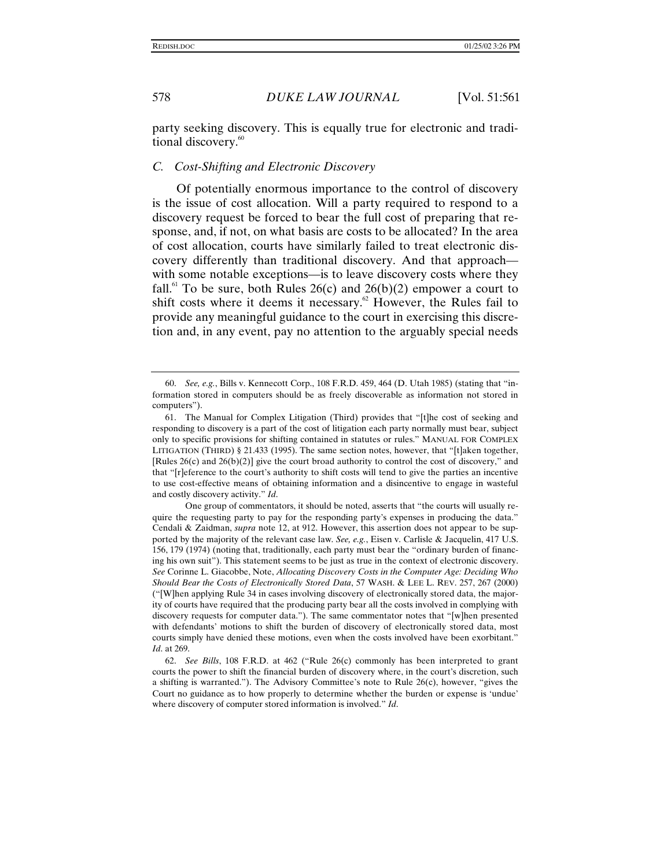party seeking discovery. This is equally true for electronic and traditional discovery.<sup>60</sup>

#### *C. Cost-Shifting and Electronic Discovery*

Of potentially enormous importance to the control of discovery is the issue of cost allocation. Will a party required to respond to a discovery request be forced to bear the full cost of preparing that response, and, if not, on what basis are costs to be allocated? In the area of cost allocation, courts have similarly failed to treat electronic discovery differently than traditional discovery. And that approach with some notable exceptions—is to leave discovery costs where they fall.<sup>61</sup> To be sure, both Rules  $26(c)$  and  $26(b)(2)$  empower a court to shift costs where it deems it necessary.<sup>62</sup> However, the Rules fail to provide any meaningful guidance to the court in exercising this discretion and, in any event, pay no attention to the arguably special needs

<sup>60.</sup> *See, e.g.*, Bills v. Kennecott Corp., 108 F.R.D. 459, 464 (D. Utah 1985) (stating that "information stored in computers should be as freely discoverable as information not stored in computers").

<sup>61.</sup> The Manual for Complex Litigation (Third) provides that "[t]he cost of seeking and responding to discovery is a part of the cost of litigation each party normally must bear, subject only to specific provisions for shifting contained in statutes or rules." MANUAL FOR COMPLEX LITIGATION (THIRD) § 21.433 (1995). The same section notes, however, that "[t]aken together, [Rules 26(c) and 26(b)(2)] give the court broad authority to control the cost of discovery," and that "[r]eference to the court's authority to shift costs will tend to give the parties an incentive to use cost-effective means of obtaining information and a disincentive to engage in wasteful and costly discovery activity." *Id*.

One group of commentators, it should be noted, asserts that "the courts will usually require the requesting party to pay for the responding party's expenses in producing the data." Cendali & Zaidman, *supra* note 12, at 912. However, this assertion does not appear to be supported by the majority of the relevant case law. *See, e.g.*, Eisen v. Carlisle & Jacquelin, 417 U.S. 156, 179 (1974) (noting that, traditionally, each party must bear the "ordinary burden of financing his own suit"). This statement seems to be just as true in the context of electronic discovery. *See* Corinne L. Giacobbe, Note, *Allocating Discovery Costs in the Computer Age: Deciding Who Should Bear the Costs of Electronically Stored Data*, 57 WASH. & LEE L. REV. 257, 267 (2000) ("[W]hen applying Rule 34 in cases involving discovery of electronically stored data, the majority of courts have required that the producing party bear all the costs involved in complying with discovery requests for computer data."). The same commentator notes that "[w]hen presented with defendants' motions to shift the burden of discovery of electronically stored data, most courts simply have denied these motions, even when the costs involved have been exorbitant." *Id*. at 269.

<sup>62.</sup> *See Bills*, 108 F.R.D. at 462 ("Rule 26(c) commonly has been interpreted to grant courts the power to shift the financial burden of discovery where, in the court's discretion, such a shifting is warranted."). The Advisory Committee's note to Rule 26(c), however, "gives the Court no guidance as to how properly to determine whether the burden or expense is 'undue' where discovery of computer stored information is involved." *Id*.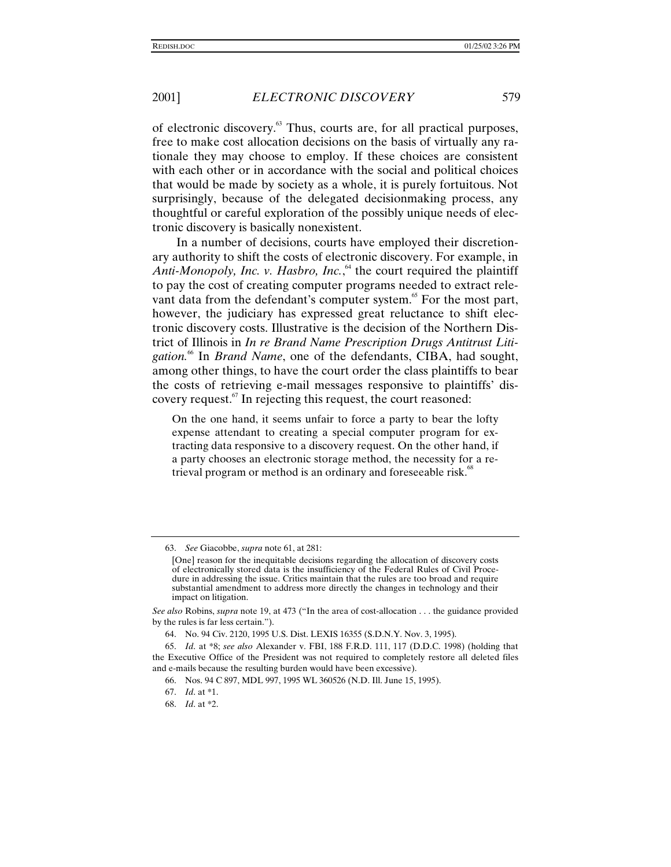of electronic discovery.<sup>63</sup> Thus, courts are, for all practical purposes, free to make cost allocation decisions on the basis of virtually any rationale they may choose to employ. If these choices are consistent with each other or in accordance with the social and political choices that would be made by society as a whole, it is purely fortuitous. Not surprisingly, because of the delegated decisionmaking process, any thoughtful or careful exploration of the possibly unique needs of electronic discovery is basically nonexistent.

In a number of decisions, courts have employed their discretionary authority to shift the costs of electronic discovery. For example, in Anti-Monopoly, Inc. v. Hasbro, Inc., <sup>64</sup> the court required the plaintiff to pay the cost of creating computer programs needed to extract relevant data from the defendant's computer system.<sup>65</sup> For the most part, however, the judiciary has expressed great reluctance to shift electronic discovery costs. Illustrative is the decision of the Northern District of Illinois in *In re Brand Name Prescription Drugs Antitrust Liti*gation.<sup>66</sup> In *Brand Name*, one of the defendants, CIBA, had sought, among other things, to have the court order the class plaintiffs to bear the costs of retrieving e-mail messages responsive to plaintiffs' discovery request.<sup>67</sup> In rejecting this request, the court reasoned:

On the one hand, it seems unfair to force a party to bear the lofty expense attendant to creating a special computer program for extracting data responsive to a discovery request. On the other hand, if a party chooses an electronic storage method, the necessity for a retrieval program or method is an ordinary and foreseeable risk.<sup>68</sup>

<sup>63.</sup> *See* Giacobbe, *supra* note 61, at 281:

<sup>[</sup>One] reason for the inequitable decisions regarding the allocation of discovery costs of electronically stored data is the insufficiency of the Federal Rules of Civil Procedure in addressing the issue. Critics maintain that the rules are too broad and require substantial amendment to address more directly the changes in technology and their impact on litigation.

*See also* Robins, *supra* note 19, at 473 ("In the area of cost-allocation . . . the guidance provided by the rules is far less certain.").

<sup>64.</sup> No. 94 Civ. 2120, 1995 U.S. Dist. LEXIS 16355 (S.D.N.Y. Nov. 3, 1995).

<sup>65.</sup> *Id*. at \*8; *see also* Alexander v. FBI, 188 F.R.D. 111, 117 (D.D.C. 1998) (holding that the Executive Office of the President was not required to completely restore all deleted files and e-mails because the resulting burden would have been excessive).

<sup>66.</sup> Nos. 94 C 897, MDL 997, 1995 WL 360526 (N.D. Ill. June 15, 1995).

<sup>67.</sup> *Id*. at \*1.

<sup>68.</sup> *Id*. at \*2.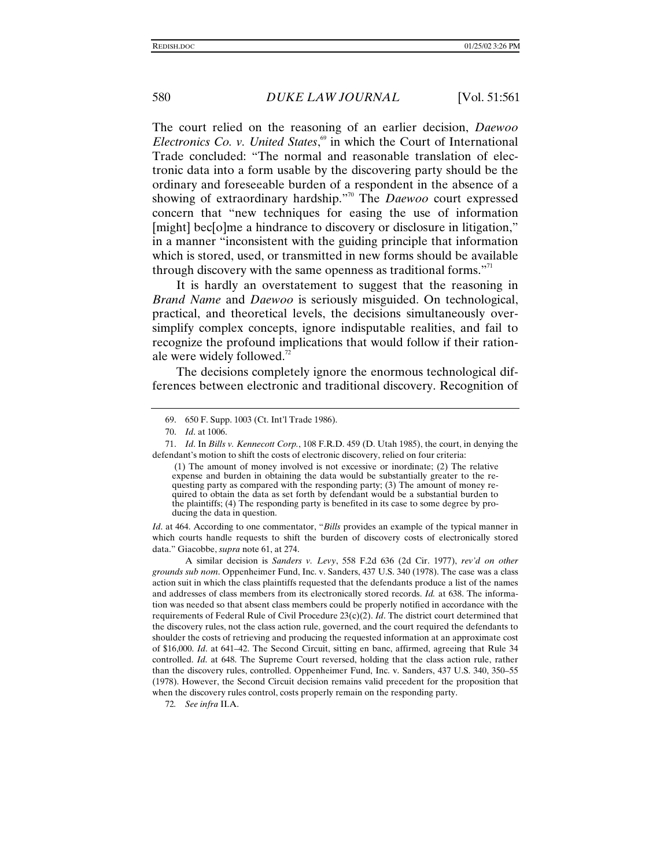The court relied on the reasoning of an earlier decision, *Daewoo Electronics Co. v. United States*, <sup>69</sup> in which the Court of International Trade concluded: "The normal and reasonable translation of electronic data into a form usable by the discovering party should be the ordinary and foreseeable burden of a respondent in the absence of a showing of extraordinary hardship." 70 The *Daewoo* court expressed concern that "new techniques for easing the use of information [might] bec[o]me a hindrance to discovery or disclosure in litigation," in a manner "inconsistent with the guiding principle that information which is stored, used, or transmitted in new forms should be available through discovery with the same openness as traditional forms."<sup>11</sup>

It is hardly an overstatement to suggest that the reasoning in *Brand Name* and *Daewoo* is seriously misguided. On technological, practical, and theoretical levels, the decisions simultaneously oversimplify complex concepts, ignore indisputable realities, and fail to recognize the profound implications that would follow if their rationale were widely followed.<sup>72</sup>

The decisions completely ignore the enormous technological differences between electronic and traditional discovery. Recognition of

 (1) The amount of money involved is not excessive or inordinate; (2) The relative expense and burden in obtaining the data would be substantially greater to the requesting party as compared with the responding party; (3) The amount of money required to obtain the data as set forth by defendant would be a substantial burden to the plaintiffs; (4) The responding party is benefited in its case to some degree by producing the data in question.

*Id.* at 464. According to one commentator, "*Bills* provides an example of the typical manner in which courts handle requests to shift the burden of discovery costs of electronically stored data." Giacobbe, *supra* note 61, at 274.

A similar decision is *Sanders v. Levy*, 558 F.2d 636 (2d Cir. 1977), *rev'd on other grounds sub nom*. Oppenheimer Fund, Inc. v. Sanders, 437 U.S. 340 (1978). The case was a class action suit in which the class plaintiffs requested that the defendants produce a list of the names and addresses of class members from its electronically stored records. *Id.* at 638. The information was needed so that absent class members could be properly notified in accordance with the requirements of Federal Rule of Civil Procedure 23(c)(2). *Id*. The district court determined that the discovery rules, not the class action rule, governed, and the court required the defendants to shoulder the costs of retrieving and producing the requested information at an approximate cost of \$16,000. *Id*. at 641–42. The Second Circuit, sitting en banc, affirmed, agreeing that Rule 34 controlled. *Id*. at 648. The Supreme Court reversed, holding that the class action rule, rather than the discovery rules, controlled. Oppenheimer Fund, Inc. v. Sanders, 437 U.S. 340, 350–55 (1978). However, the Second Circuit decision remains valid precedent for the proposition that when the discovery rules control, costs properly remain on the responding party.

72*. See infra* II.A.

<sup>69. 650</sup> F. Supp. 1003 (Ct. Int'l Trade 1986).

<sup>70.</sup> *Id*. at 1006.

<sup>71.</sup> *Id*. In *Bills v. Kennecott Corp.*, 108 F.R.D. 459 (D. Utah 1985), the court, in denying the defendant's motion to shift the costs of electronic discovery, relied on four criteria: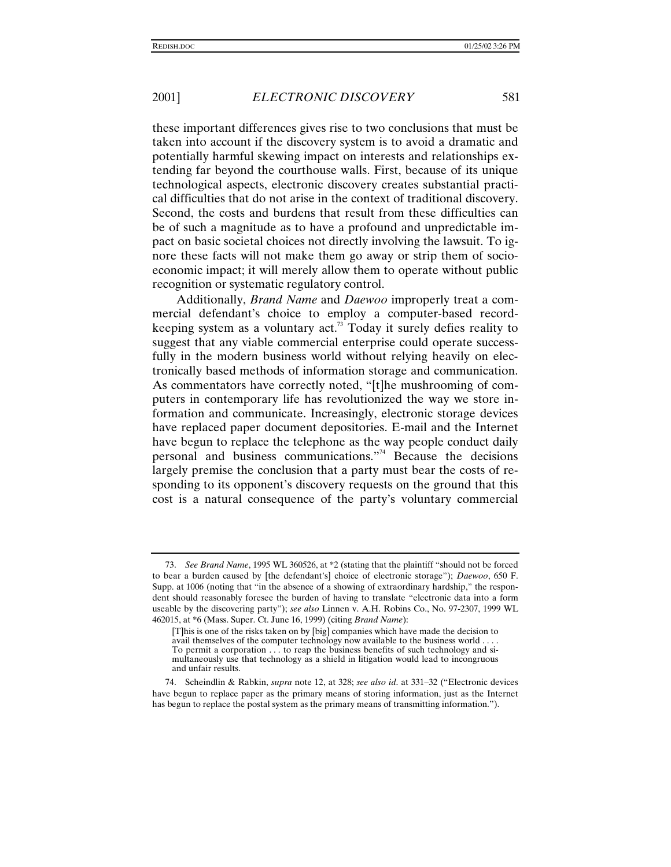these important differences gives rise to two conclusions that must be taken into account if the discovery system is to avoid a dramatic and potentially harmful skewing impact on interests and relationships extending far beyond the courthouse walls. First, because of its unique technological aspects, electronic discovery creates substantial practical difficulties that do not arise in the context of traditional discovery. Second, the costs and burdens that result from these difficulties can be of such a magnitude as to have a profound and unpredictable impact on basic societal choices not directly involving the lawsuit. To ignore these facts will not make them go away or strip them of socioeconomic impact; it will merely allow them to operate without public recognition or systematic regulatory control.

Additionally, *Brand Name* and *Daewoo* improperly treat a commercial defendant's choice to employ a computer-based recordkeeping system as a voluntary  $act.^{73}$  Today it surely defies reality to suggest that any viable commercial enterprise could operate successfully in the modern business world without relying heavily on electronically based methods of information storage and communication. As commentators have correctly noted, "[t]he mushrooming of computers in contemporary life has revolutionized the way we store information and communicate. Increasingly, electronic storage devices have replaced paper document depositories. E-mail and the Internet have begun to replace the telephone as the way people conduct daily personal and business communications." 74 Because the decisions largely premise the conclusion that a party must bear the costs of responding to its opponent's discovery requests on the ground that this cost is a natural consequence of the party's voluntary commercial

<sup>73.</sup> *See Brand Name*, 1995 WL 360526, at \*2 (stating that the plaintiff "should not be forced to bear a burden caused by [the defendant's] choice of electronic storage"); *Daewoo*, 650 F. Supp. at 1006 (noting that "in the absence of a showing of extraordinary hardship," the respondent should reasonably foresee the burden of having to translate "electronic data into a form useable by the discovering party"); *see also* Linnen v. A.H. Robins Co., No. 97-2307, 1999 WL 462015, at \*6 (Mass. Super. Ct. June 16, 1999) (citing *Brand Name*):

<sup>[</sup>T]his is one of the risks taken on by [big] companies which have made the decision to avail themselves of the computer technology now available to the business world . . . . To permit a corporation . . . to reap the business benefits of such technology and simultaneously use that technology as a shield in litigation would lead to incongruous and unfair results.

<sup>74.</sup> Scheindlin & Rabkin, *supra* note 12, at 328; *see also id*. at 331–32 ("Electronic devices have begun to replace paper as the primary means of storing information, just as the Internet has begun to replace the postal system as the primary means of transmitting information.").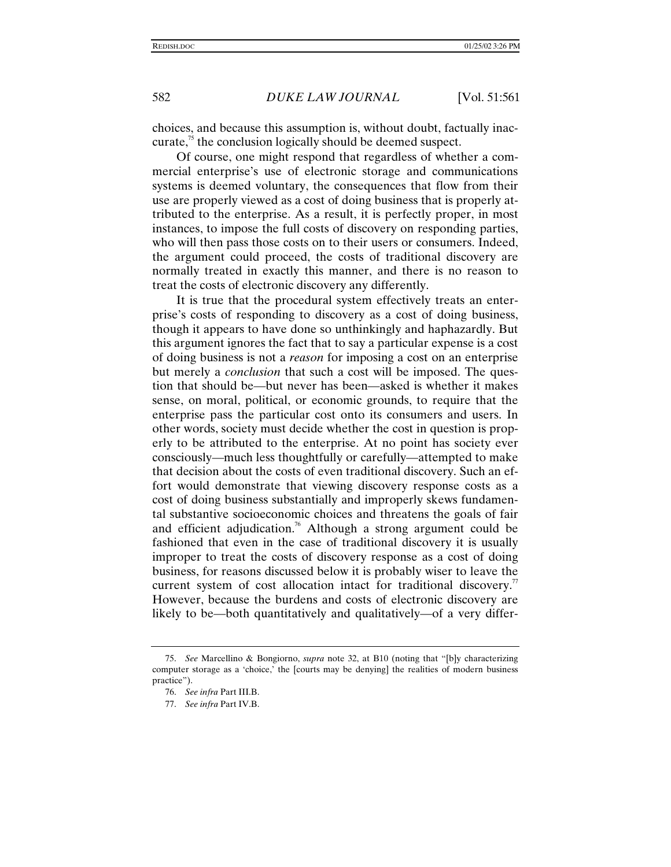choices, and because this assumption is, without doubt, factually inaccurate, $\frac{75}{10}$  the conclusion logically should be deemed suspect.

Of course, one might respond that regardless of whether a commercial enterprise's use of electronic storage and communications systems is deemed voluntary, the consequences that flow from their use are properly viewed as a cost of doing business that is properly attributed to the enterprise. As a result, it is perfectly proper, in most instances, to impose the full costs of discovery on responding parties, who will then pass those costs on to their users or consumers. Indeed, the argument could proceed, the costs of traditional discovery are normally treated in exactly this manner, and there is no reason to treat the costs of electronic discovery any differently.

It is true that the procedural system effectively treats an enterprise's costs of responding to discovery as a cost of doing business, though it appears to have done so unthinkingly and haphazardly. But this argument ignores the fact that to say a particular expense is a cost of doing business is not a *reason* for imposing a cost on an enterprise but merely a *conclusion* that such a cost will be imposed. The question that should be—but never has been—asked is whether it makes sense, on moral, political, or economic grounds, to require that the enterprise pass the particular cost onto its consumers and users. In other words, society must decide whether the cost in question is properly to be attributed to the enterprise. At no point has society ever consciously—much less thoughtfully or carefully—attempted to make that decision about the costs of even traditional discovery. Such an effort would demonstrate that viewing discovery response costs as a cost of doing business substantially and improperly skews fundamental substantive socioeconomic choices and threatens the goals of fair and efficient adjudication.<sup>76</sup> Although a strong argument could be fashioned that even in the case of traditional discovery it is usually improper to treat the costs of discovery response as a cost of doing business, for reasons discussed below it is probably wiser to leave the current system of cost allocation intact for traditional discovery.<sup> $\pi$ </sup> However, because the burdens and costs of electronic discovery are likely to be—both quantitatively and qualitatively—of a very differ-

<sup>75.</sup> *See* Marcellino & Bongiorno, *supra* note 32, at B10 (noting that "[b]y characterizing computer storage as a 'choice,' the [courts may be denying] the realities of modern business practice").

<sup>76.</sup> *See infra* Part III.B.

<sup>77.</sup> *See infra* Part IV.B.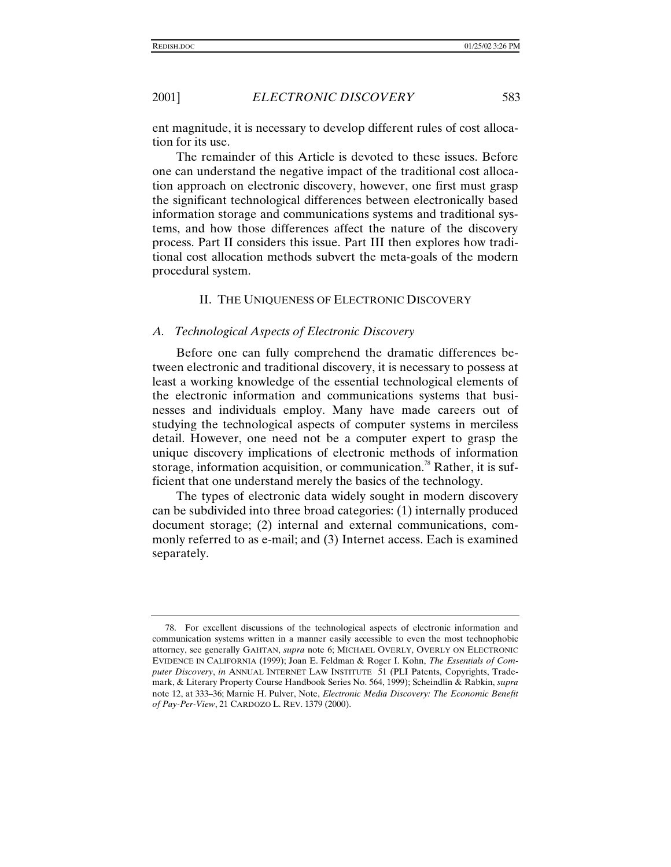ent magnitude, it is necessary to develop different rules of cost allocation for its use.

The remainder of this Article is devoted to these issues. Before one can understand the negative impact of the traditional cost allocation approach on electronic discovery, however, one first must grasp the significant technological differences between electronically based information storage and communications systems and traditional systems, and how those differences affect the nature of the discovery process. Part II considers this issue. Part III then explores how traditional cost allocation methods subvert the meta-goals of the modern procedural system.

#### II. THE UNIQUENESS OF ELECTRONIC DISCOVERY

#### *A. Technological Aspects of Electronic Discovery*

Before one can fully comprehend the dramatic differences between electronic and traditional discovery, it is necessary to possess at least a working knowledge of the essential technological elements of the electronic information and communications systems that businesses and individuals employ. Many have made careers out of studying the technological aspects of computer systems in merciless detail. However, one need not be a computer expert to grasp the unique discovery implications of electronic methods of information storage, information acquisition, or communication.<sup>78</sup> Rather, it is sufficient that one understand merely the basics of the technology.

The types of electronic data widely sought in modern discovery can be subdivided into three broad categories: (1) internally produced document storage; (2) internal and external communications, commonly referred to as e-mail; and (3) Internet access. Each is examined separately.

<sup>78.</sup> For excellent discussions of the technological aspects of electronic information and communication systems written in a manner easily accessible to even the most technophobic attorney, see generally GAHTAN, *supra* note 6; MICHAEL OVERLY, OVERLY ON ELECTRONIC EVIDENCE IN CALIFORNIA (1999); Joan E. Feldman & Roger I. Kohn, *The Essentials of Computer Discovery*, *in* ANNUAL INTERNET LAW INSTITUTE 51 (PLI Patents, Copyrights, Trademark, & Literary Property Course Handbook Series No. 564, 1999); Scheindlin & Rabkin, *supra* note 12, at 333–36; Marnie H. Pulver, Note, *Electronic Media Discovery: The Economic Benefit of Pay-Per-View*, 21 CARDOZO L. REV. 1379 (2000).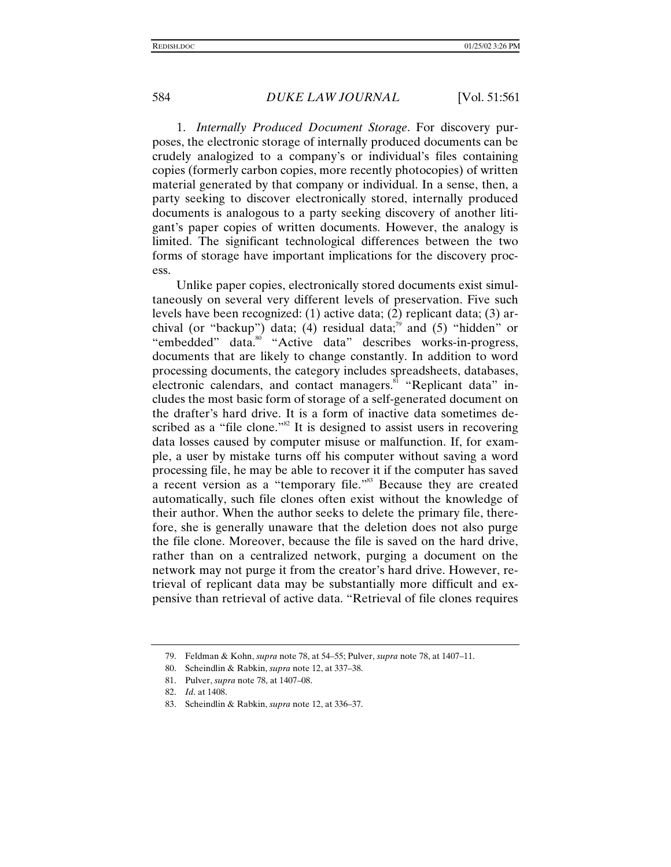1. *Internally Produced Document Storage*. For discovery purposes, the electronic storage of internally produced documents can be crudely analogized to a company's or individual's files containing copies (formerly carbon copies, more recently photocopies) of written material generated by that company or individual. In a sense, then, a party seeking to discover electronically stored, internally produced documents is analogous to a party seeking discovery of another litigant's paper copies of written documents. However, the analogy is limited. The significant technological differences between the two forms of storage have important implications for the discovery process.

Unlike paper copies, electronically stored documents exist simultaneously on several very different levels of preservation. Five such levels have been recognized: (1) active data; (2) replicant data; (3) archival (or "backup") data; (4) residual data; $\binom{79}{1}$  and (5) "hidden" or "embedded" data.<sup>80</sup> "Active data" describes works-in-progress, documents that are likely to change constantly. In addition to word processing documents, the category includes spreadsheets, databases, electronic calendars, and contact managers.<sup>81</sup> "Replicant data" includes the most basic form of storage of a self-generated document on the drafter's hard drive. It is a form of inactive data sometimes described as a "file clone."<sup>82</sup> It is designed to assist users in recovering data losses caused by computer misuse or malfunction. If, for example, a user by mistake turns off his computer without saving a word processing file, he may be able to recover it if the computer has saved a recent version as a "temporary file."<sup>83</sup> Because they are created automatically, such file clones often exist without the knowledge of their author. When the author seeks to delete the primary file, therefore, she is generally unaware that the deletion does not also purge the file clone. Moreover, because the file is saved on the hard drive, rather than on a centralized network, purging a document on the network may not purge it from the creator's hard drive. However, retrieval of replicant data may be substantially more difficult and expensive than retrieval of active data. "Retrieval of file clones requires

<sup>79.</sup> Feldman & Kohn, *supra* note 78, at 54–55; Pulver, *supra* note 78, at 1407–11.

<sup>80.</sup> Scheindlin & Rabkin, *supra* note 12, at 337–38.

<sup>81.</sup> Pulver, *supra* note 78, at 1407–08.

<sup>82.</sup> *Id*. at 1408.

<sup>83.</sup> Scheindlin & Rabkin, *supra* note 12, at 336–37.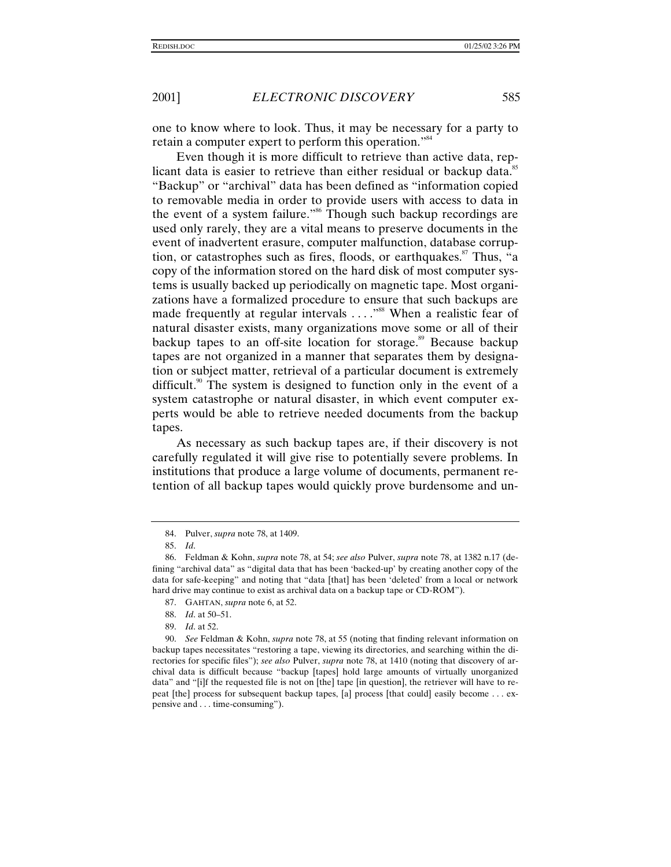one to know where to look. Thus, it may be necessary for a party to retain a computer expert to perform this operation."<sup>84</sup>

Even though it is more difficult to retrieve than active data, replicant data is easier to retrieve than either residual or backup data.<sup>85</sup> "Backup" or "archival" data has been defined as "information copied to removable media in order to provide users with access to data in the event of a system failure."<sup>86</sup> Though such backup recordings are used only rarely, they are a vital means to preserve documents in the event of inadvertent erasure, computer malfunction, database corruption, or catastrophes such as fires, floods, or earthquakes.<sup>87</sup> Thus, "a copy of the information stored on the hard disk of most computer systems is usually backed up periodically on magnetic tape. Most organizations have a formalized procedure to ensure that such backups are made frequently at regular intervals ...."<sup>88</sup> When a realistic fear of natural disaster exists, many organizations move some or all of their backup tapes to an off-site location for storage.<sup>89</sup> Because backup tapes are not organized in a manner that separates them by designation or subject matter, retrieval of a particular document is extremely difficult.<sup>90</sup> The system is designed to function only in the event of a system catastrophe or natural disaster, in which event computer experts would be able to retrieve needed documents from the backup tapes.

As necessary as such backup tapes are, if their discovery is not carefully regulated it will give rise to potentially severe problems. In institutions that produce a large volume of documents, permanent retention of all backup tapes would quickly prove burdensome and un-

- 88. *Id*. at 50–51.
- 89. *Id*. at 52.

<sup>84.</sup> Pulver, *supra* note 78, at 1409.

<sup>85.</sup> *Id*.

<sup>86.</sup> Feldman & Kohn, *supra* note 78, at 54; *see also* Pulver, *supra* note 78, at 1382 n.17 (defining "archival data" as "digital data that has been 'backed-up' by creating another copy of the data for safe-keeping" and noting that "data [that] has been 'deleted' from a local or network hard drive may continue to exist as archival data on a backup tape or CD-ROM").

<sup>87.</sup> GAHTAN, *supra* note 6, at 52.

<sup>90.</sup> *See* Feldman & Kohn, *supra* note 78, at 55 (noting that finding relevant information on backup tapes necessitates "restoring a tape, viewing its directories, and searching within the directories for specific files"); *see also* Pulver, *supra* note 78, at 1410 (noting that discovery of archival data is difficult because "backup [tapes] hold large amounts of virtually unorganized data" and "[i]f the requested file is not on [the] tape [in question], the retriever will have to repeat [the] process for subsequent backup tapes, [a] process [that could] easily become . . . expensive and . . . time-consuming").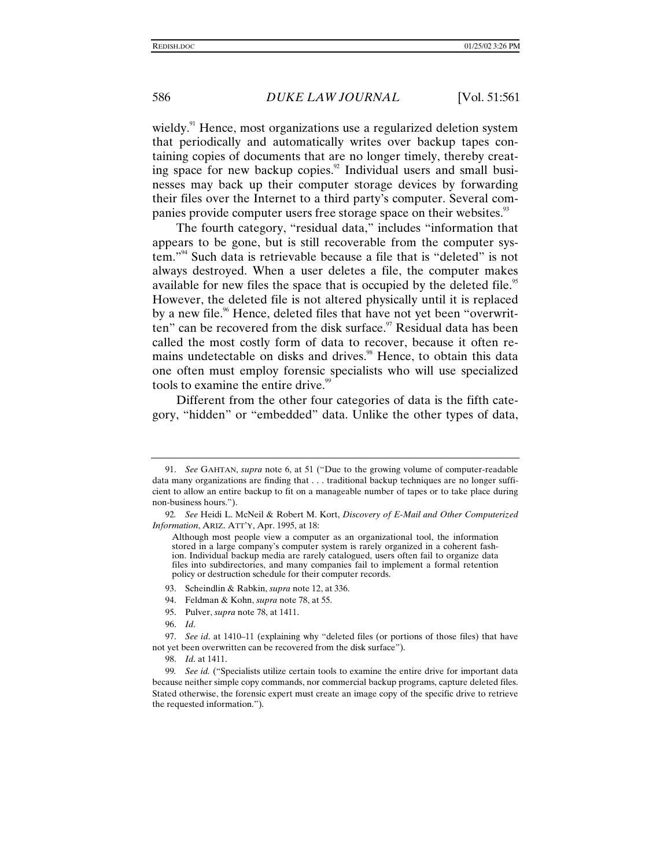wieldy.<sup>91</sup> Hence, most organizations use a regularized deletion system that periodically and automatically writes over backup tapes containing copies of documents that are no longer timely, thereby creating space for new backup copies. $\frac{92}{2}$  Individual users and small businesses may back up their computer storage devices by forwarding their files over the Internet to a third party's computer. Several companies provide computer users free storage space on their websites.<sup>93</sup>

The fourth category, "residual data," includes "information that appears to be gone, but is still recoverable from the computer system." 94 Such data is retrievable because a file that is "deleted" is not always destroyed. When a user deletes a file, the computer makes available for new files the space that is occupied by the deleted file.<sup>95</sup> However, the deleted file is not altered physically until it is replaced by a new file.<sup>96</sup> Hence, deleted files that have not yet been "overwritten" can be recovered from the disk surface. $\frac{97}{7}$  Residual data has been called the most costly form of data to recover, because it often remains undetectable on disks and drives.<sup>98</sup> Hence, to obtain this data one often must employ forensic specialists who will use specialized tools to examine the entire drive.<sup>99</sup>

Different from the other four categories of data is the fifth category, "hidden" or "embedded" data. Unlike the other types of data,

<sup>91.</sup> *See* GAHTAN, *supra* note 6, at 51 ("Due to the growing volume of computer-readable data many organizations are finding that . . . traditional backup techniques are no longer sufficient to allow an entire backup to fit on a manageable number of tapes or to take place during non-business hours.").

<sup>92</sup>*. See* Heidi L. McNeil & Robert M. Kort, *Discovery of E-Mail and Other Computerized Information*, ARIZ. ATT'Y, Apr. 1995, at 18:

Although most people view a computer as an organizational tool, the information stored in a large company's computer system is rarely organized in a coherent fashion. Individual backup media are rarely catalogued, users often fail to organize data files into subdirectories, and many companies fail to implement a formal retention policy or destruction schedule for their computer records.

<sup>93.</sup> Scheindlin & Rabkin, *supra* note 12, at 336.

<sup>94.</sup> Feldman & Kohn, *supra* note 78, at 55.

<sup>95.</sup> Pulver, *supra* note 78, at 1411.

<sup>96.</sup> *Id*.

<sup>97.</sup> *See id*. at 1410–11 (explaining why "deleted files (or portions of those files) that have not yet been overwritten can be recovered from the disk surface").

<sup>98.</sup> *Id*. at 1411.

<sup>99</sup>*. See id.* ("Specialists utilize certain tools to examine the entire drive for important data because neither simple copy commands, nor commercial backup programs, capture deleted files. Stated otherwise, the forensic expert must create an image copy of the specific drive to retrieve the requested information.").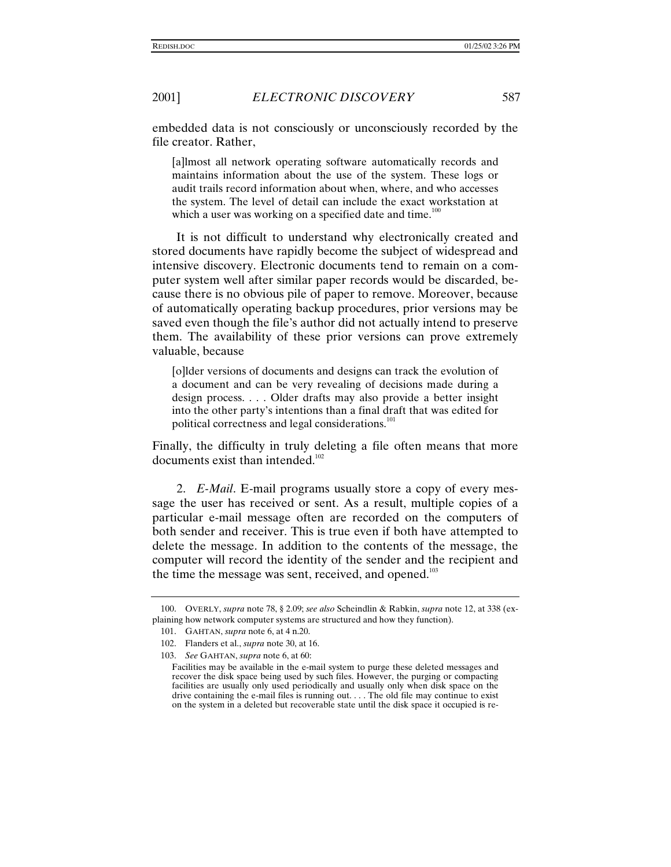embedded data is not consciously or unconsciously recorded by the file creator. Rather,

[a]lmost all network operating software automatically records and maintains information about the use of the system. These logs or audit trails record information about when, where, and who accesses the system. The level of detail can include the exact workstation at which a user was working on a specified date and time. $100$ 

It is not difficult to understand why electronically created and stored documents have rapidly become the subject of widespread and intensive discovery. Electronic documents tend to remain on a computer system well after similar paper records would be discarded, because there is no obvious pile of paper to remove. Moreover, because of automatically operating backup procedures, prior versions may be saved even though the file's author did not actually intend to preserve them. The availability of these prior versions can prove extremely valuable, because

[o]lder versions of documents and designs can track the evolution of a document and can be very revealing of decisions made during a design process. . . . Older drafts may also provide a better insight into the other party's intentions than a final draft that was edited for political correctness and legal considerations. $101$ 

Finally, the difficulty in truly deleting a file often means that more documents exist than intended.<sup>102</sup>

2. *E-Mail*. E-mail programs usually store a copy of every message the user has received or sent. As a result, multiple copies of a particular e-mail message often are recorded on the computers of both sender and receiver. This is true even if both have attempted to delete the message. In addition to the contents of the message, the computer will record the identity of the sender and the recipient and the time the message was sent, received, and opened.<sup>103</sup>

<sup>100.</sup> OVERLY, *supra* note 78, § 2.09; *see also* Scheindlin & Rabkin, *supra* note 12, at 338 (explaining how network computer systems are structured and how they function).

<sup>101.</sup> GAHTAN, *supra* note 6, at 4 n.20.

<sup>102.</sup> Flanders et al., *supra* note 30, at 16.

<sup>103.</sup> *See* GAHTAN, *supra* note 6, at 60:

Facilities may be available in the e-mail system to purge these deleted messages and recover the disk space being used by such files. However, the purging or compacting facilities are usually only used periodically and usually only when disk space on the drive containing the e-mail files is running out. . . . The old file may continue to exist on the system in a deleted but recoverable state until the disk space it occupied is re-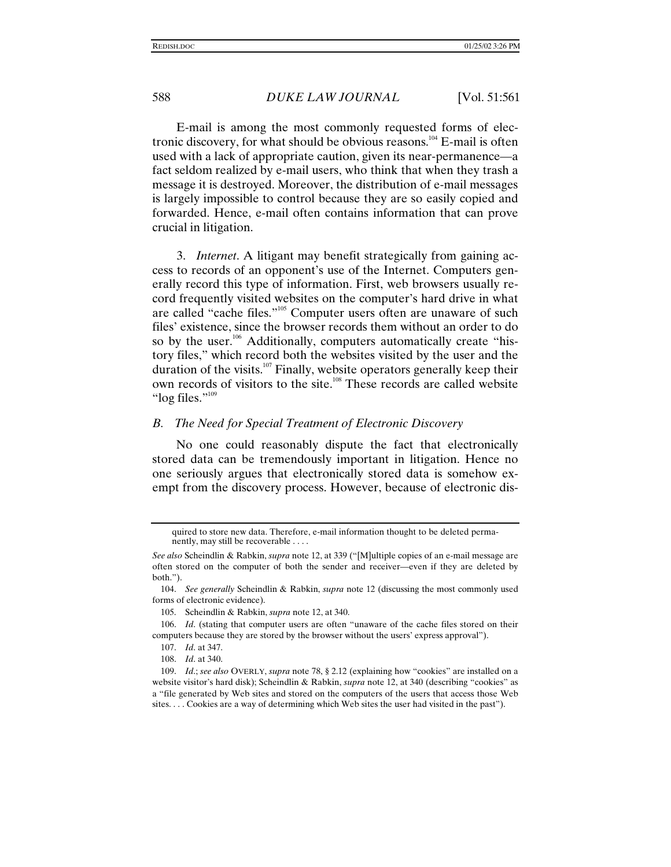E-mail is among the most commonly requested forms of electronic discovery, for what should be obvious reasons.<sup>104</sup> E-mail is often used with a lack of appropriate caution, given its near-permanence—a fact seldom realized by e-mail users, who think that when they trash a message it is destroyed. Moreover, the distribution of e-mail messages is largely impossible to control because they are so easily copied and forwarded. Hence, e-mail often contains information that can prove crucial in litigation.

3. *Internet*. A litigant may benefit strategically from gaining access to records of an opponent's use of the Internet. Computers generally record this type of information. First, web browsers usually record frequently visited websites on the computer's hard drive in what are called "cache files."<sup>105</sup> Computer users often are unaware of such files' existence, since the browser records them without an order to do so by the user.<sup>106</sup> Additionally, computers automatically create "history files," which record both the websites visited by the user and the duration of the visits.<sup>107</sup> Finally, website operators generally keep their own records of visitors to the site.<sup>108</sup> These records are called website "log files."<sup>109</sup>

#### *B. The Need for Special Treatment of Electronic Discovery*

No one could reasonably dispute the fact that electronically stored data can be tremendously important in litigation. Hence no one seriously argues that electronically stored data is somehow exempt from the discovery process. However, because of electronic dis-

105. Scheindlin & Rabkin, *supra* note 12, at 340.

106. *Id*. (stating that computer users are often "unaware of the cache files stored on their computers because they are stored by the browser without the users' express approval").

quired to store new data. Therefore, e-mail information thought to be deleted permanently, may still be recoverable . . . .

*See also* Scheindlin & Rabkin, *supra* note 12, at 339 ("[M]ultiple copies of an e-mail message are often stored on the computer of both the sender and receiver—even if they are deleted by both.").

<sup>104.</sup> *See generally* Scheindlin & Rabkin, *supra* note 12 (discussing the most commonly used forms of electronic evidence).

<sup>107.</sup> *Id*. at 347.

<sup>108.</sup> *Id*. at 340.

<sup>109.</sup> *Id*.; *see also* OVERLY, *supra* note 78, § 2.12 (explaining how "cookies" are installed on a website visitor's hard disk); Scheindlin & Rabkin, *supra* note 12, at 340 (describing "cookies" as a "file generated by Web sites and stored on the computers of the users that access those Web sites. . . . Cookies are a way of determining which Web sites the user had visited in the past").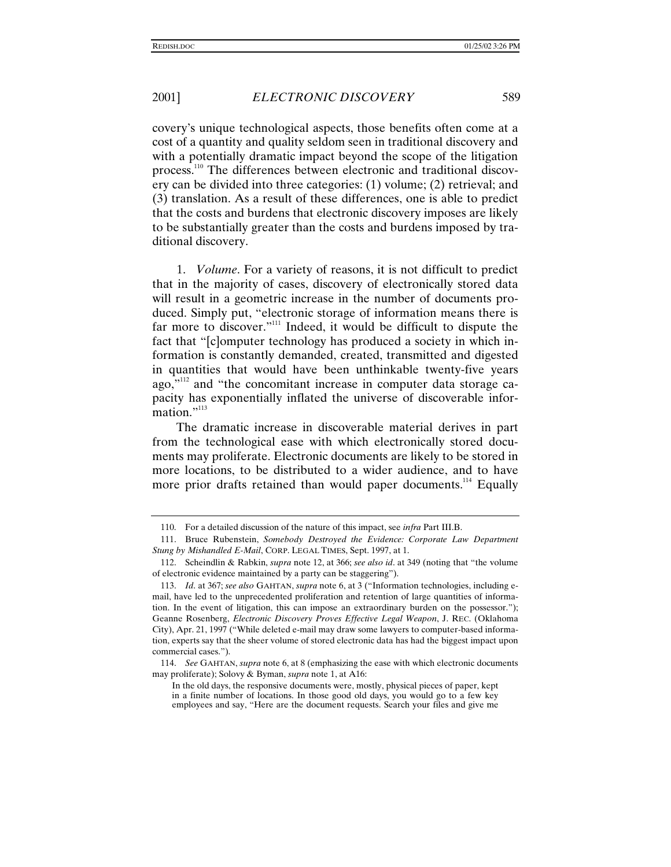covery's unique technological aspects, those benefits often come at a cost of a quantity and quality seldom seen in traditional discovery and with a potentially dramatic impact beyond the scope of the litigation process.<sup>110</sup> The differences between electronic and traditional discovery can be divided into three categories: (1) volume; (2) retrieval; and (3) translation. As a result of these differences, one is able to predict that the costs and burdens that electronic discovery imposes are likely to be substantially greater than the costs and burdens imposed by traditional discovery.

1. *Volume*. For a variety of reasons, it is not difficult to predict that in the majority of cases, discovery of electronically stored data will result in a geometric increase in the number of documents produced. Simply put, "electronic storage of information means there is far more to discover."<sup>111</sup> Indeed, it would be difficult to dispute the fact that "[c]omputer technology has produced a society in which information is constantly demanded, created, transmitted and digested in quantities that would have been unthinkable twenty-five years ago,"<sup>112</sup> and "the concomitant increase in computer data storage capacity has exponentially inflated the universe of discoverable information."<sup>113</sup>

The dramatic increase in discoverable material derives in part from the technological ease with which electronically stored documents may proliferate. Electronic documents are likely to be stored in more locations, to be distributed to a wider audience, and to have more prior drafts retained than would paper documents.<sup>114</sup> Equally

<sup>110.</sup> For a detailed discussion of the nature of this impact, see *infra* Part III.B.

<sup>111.</sup> Bruce Rubenstein, *Somebody Destroyed the Evidence: Corporate Law Department Stung by Mishandled E-Mail*, CORP. LEGAL TIMES, Sept. 1997, at 1.

<sup>112.</sup> Scheindlin & Rabkin, *supra* note 12, at 366; *see also id*. at 349 (noting that "the volume of electronic evidence maintained by a party can be staggering").

<sup>113.</sup> *Id*. at 367; *see also* GAHTAN, *supra* note 6, at 3 ("Information technologies, including email, have led to the unprecedented proliferation and retention of large quantities of information. In the event of litigation, this can impose an extraordinary burden on the possessor."); Geanne Rosenberg, *Electronic Discovery Proves Effective Legal Weapon*, J. REC. (Oklahoma City), Apr. 21, 1997 ("While deleted e-mail may draw some lawyers to computer-based information, experts say that the sheer volume of stored electronic data has had the biggest impact upon commercial cases.").

<sup>114.</sup> *See* GAHTAN, *supra* note 6, at 8 (emphasizing the ease with which electronic documents may proliferate); Solovy & Byman, *supra* note 1, at A16:

In the old days, the responsive documents were, mostly, physical pieces of paper, kept in a finite number of locations. In those good old days, you would go to a few key employees and say, "Here are the document requests. Search your files and give me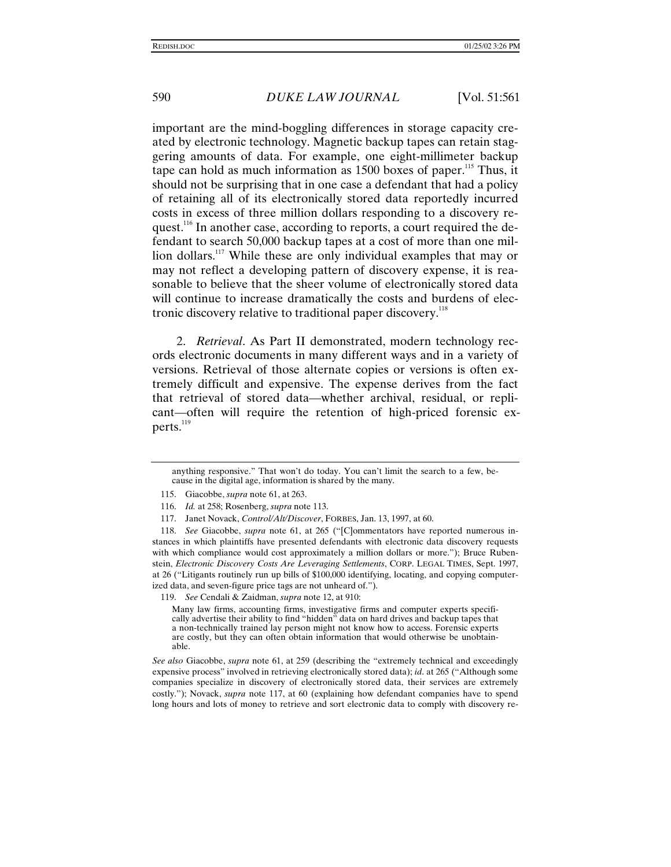important are the mind-boggling differences in storage capacity created by electronic technology. Magnetic backup tapes can retain staggering amounts of data. For example, one eight-millimeter backup tape can hold as much information as 1500 boxes of paper.<sup>115</sup> Thus, it should not be surprising that in one case a defendant that had a policy of retaining all of its electronically stored data reportedly incurred costs in excess of three million dollars responding to a discovery request.<sup>116</sup> In another case, according to reports, a court required the defendant to search 50,000 backup tapes at a cost of more than one million dollars.<sup>117</sup> While these are only individual examples that may or may not reflect a developing pattern of discovery expense, it is reasonable to believe that the sheer volume of electronically stored data will continue to increase dramatically the costs and burdens of electronic discovery relative to traditional paper discovery.<sup>118</sup>

2. *Retrieval*. As Part II demonstrated, modern technology records electronic documents in many different ways and in a variety of versions. Retrieval of those alternate copies or versions is often extremely difficult and expensive. The expense derives from the fact that retrieval of stored data—whether archival, residual, or replicant—often will require the retention of high-priced forensic experts. $^{119}$ 

119. *See* Cendali & Zaidman, *supra* note 12, at 910:

Many law firms, accounting firms, investigative firms and computer experts specifically advertise their ability to find "hidden" data on hard drives and backup tapes that a non-technically trained lay person might not know how to access. Forensic experts are costly, but they can often obtain information that would otherwise be unobtainable.

*See also* Giacobbe, *supra* note 61, at 259 (describing the "extremely technical and exceedingly expensive process" involved in retrieving electronically stored data); *id*. at 265 ("Although some companies specialize in discovery of electronically stored data, their services are extremely costly."); Novack, *supra* note 117, at 60 (explaining how defendant companies have to spend long hours and lots of money to retrieve and sort electronic data to comply with discovery re-

anything responsive." That won't do today. You can't limit the search to a few, because in the digital age, information is shared by the many.

<sup>115.</sup> Giacobbe, *supra* note 61, at 263.

<sup>116.</sup> *Id.* at 258; Rosenberg, *supra* note 113.

<sup>117.</sup> Janet Novack, *Control/Alt/Discover*, FORBES, Jan. 13, 1997, at 60.

<sup>118.</sup> *See* Giacobbe, *supra* note 61, at 265 ("[C]ommentators have reported numerous instances in which plaintiffs have presented defendants with electronic data discovery requests with which compliance would cost approximately a million dollars or more."); Bruce Rubenstein, *Electronic Discovery Costs Are Leveraging Settlements*, CORP. LEGAL TIMES, Sept. 1997, at 26 ("Litigants routinely run up bills of \$100,000 identifying, locating, and copying computerized data, and seven-figure price tags are not unheard of.").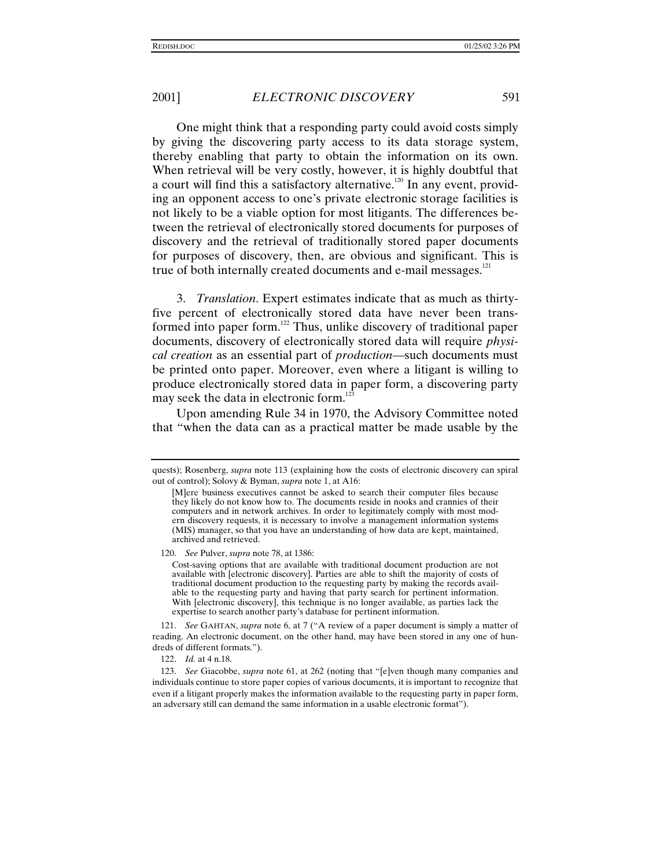One might think that a responding party could avoid costs simply by giving the discovering party access to its data storage system, thereby enabling that party to obtain the information on its own. When retrieval will be very costly, however, it is highly doubtful that a court will find this a satisfactory alternative.<sup>120</sup> In any event, providing an opponent access to one's private electronic storage facilities is not likely to be a viable option for most litigants. The differences between the retrieval of electronically stored documents for purposes of discovery and the retrieval of traditionally stored paper documents for purposes of discovery, then, are obvious and significant. This is true of both internally created documents and  $e$ -mail messages.<sup>121</sup>

3. *Translation*. Expert estimates indicate that as much as thirtyfive percent of electronically stored data have never been transformed into paper form.<sup>122</sup> Thus, unlike discovery of traditional paper documents, discovery of electronically stored data will require *physical creation* as an essential part of *production*—such documents must be printed onto paper. Moreover, even where a litigant is willing to produce electronically stored data in paper form, a discovering party may seek the data in electronic form.<sup>1</sup>

Upon amending Rule 34 in 1970, the Advisory Committee noted that "when the data can as a practical matter be made usable by the

120. *See* Pulver, *supra* note 78, at 1386:

Cost-saving options that are available with traditional document production are not available with [electronic discovery]. Parties are able to shift the majority of costs of traditional document production to the requesting party by making the records available to the requesting party and having that party search for pertinent information. With [electronic discovery], this technique is no longer available, as parties lack the expertise to search another party's database for pertinent information.

121. *See* GAHTAN, *supra* note 6, at 7 ("A review of a paper document is simply a matter of reading. An electronic document, on the other hand, may have been stored in any one of hundreds of different formats.").

122. *Id.* at 4 n.18.

123. *See* Giacobbe, *supra* note 61, at 262 (noting that "[e]ven though many companies and individuals continue to store paper copies of various documents, it is important to recognize that even if a litigant properly makes the information available to the requesting party in paper form, an adversary still can demand the same information in a usable electronic format").

quests); Rosenberg, *supra* note 113 (explaining how the costs of electronic discovery can spiral out of control); Solovy & Byman, *supra* note 1, at A16:

<sup>[</sup>M]ere business executives cannot be asked to search their computer files because they likely do not know how to. The documents reside in nooks and crannies of their computers and in network archives. In order to legitimately comply with most modern discovery requests, it is necessary to involve a management information systems (MIS) manager, so that you have an understanding of how data are kept, maintained, archived and retrieved.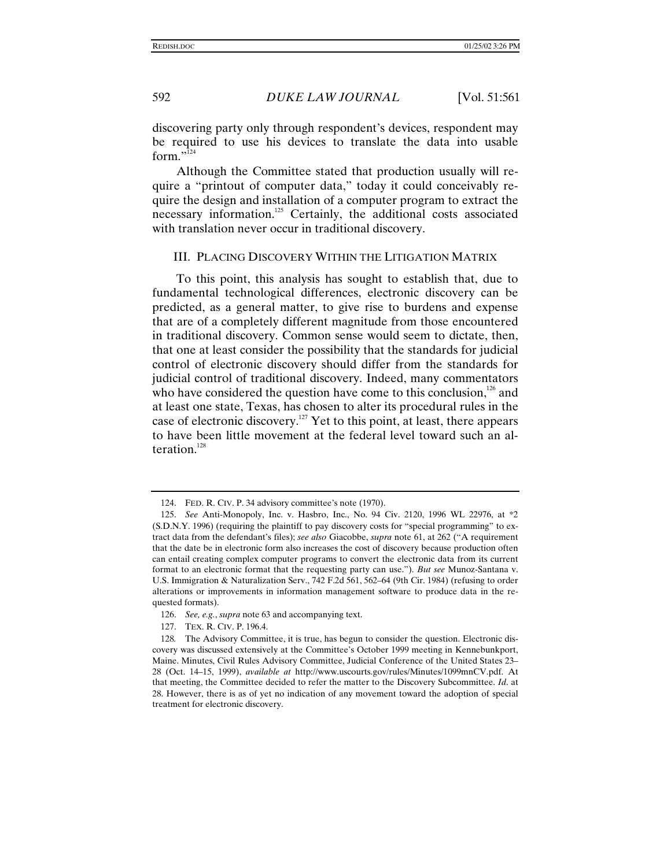discovering party only through respondent's devices, respondent may be required to use his devices to translate the data into usable form."<sup>124</sup>

Although the Committee stated that production usually will require a "printout of computer data," today it could conceivably require the design and installation of a computer program to extract the necessary information.125 Certainly, the additional costs associated with translation never occur in traditional discovery.

#### III. PLACING DISCOVERY WITHIN THE LITIGATION MATRIX

To this point, this analysis has sought to establish that, due to fundamental technological differences, electronic discovery can be predicted, as a general matter, to give rise to burdens and expense that are of a completely different magnitude from those encountered in traditional discovery. Common sense would seem to dictate, then, that one at least consider the possibility that the standards for judicial control of electronic discovery should differ from the standards for judicial control of traditional discovery. Indeed, many commentators who have considered the question have come to this conclusion, $126$  and at least one state, Texas, has chosen to alter its procedural rules in the case of electronic discovery.<sup>127</sup> Yet to this point, at least, there appears to have been little movement at the federal level toward such an alteration.<sup>128</sup>

<sup>124.</sup> FED. R. CIV. P. 34 advisory committee's note (1970).

<sup>125.</sup> *See* Anti-Monopoly, Inc. v. Hasbro, Inc., No. 94 Civ. 2120, 1996 WL 22976, at \*2 (S.D.N.Y. 1996) (requiring the plaintiff to pay discovery costs for "special programming" to extract data from the defendant's files); *see also* Giacobbe, *supra* note 61, at 262 ("A requirement that the date be in electronic form also increases the cost of discovery because production often can entail creating complex computer programs to convert the electronic data from its current format to an electronic format that the requesting party can use."). *But see* Munoz-Santana v. U.S. Immigration & Naturalization Serv., 742 F.2d 561, 562–64 (9th Cir. 1984) (refusing to order alterations or improvements in information management software to produce data in the requested formats).

<sup>126.</sup> *See, e.g.*, *supra* note 63 and accompanying text.

<sup>127.</sup> TEX. R. CIV. P. 196.4.

<sup>128</sup>*.* The Advisory Committee, it is true, has begun to consider the question. Electronic discovery was discussed extensively at the Committee's October 1999 meeting in Kennebunkport, Maine. Minutes, Civil Rules Advisory Committee, Judicial Conference of the United States 23– 28 (Oct. 14–15, 1999), *available at* http://www.uscourts.gov/rules/Minutes/1099mnCV.pdf. At that meeting, the Committee decided to refer the matter to the Discovery Subcommittee. *Id*. at 28. However, there is as of yet no indication of any movement toward the adoption of special treatment for electronic discovery.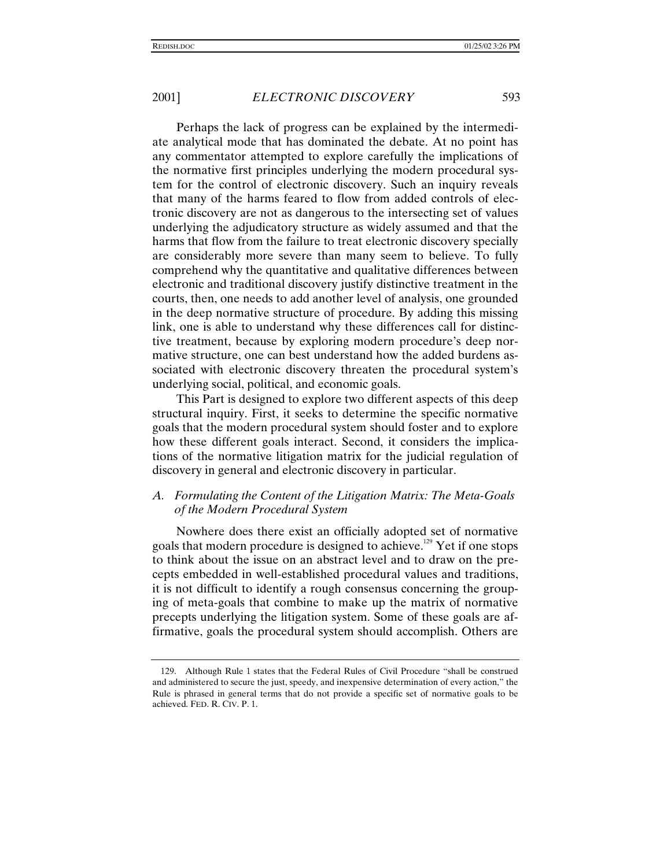Perhaps the lack of progress can be explained by the intermediate analytical mode that has dominated the debate. At no point has any commentator attempted to explore carefully the implications of the normative first principles underlying the modern procedural system for the control of electronic discovery. Such an inquiry reveals that many of the harms feared to flow from added controls of electronic discovery are not as dangerous to the intersecting set of values underlying the adjudicatory structure as widely assumed and that the harms that flow from the failure to treat electronic discovery specially are considerably more severe than many seem to believe. To fully comprehend why the quantitative and qualitative differences between electronic and traditional discovery justify distinctive treatment in the courts, then, one needs to add another level of analysis, one grounded in the deep normative structure of procedure. By adding this missing link, one is able to understand why these differences call for distinctive treatment, because by exploring modern procedure's deep normative structure, one can best understand how the added burdens associated with electronic discovery threaten the procedural system's underlying social, political, and economic goals.

This Part is designed to explore two different aspects of this deep structural inquiry. First, it seeks to determine the specific normative goals that the modern procedural system should foster and to explore how these different goals interact. Second, it considers the implications of the normative litigation matrix for the judicial regulation of discovery in general and electronic discovery in particular.

# *A. Formulating the Content of the Litigation Matrix: The Meta-Goals of the Modern Procedural System*

Nowhere does there exist an officially adopted set of normative goals that modern procedure is designed to achieve.<sup>129</sup> Yet if one stops to think about the issue on an abstract level and to draw on the precepts embedded in well-established procedural values and traditions, it is not difficult to identify a rough consensus concerning the grouping of meta-goals that combine to make up the matrix of normative precepts underlying the litigation system. Some of these goals are affirmative, goals the procedural system should accomplish. Others are

<sup>129.</sup> Although Rule 1 states that the Federal Rules of Civil Procedure "shall be construed and administered to secure the just, speedy, and inexpensive determination of every action," the Rule is phrased in general terms that do not provide a specific set of normative goals to be achieved. FED. R. CIV. P. 1.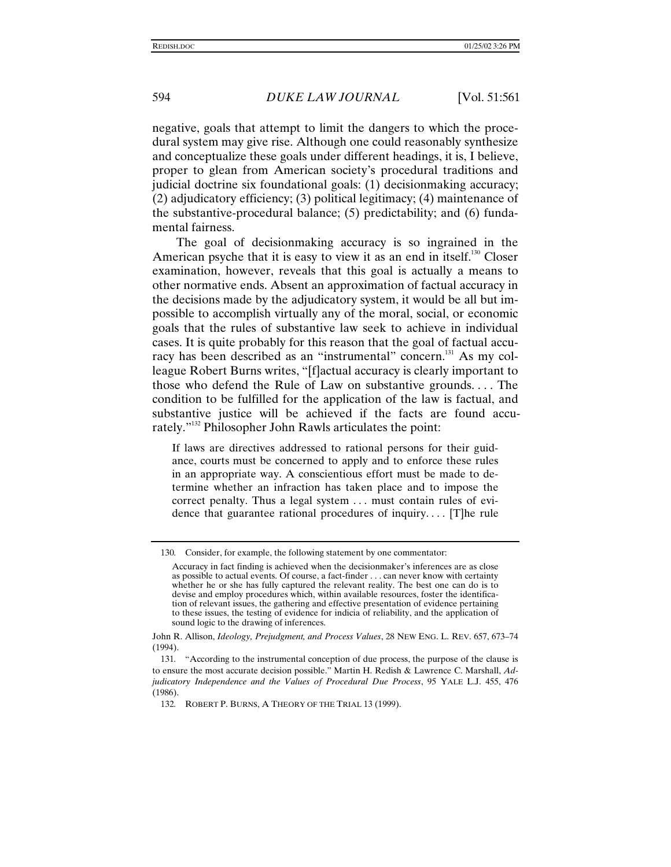negative, goals that attempt to limit the dangers to which the procedural system may give rise. Although one could reasonably synthesize and conceptualize these goals under different headings, it is, I believe, proper to glean from American society's procedural traditions and judicial doctrine six foundational goals: (1) decisionmaking accuracy; (2) adjudicatory efficiency; (3) political legitimacy; (4) maintenance of the substantive-procedural balance; (5) predictability; and (6) fundamental fairness.

The goal of decisionmaking accuracy is so ingrained in the American psyche that it is easy to view it as an end in itself.<sup>130</sup> Closer examination, however, reveals that this goal is actually a means to other normative ends. Absent an approximation of factual accuracy in the decisions made by the adjudicatory system, it would be all but impossible to accomplish virtually any of the moral, social, or economic goals that the rules of substantive law seek to achieve in individual cases. It is quite probably for this reason that the goal of factual accuracy has been described as an "instrumental" concern.<sup>131</sup> As my colleague Robert Burns writes, "[f]actual accuracy is clearly important to those who defend the Rule of Law on substantive grounds. . . . The condition to be fulfilled for the application of the law is factual, and substantive justice will be achieved if the facts are found accurately." 132 Philosopher John Rawls articulates the point:

If laws are directives addressed to rational persons for their guidance, courts must be concerned to apply and to enforce these rules in an appropriate way. A conscientious effort must be made to determine whether an infraction has taken place and to impose the correct penalty. Thus a legal system . . . must contain rules of evidence that guarantee rational procedures of inquiry. . . . [T]he rule

<sup>130</sup>*.* Consider, for example, the following statement by one commentator:

Accuracy in fact finding is achieved when the decisionmaker's inferences are as close as possible to actual events. Of course, a fact-finder . . . can never know with certainty whether he or she has fully captured the relevant reality. The best one can do is to devise and employ procedures which, within available resources, foster the identification of relevant issues, the gathering and effective presentation of evidence pertaining to these issues, the testing of evidence for indicia of reliability, and the application of sound logic to the drawing of inferences.

John R. Allison, *Ideology, Prejudgment, and Process Values*, 28 NEW ENG. L. REV. 657, 673–74 (1994).

<sup>131</sup>*.* "According to the instrumental conception of due process, the purpose of the clause is to ensure the most accurate decision possible." Martin H. Redish & Lawrence C. Marshall, *Adjudicatory Independence and the Values of Procedural Due Process*, 95 YALE L.J. 455, 476 (1986).

<sup>132</sup>*.* ROBERT P. BURNS, A THEORY OF THE TRIAL 13 (1999).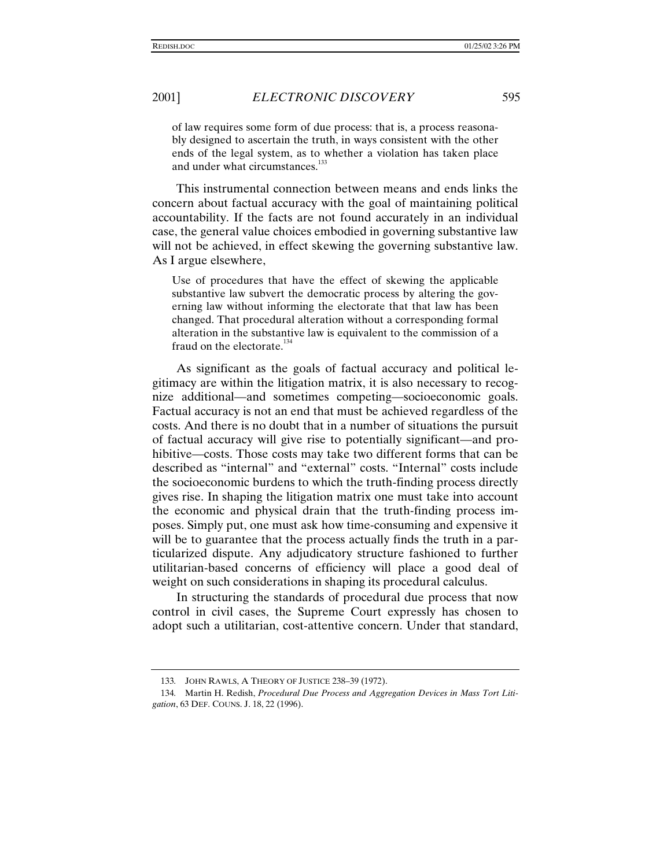of law requires some form of due process: that is, a process reasonably designed to ascertain the truth, in ways consistent with the other ends of the legal system, as to whether a violation has taken place and under what circumstances.<sup>133</sup>

This instrumental connection between means and ends links the concern about factual accuracy with the goal of maintaining political accountability. If the facts are not found accurately in an individual case, the general value choices embodied in governing substantive law will not be achieved, in effect skewing the governing substantive law. As I argue elsewhere,

Use of procedures that have the effect of skewing the applicable substantive law subvert the democratic process by altering the governing law without informing the electorate that that law has been changed. That procedural alteration without a corresponding formal alteration in the substantive law is equivalent to the commission of a fraud on the electorate.<sup>134</sup>

As significant as the goals of factual accuracy and political legitimacy are within the litigation matrix, it is also necessary to recognize additional—and sometimes competing—socioeconomic goals. Factual accuracy is not an end that must be achieved regardless of the costs. And there is no doubt that in a number of situations the pursuit of factual accuracy will give rise to potentially significant—and prohibitive—costs. Those costs may take two different forms that can be described as "internal" and "external" costs. "Internal" costs include the socioeconomic burdens to which the truth-finding process directly gives rise. In shaping the litigation matrix one must take into account the economic and physical drain that the truth-finding process imposes. Simply put, one must ask how time-consuming and expensive it will be to guarantee that the process actually finds the truth in a particularized dispute. Any adjudicatory structure fashioned to further utilitarian-based concerns of efficiency will place a good deal of weight on such considerations in shaping its procedural calculus.

In structuring the standards of procedural due process that now control in civil cases, the Supreme Court expressly has chosen to adopt such a utilitarian, cost-attentive concern. Under that standard,

<sup>133</sup>*.* JOHN RAWLS, A THEORY OF JUSTICE 238–39 (1972).

<sup>134</sup>*.* Martin H. Redish, *Procedural Due Process and Aggregation Devices in Mass Tort Litigation*, 63 DEF. COUNS. J. 18, 22 (1996).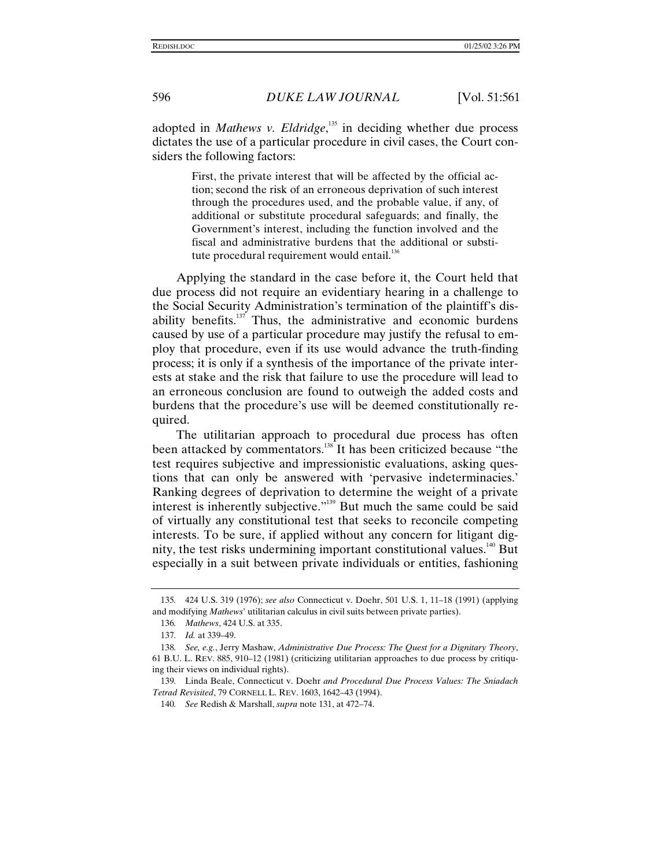adopted in *Mathews v. Eldridge*,<sup>135</sup> in deciding whether due process dictates the use of a particular procedure in civil cases, the Court considers the following factors:

> First, the private interest that will be affected by the official action; second the risk of an erroneous deprivation of such interest through the procedures used, and the probable value, if any, of additional or substitute procedural safeguards; and finally, the Government's interest, including the function involved and the fiscal and administrative burdens that the additional or substitute procedural requirement would entail. $136$

Applying the standard in the case before it, the Court held that due process did not require an evidentiary hearing in a challenge to the Social Security Administration's termination of the plaintiff's disability benefits. $137$  Thus, the administrative and economic burdens caused by use of a particular procedure may justify the refusal to employ that procedure, even if its use would advance the truth-finding process; it is only if a synthesis of the importance of the private interests at stake and the risk that failure to use the procedure will lead to an erroneous conclusion are found to outweigh the added costs and burdens that the procedure's use will be deemed constitutionally required.

The utilitarian approach to procedural due process has often been attacked by commentators.<sup>138</sup> It has been criticized because "the test requires subjective and impressionistic evaluations, asking questions that can only be answered with 'pervasive indeterminacies.' Ranking degrees of deprivation to determine the weight of a private interest is inherently subjective."<sup>139</sup> But much the same could be said of virtually any constitutional test that seeks to reconcile competing interests. To be sure, if applied without any concern for litigant dignity, the test risks undermining important constitutional values.<sup>140</sup> But especially in a suit between private individuals or entities, fashioning

<sup>135</sup>*.* 424 U.S. 319 (1976); *see also* Connecticut v. Doehr, 501 U.S. 1, 11–18 (1991) (applying and modifying *Mathews*' utilitarian calculus in civil suits between private parties).

<sup>136</sup>*. Mathews*, 424 U.S. at 335.

<sup>137</sup>*. Id.* at 339–49.

<sup>138</sup>*. See, e.g.*, Jerry Mashaw, *Administrative Due Process: The Quest for a Dignitary Theory*, 61 B.U. L. REV. 885, 910–12 (1981) (criticizing utilitarian approaches to due process by critiquing their views on individual rights).

<sup>139</sup>*.* Linda Beale, Connecticut v. Doehr *and Procedural Due Process Values: The Sniadach Tetrad Revisited*, 79 CORNELL L. REV. 1603, 1642–43 (1994).

<sup>140</sup>*. See* Redish & Marshall, *supra* note 131, at 472–74.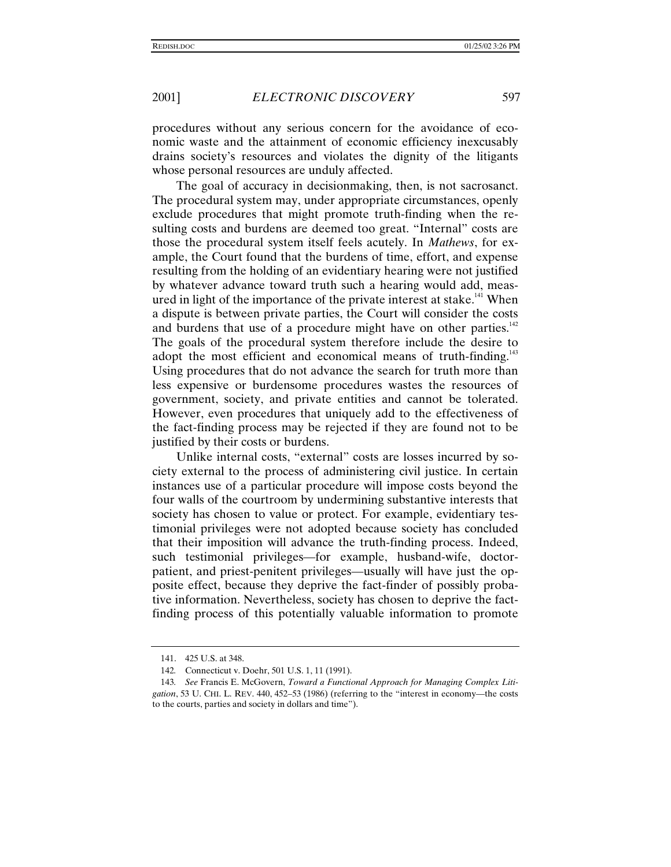procedures without any serious concern for the avoidance of economic waste and the attainment of economic efficiency inexcusably drains society's resources and violates the dignity of the litigants whose personal resources are unduly affected.

The goal of accuracy in decisionmaking, then, is not sacrosanct. The procedural system may, under appropriate circumstances, openly exclude procedures that might promote truth-finding when the resulting costs and burdens are deemed too great. "Internal" costs are those the procedural system itself feels acutely. In *Mathews*, for example, the Court found that the burdens of time, effort, and expense resulting from the holding of an evidentiary hearing were not justified by whatever advance toward truth such a hearing would add, measured in light of the importance of the private interest at stake.<sup>141</sup> When a dispute is between private parties, the Court will consider the costs and burdens that use of a procedure might have on other parties.<sup>142</sup> The goals of the procedural system therefore include the desire to adopt the most efficient and economical means of truth-finding.<sup>143</sup> Using procedures that do not advance the search for truth more than less expensive or burdensome procedures wastes the resources of government, society, and private entities and cannot be tolerated. However, even procedures that uniquely add to the effectiveness of the fact-finding process may be rejected if they are found not to be justified by their costs or burdens.

Unlike internal costs, "external" costs are losses incurred by society external to the process of administering civil justice. In certain instances use of a particular procedure will impose costs beyond the four walls of the courtroom by undermining substantive interests that society has chosen to value or protect. For example, evidentiary testimonial privileges were not adopted because society has concluded that their imposition will advance the truth-finding process. Indeed, such testimonial privileges—for example, husband-wife, doctorpatient, and priest-penitent privileges—usually will have just the opposite effect, because they deprive the fact-finder of possibly probative information. Nevertheless, society has chosen to deprive the factfinding process of this potentially valuable information to promote

<sup>141. 425</sup> U.S. at 348.

<sup>142</sup>*.* Connecticut v. Doehr, 501 U.S. 1, 11 (1991).

<sup>143</sup>*. See* Francis E. McGovern, *Toward a Functional Approach for Managing Complex Litigation*, 53 U. CHI. L. REV. 440, 452–53 (1986) (referring to the "interest in economy—the costs to the courts, parties and society in dollars and time").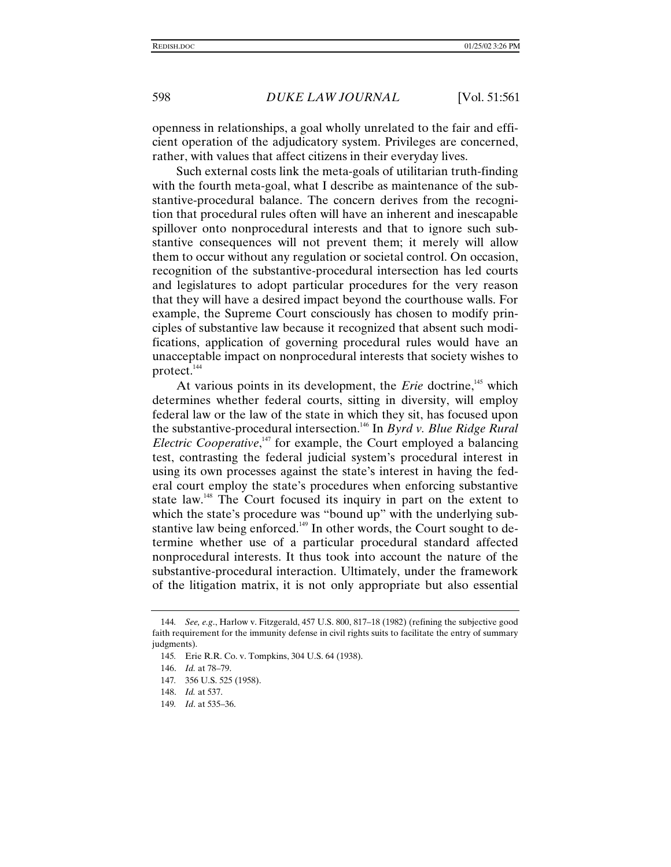openness in relationships, a goal wholly unrelated to the fair and efficient operation of the adjudicatory system. Privileges are concerned, rather, with values that affect citizens in their everyday lives.

Such external costs link the meta-goals of utilitarian truth-finding with the fourth meta-goal, what I describe as maintenance of the substantive-procedural balance. The concern derives from the recognition that procedural rules often will have an inherent and inescapable spillover onto nonprocedural interests and that to ignore such substantive consequences will not prevent them; it merely will allow them to occur without any regulation or societal control. On occasion, recognition of the substantive-procedural intersection has led courts and legislatures to adopt particular procedures for the very reason that they will have a desired impact beyond the courthouse walls. For example, the Supreme Court consciously has chosen to modify principles of substantive law because it recognized that absent such modifications, application of governing procedural rules would have an unacceptable impact on nonprocedural interests that society wishes to protect.<sup>144</sup>

At various points in its development, the *Erie* doctrine,<sup>145</sup> which determines whether federal courts, sitting in diversity, will employ federal law or the law of the state in which they sit, has focused upon the substantive-procedural intersection.<sup>146</sup> In *Byrd v. Blue Ridge Rural Electric Cooperative*,<sup>147</sup> for example, the Court employed a balancing test, contrasting the federal judicial system's procedural interest in using its own processes against the state's interest in having the federal court employ the state's procedures when enforcing substantive state law.<sup>148</sup> The Court focused its inquiry in part on the extent to which the state's procedure was "bound up" with the underlying substantive law being enforced.<sup>149</sup> In other words, the Court sought to determine whether use of a particular procedural standard affected nonprocedural interests. It thus took into account the nature of the substantive-procedural interaction. Ultimately, under the framework of the litigation matrix, it is not only appropriate but also essential

<sup>144</sup>*. See, e.g*., Harlow v. Fitzgerald, 457 U.S. 800, 817–18 (1982) (refining the subjective good faith requirement for the immunity defense in civil rights suits to facilitate the entry of summary judgments).

<sup>145</sup>*.* Erie R.R. Co. v. Tompkins, 304 U.S. 64 (1938).

<sup>146.</sup> *Id.* at 78–79.

<sup>147</sup>*.* 356 U.S. 525 (1958).

<sup>148.</sup> *Id.* at 537.

<sup>149</sup>*. Id*. at 535–36.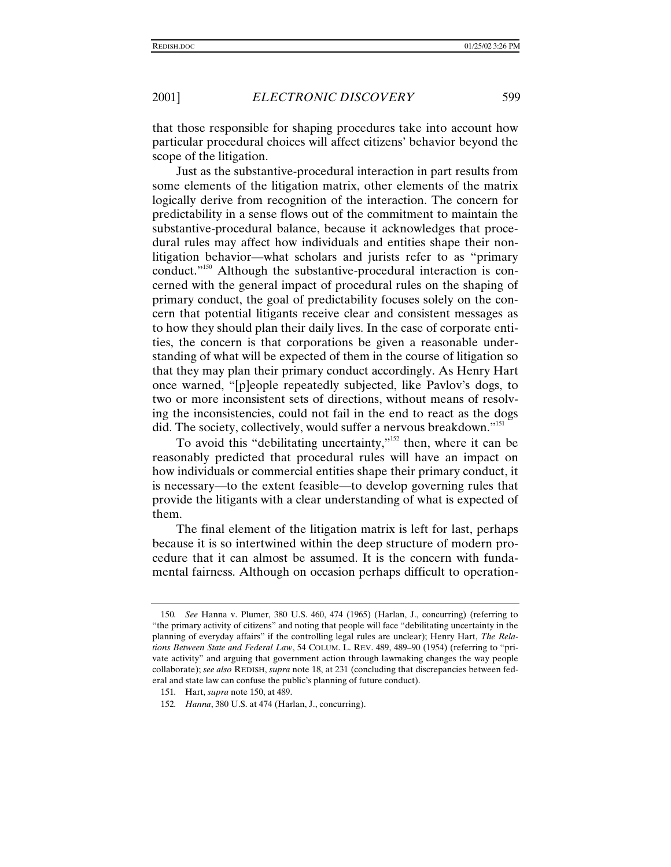that those responsible for shaping procedures take into account how particular procedural choices will affect citizens' behavior beyond the scope of the litigation.

Just as the substantive-procedural interaction in part results from some elements of the litigation matrix, other elements of the matrix logically derive from recognition of the interaction. The concern for predictability in a sense flows out of the commitment to maintain the substantive-procedural balance, because it acknowledges that procedural rules may affect how individuals and entities shape their nonlitigation behavior—what scholars and jurists refer to as "primary conduct."<sup>150</sup> Although the substantive-procedural interaction is concerned with the general impact of procedural rules on the shaping of primary conduct, the goal of predictability focuses solely on the concern that potential litigants receive clear and consistent messages as to how they should plan their daily lives. In the case of corporate entities, the concern is that corporations be given a reasonable understanding of what will be expected of them in the course of litigation so that they may plan their primary conduct accordingly. As Henry Hart once warned, "[p]eople repeatedly subjected, like Pavlov's dogs, to two or more inconsistent sets of directions, without means of resolving the inconsistencies, could not fail in the end to react as the dogs did. The society, collectively, would suffer a nervous breakdown."<sup>151</sup>

To avoid this "debilitating uncertainty,"<sup>152</sup> then, where it can be reasonably predicted that procedural rules will have an impact on how individuals or commercial entities shape their primary conduct, it is necessary—to the extent feasible—to develop governing rules that provide the litigants with a clear understanding of what is expected of them.

The final element of the litigation matrix is left for last, perhaps because it is so intertwined within the deep structure of modern procedure that it can almost be assumed. It is the concern with fundamental fairness. Although on occasion perhaps difficult to operation-

<sup>150</sup>*. See* Hanna v. Plumer, 380 U.S. 460, 474 (1965) (Harlan, J., concurring) (referring to "the primary activity of citizens" and noting that people will face "debilitating uncertainty in the planning of everyday affairs" if the controlling legal rules are unclear); Henry Hart, *The Relations Between State and Federal Law*, 54 COLUM. L. REV. 489, 489–90 (1954) (referring to "private activity" and arguing that government action through lawmaking changes the way people collaborate); *see also* REDISH, *supra* note 18, at 231 (concluding that discrepancies between federal and state law can confuse the public's planning of future conduct).

<sup>151</sup>*.* Hart, *supra* note 150, at 489.

<sup>152</sup>*. Hanna*, 380 U.S. at 474 (Harlan, J., concurring).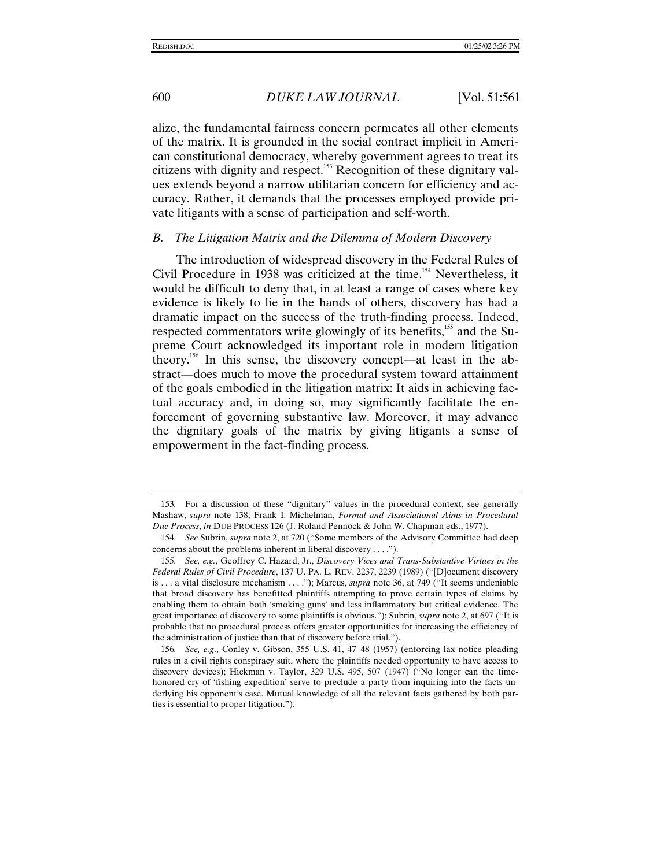alize, the fundamental fairness concern permeates all other elements of the matrix. It is grounded in the social contract implicit in American constitutional democracy, whereby government agrees to treat its citizens with dignity and respect.<sup>153</sup> Recognition of these dignitary values extends beyond a narrow utilitarian concern for efficiency and accuracy. Rather, it demands that the processes employed provide private litigants with a sense of participation and self-worth.

#### *B. The Litigation Matrix and the Dilemma of Modern Discovery*

The introduction of widespread discovery in the Federal Rules of Civil Procedure in 1938 was criticized at the time.<sup>154</sup> Nevertheless, it would be difficult to deny that, in at least a range of cases where key evidence is likely to lie in the hands of others, discovery has had a dramatic impact on the success of the truth-finding process. Indeed, respected commentators write glowingly of its benefits,<sup>155</sup> and the Supreme Court acknowledged its important role in modern litigation theory.<sup>156</sup> In this sense, the discovery concept—at least in the abstract—does much to move the procedural system toward attainment of the goals embodied in the litigation matrix: It aids in achieving factual accuracy and, in doing so, may significantly facilitate the enforcement of governing substantive law. Moreover, it may advance the dignitary goals of the matrix by giving litigants a sense of empowerment in the fact-finding process.

<sup>153</sup>*.* For a discussion of these "dignitary" values in the procedural context, see generally Mashaw, *supra* note 138; Frank I. Michelman, *Formal and Associational Aims in Procedural Due Process*, *in* DUE PROCESS 126 (J. Roland Pennock & John W. Chapman eds., 1977).

<sup>154</sup>*. See* Subrin, *supra* note 2, at 720 ("Some members of the Advisory Committee had deep concerns about the problems inherent in liberal discovery . . . .").

<sup>155</sup>*. See, e.g.*, Geoffrey C. Hazard, Jr., *Discovery Vices and Trans-Substantive Virtues in the Federal Rules of Civil Procedure*, 137 U. PA. L. REV. 2237, 2239 (1989) ("[D]ocument discovery is . . . a vital disclosure mechanism . . . ."); Marcus, *supra* note 36, at 749 ("It seems undeniable that broad discovery has benefitted plaintiffs attempting to prove certain types of claims by enabling them to obtain both 'smoking guns' and less inflammatory but critical evidence. The great importance of discovery to some plaintiffs is obvious."); Subrin, *supra* note 2, at 697 ("It is probable that no procedural process offers greater opportunities for increasing the efficiency of the administration of justice than that of discovery before trial.").

<sup>156</sup>*. See, e.g*., Conley v. Gibson, 355 U.S. 41, 47–48 (1957) (enforcing lax notice pleading rules in a civil rights conspiracy suit, where the plaintiffs needed opportunity to have access to discovery devices); Hickman v. Taylor, 329 U.S. 495, 507 (1947) ("No longer can the timehonored cry of 'fishing expedition' serve to preclude a party from inquiring into the facts underlying his opponent's case. Mutual knowledge of all the relevant facts gathered by both parties is essential to proper litigation.").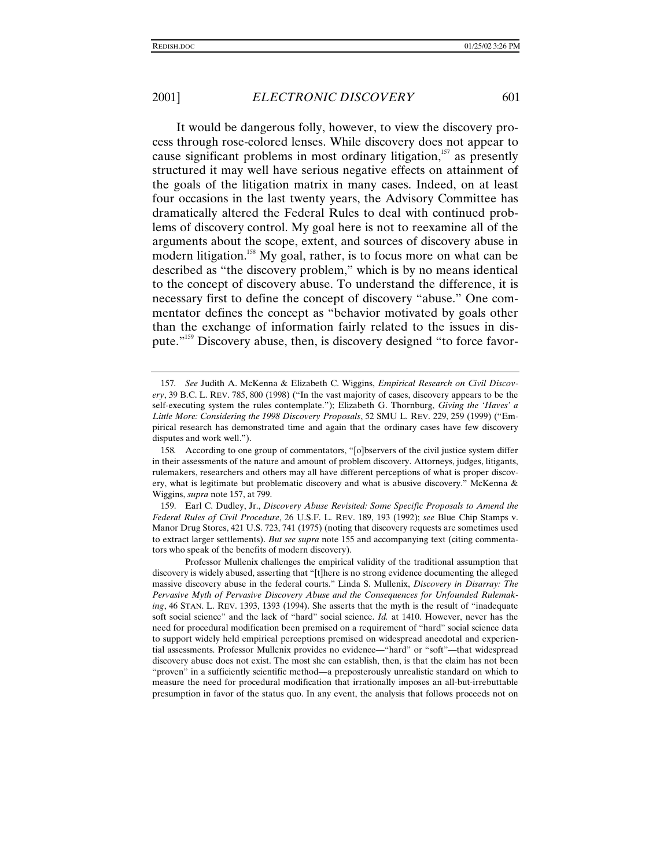It would be dangerous folly, however, to view the discovery process through rose-colored lenses. While discovery does not appear to cause significant problems in most ordinary litigation,<sup> $157$ </sup> as presently structured it may well have serious negative effects on attainment of the goals of the litigation matrix in many cases. Indeed, on at least four occasions in the last twenty years, the Advisory Committee has dramatically altered the Federal Rules to deal with continued problems of discovery control. My goal here is not to reexamine all of the arguments about the scope, extent, and sources of discovery abuse in modern litigation.<sup>158</sup> My goal, rather, is to focus more on what can be described as "the discovery problem," which is by no means identical to the concept of discovery abuse. To understand the difference, it is necessary first to define the concept of discovery "abuse." One commentator defines the concept as "behavior motivated by goals other than the exchange of information fairly related to the issues in dispute."<sup>159</sup> Discovery abuse, then, is discovery designed "to force favor-

159. Earl C. Dudley, Jr., *Discovery Abuse Revisited: Some Specific Proposals to Amend the Federal Rules of Civil Procedure*, 26 U.S.F. L. REV. 189, 193 (1992); *see* Blue Chip Stamps v. Manor Drug Stores, 421 U.S. 723, 741 (1975) (noting that discovery requests are sometimes used to extract larger settlements). *But see supra* note 155 and accompanying text (citing commentators who speak of the benefits of modern discovery).

Professor Mullenix challenges the empirical validity of the traditional assumption that discovery is widely abused, asserting that "[t]here is no strong evidence documenting the alleged massive discovery abuse in the federal courts." Linda S. Mullenix, *Discovery in Disarray: The Pervasive Myth of Pervasive Discovery Abuse and the Consequences for Unfounded Rulemaking*, 46 STAN. L. REV. 1393, 1393 (1994). She asserts that the myth is the result of "inadequate soft social science" and the lack of "hard" social science. *Id.* at 1410. However, never has the need for procedural modification been premised on a requirement of "hard" social science data to support widely held empirical perceptions premised on widespread anecdotal and experiential assessments. Professor Mullenix provides no evidence—"hard" or "soft"—that widespread discovery abuse does not exist. The most she can establish, then, is that the claim has not been "proven" in a sufficiently scientific method—a preposterously unrealistic standard on which to measure the need for procedural modification that irrationally imposes an all-but-irrebuttable presumption in favor of the status quo. In any event, the analysis that follows proceeds not on

<sup>157</sup>*. See* Judith A. McKenna & Elizabeth C. Wiggins, *Empirical Research on Civil Discovery*, 39 B.C. L. REV. 785, 800 (1998) ("In the vast majority of cases, discovery appears to be the self-executing system the rules contemplate."); Elizabeth G. Thornburg, *Giving the 'Haves' a Little More: Considering the 1998 Discovery Proposals*, 52 SMU L. REV. 229, 259 (1999) ("Empirical research has demonstrated time and again that the ordinary cases have few discovery disputes and work well.").

<sup>158</sup>*.* According to one group of commentators, "[o]bservers of the civil justice system differ in their assessments of the nature and amount of problem discovery. Attorneys, judges, litigants, rulemakers, researchers and others may all have different perceptions of what is proper discovery, what is legitimate but problematic discovery and what is abusive discovery." McKenna & Wiggins, *supra* note 157, at 799.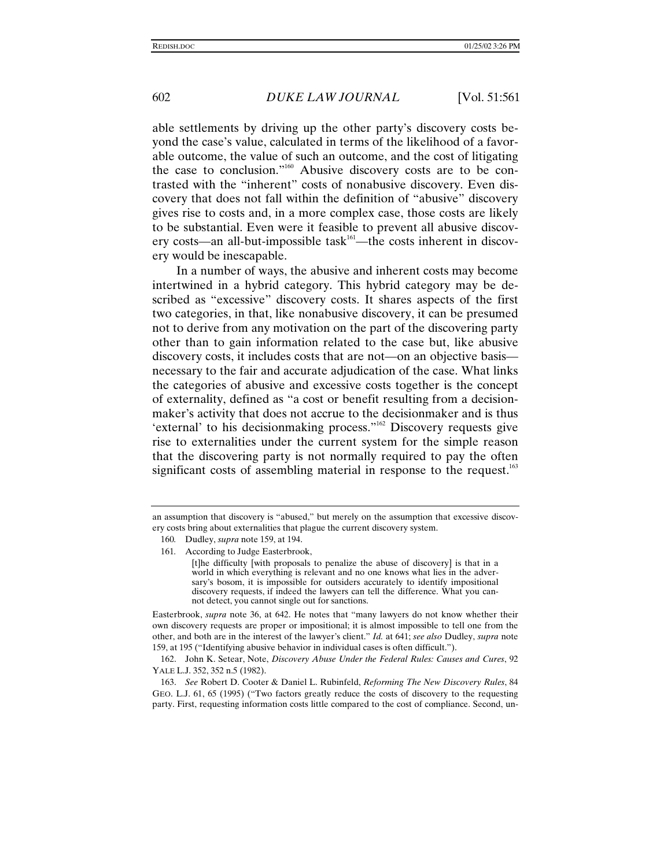able settlements by driving up the other party's discovery costs beyond the case's value, calculated in terms of the likelihood of a favorable outcome, the value of such an outcome, and the cost of litigating the case to conclusion."<sup>160</sup> Abusive discovery costs are to be contrasted with the "inherent" costs of nonabusive discovery. Even discovery that does not fall within the definition of "abusive" discovery gives rise to costs and, in a more complex case, those costs are likely to be substantial. Even were it feasible to prevent all abusive discovery costs—an all-but-impossible task $161$ —the costs inherent in discovery would be inescapable.

In a number of ways, the abusive and inherent costs may become intertwined in a hybrid category. This hybrid category may be described as "excessive" discovery costs. It shares aspects of the first two categories, in that, like nonabusive discovery, it can be presumed not to derive from any motivation on the part of the discovering party other than to gain information related to the case but, like abusive discovery costs, it includes costs that are not—on an objective basis necessary to the fair and accurate adjudication of the case. What links the categories of abusive and excessive costs together is the concept of externality, defined as "a cost or benefit resulting from a decisionmaker's activity that does not accrue to the decisionmaker and is thus 'external' to his decisionmaking process."<sup>162</sup> Discovery requests give rise to externalities under the current system for the simple reason that the discovering party is not normally required to pay the often significant costs of assembling material in response to the request.<sup>163</sup>

Easterbrook, *supra* note 36, at 642. He notes that "many lawyers do not know whether their own discovery requests are proper or impositional; it is almost impossible to tell one from the other, and both are in the interest of the lawyer's client." *Id.* at 641; *see also* Dudley, *supra* note 159, at 195 ("Identifying abusive behavior in individual cases is often difficult.").

162. John K. Setear, Note, *Discovery Abuse Under the Federal Rules: Causes and Cures*, 92 YALE L.J. 352, 352 n.5 (1982).

an assumption that discovery is "abused," but merely on the assumption that excessive discovery costs bring about externalities that plague the current discovery system.

<sup>160</sup>*.* Dudley, *supra* note 159, at 194.

<sup>161</sup>*.* According to Judge Easterbrook,

<sup>[</sup>t]he difficulty [with proposals to penalize the abuse of discovery] is that in a world in which everything is relevant and no one knows what lies in the adversary's bosom, it is impossible for outsiders accurately to identify impositional discovery requests, if indeed the lawyers can tell the difference. What you cannot detect, you cannot single out for sanctions.

<sup>163.</sup> *See* Robert D. Cooter & Daniel L. Rubinfeld, *Reforming The New Discovery Rules*, 84 GEO. L.J. 61, 65 (1995) ("Two factors greatly reduce the costs of discovery to the requesting party. First, requesting information costs little compared to the cost of compliance. Second, un-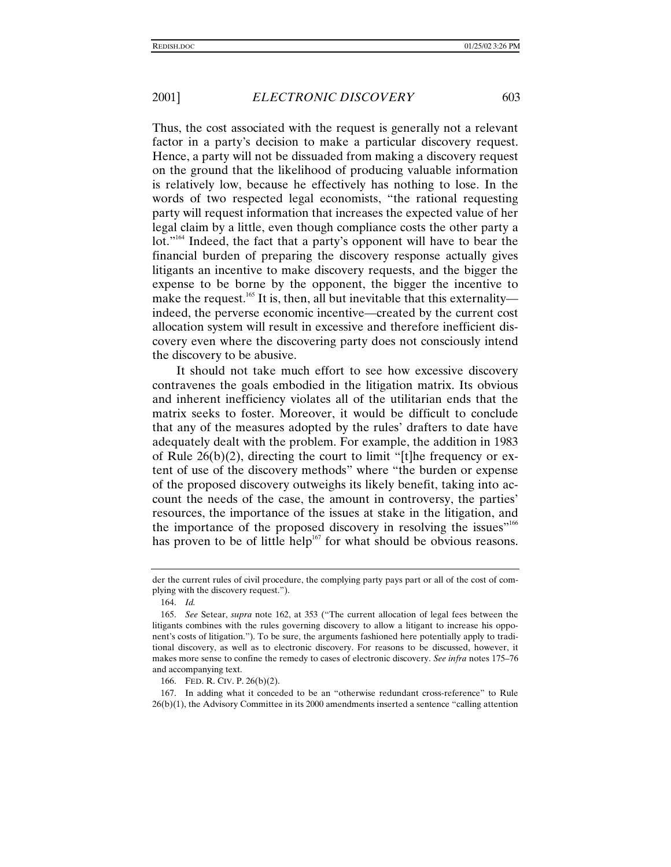Thus, the cost associated with the request is generally not a relevant factor in a party's decision to make a particular discovery request. Hence, a party will not be dissuaded from making a discovery request on the ground that the likelihood of producing valuable information is relatively low, because he effectively has nothing to lose. In the words of two respected legal economists, "the rational requesting party will request information that increases the expected value of her legal claim by a little, even though compliance costs the other party a lot."<sup>164</sup> Indeed, the fact that a party's opponent will have to bear the financial burden of preparing the discovery response actually gives litigants an incentive to make discovery requests, and the bigger the expense to be borne by the opponent, the bigger the incentive to make the request.<sup>165</sup> It is, then, all but inevitable that this externality indeed, the perverse economic incentive—created by the current cost allocation system will result in excessive and therefore inefficient discovery even where the discovering party does not consciously intend the discovery to be abusive.

It should not take much effort to see how excessive discovery contravenes the goals embodied in the litigation matrix. Its obvious and inherent inefficiency violates all of the utilitarian ends that the matrix seeks to foster. Moreover, it would be difficult to conclude that any of the measures adopted by the rules' drafters to date have adequately dealt with the problem. For example, the addition in 1983 of Rule  $26(b)(2)$ , directing the court to limit "[t]he frequency or extent of use of the discovery methods" where "the burden or expense of the proposed discovery outweighs its likely benefit, taking into account the needs of the case, the amount in controversy, the parties' resources, the importance of the issues at stake in the litigation, and the importance of the proposed discovery in resolving the issues"<sup>166</sup> has proven to be of little help<sup>167</sup> for what should be obvious reasons.

der the current rules of civil procedure, the complying party pays part or all of the cost of complying with the discovery request.").

<sup>164.</sup> *Id.*

<sup>165.</sup> *See* Setear, *supra* note 162, at 353 ("The current allocation of legal fees between the litigants combines with the rules governing discovery to allow a litigant to increase his opponent's costs of litigation."). To be sure, the arguments fashioned here potentially apply to traditional discovery, as well as to electronic discovery. For reasons to be discussed, however, it makes more sense to confine the remedy to cases of electronic discovery. *See infra* notes 175–76 and accompanying text.

<sup>166.</sup> FED. R. CIV. P. 26(b)(2).

<sup>167.</sup> In adding what it conceded to be an "otherwise redundant cross-reference" to Rule 26(b)(1), the Advisory Committee in its 2000 amendments inserted a sentence "calling attention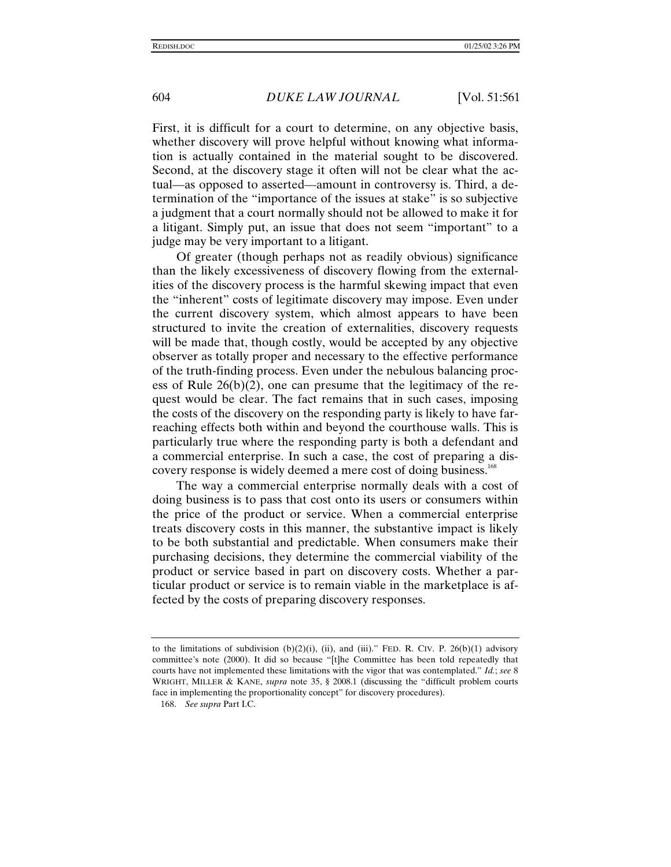First, it is difficult for a court to determine, on any objective basis, whether discovery will prove helpful without knowing what information is actually contained in the material sought to be discovered. Second, at the discovery stage it often will not be clear what the actual—as opposed to asserted—amount in controversy is. Third, a determination of the "importance of the issues at stake" is so subjective a judgment that a court normally should not be allowed to make it for a litigant. Simply put, an issue that does not seem "important" to a judge may be very important to a litigant.

Of greater (though perhaps not as readily obvious) significance than the likely excessiveness of discovery flowing from the externalities of the discovery process is the harmful skewing impact that even the "inherent" costs of legitimate discovery may impose. Even under the current discovery system, which almost appears to have been structured to invite the creation of externalities, discovery requests will be made that, though costly, would be accepted by any objective observer as totally proper and necessary to the effective performance of the truth-finding process. Even under the nebulous balancing process of Rule 26(b)(2), one can presume that the legitimacy of the request would be clear. The fact remains that in such cases, imposing the costs of the discovery on the responding party is likely to have farreaching effects both within and beyond the courthouse walls. This is particularly true where the responding party is both a defendant and a commercial enterprise. In such a case, the cost of preparing a discovery response is widely deemed a mere cost of doing business.<sup>168</sup>

The way a commercial enterprise normally deals with a cost of doing business is to pass that cost onto its users or consumers within the price of the product or service. When a commercial enterprise treats discovery costs in this manner, the substantive impact is likely to be both substantial and predictable. When consumers make their purchasing decisions, they determine the commercial viability of the product or service based in part on discovery costs. Whether a particular product or service is to remain viable in the marketplace is affected by the costs of preparing discovery responses.

to the limitations of subdivision  $(b)(2)(i)$ , (ii), and (iii)." FED. R. CIV. P. 26(b)(1) advisory committee's note (2000). It did so because "[t]he Committee has been told repeatedly that courts have not implemented these limitations with the vigor that was contemplated." *Id.*; *see* 8 WRIGHT, MILLER & KANE, *supra* note 35, § 2008.1 (discussing the "difficult problem courts face in implementing the proportionality concept" for discovery procedures).

<sup>168.</sup> *See supra* Part I.C.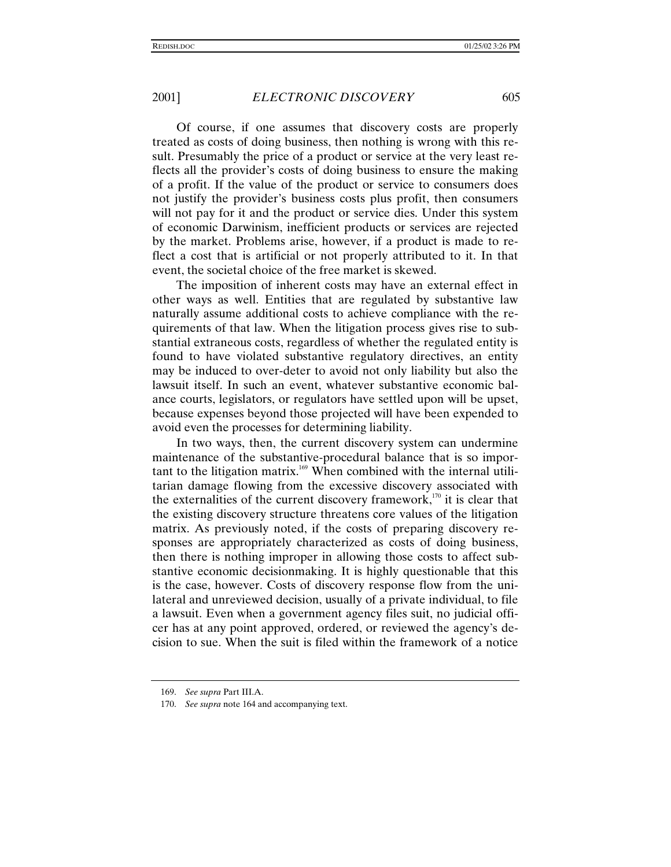Of course, if one assumes that discovery costs are properly treated as costs of doing business, then nothing is wrong with this result. Presumably the price of a product or service at the very least reflects all the provider's costs of doing business to ensure the making of a profit. If the value of the product or service to consumers does not justify the provider's business costs plus profit, then consumers will not pay for it and the product or service dies. Under this system of economic Darwinism, inefficient products or services are rejected by the market. Problems arise, however, if a product is made to reflect a cost that is artificial or not properly attributed to it. In that event, the societal choice of the free market is skewed.

The imposition of inherent costs may have an external effect in other ways as well. Entities that are regulated by substantive law naturally assume additional costs to achieve compliance with the requirements of that law. When the litigation process gives rise to substantial extraneous costs, regardless of whether the regulated entity is found to have violated substantive regulatory directives, an entity may be induced to over-deter to avoid not only liability but also the lawsuit itself. In such an event, whatever substantive economic balance courts, legislators, or regulators have settled upon will be upset, because expenses beyond those projected will have been expended to avoid even the processes for determining liability.

In two ways, then, the current discovery system can undermine maintenance of the substantive-procedural balance that is so important to the litigation matrix.<sup>169</sup> When combined with the internal utilitarian damage flowing from the excessive discovery associated with the externalities of the current discovery framework, $170$  it is clear that the existing discovery structure threatens core values of the litigation matrix. As previously noted, if the costs of preparing discovery responses are appropriately characterized as costs of doing business, then there is nothing improper in allowing those costs to affect substantive economic decisionmaking. It is highly questionable that this is the case, however. Costs of discovery response flow from the unilateral and unreviewed decision, usually of a private individual, to file a lawsuit. Even when a government agency files suit, no judicial officer has at any point approved, ordered, or reviewed the agency's decision to sue. When the suit is filed within the framework of a notice

<sup>169.</sup> *See supra* Part III.A.

<sup>170.</sup> *See supra* note 164 and accompanying text.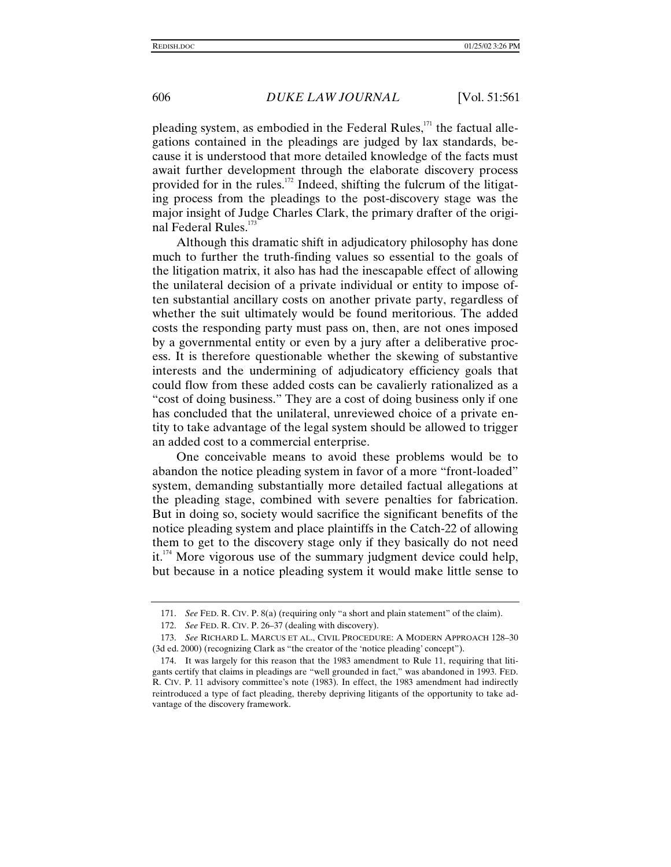pleading system, as embodied in the Federal Rules, $171$  the factual allegations contained in the pleadings are judged by lax standards, because it is understood that more detailed knowledge of the facts must await further development through the elaborate discovery process provided for in the rules.<sup>172</sup> Indeed, shifting the fulcrum of the litigating process from the pleadings to the post-discovery stage was the major insight of Judge Charles Clark, the primary drafter of the original Federal Rules.<sup>173</sup>

Although this dramatic shift in adjudicatory philosophy has done much to further the truth-finding values so essential to the goals of the litigation matrix, it also has had the inescapable effect of allowing the unilateral decision of a private individual or entity to impose often substantial ancillary costs on another private party, regardless of whether the suit ultimately would be found meritorious. The added costs the responding party must pass on, then, are not ones imposed by a governmental entity or even by a jury after a deliberative process. It is therefore questionable whether the skewing of substantive interests and the undermining of adjudicatory efficiency goals that could flow from these added costs can be cavalierly rationalized as a "cost of doing business." They are a cost of doing business only if one has concluded that the unilateral, unreviewed choice of a private entity to take advantage of the legal system should be allowed to trigger an added cost to a commercial enterprise.

One conceivable means to avoid these problems would be to abandon the notice pleading system in favor of a more "front-loaded" system, demanding substantially more detailed factual allegations at the pleading stage, combined with severe penalties for fabrication. But in doing so, society would sacrifice the significant benefits of the notice pleading system and place plaintiffs in the Catch-22 of allowing them to get to the discovery stage only if they basically do not need  $it.^{174}$  More vigorous use of the summary judgment device could help, but because in a notice pleading system it would make little sense to

<sup>171.</sup> *See* FED. R. CIV. P. 8(a) (requiring only "a short and plain statement" of the claim).

<sup>172.</sup> *See* FED. R. CIV. P. 26–37 (dealing with discovery).

<sup>173.</sup> *See* RICHARD L. MARCUS ET AL., CIVIL PROCEDURE: A MODERN APPROACH 128–30 (3d ed. 2000) (recognizing Clark as "the creator of the 'notice pleading' concept").

<sup>174.</sup> It was largely for this reason that the 1983 amendment to Rule 11, requiring that litigants certify that claims in pleadings are "well grounded in fact," was abandoned in 1993. FED. R. CIV. P. 11 advisory committee's note (1983). In effect, the 1983 amendment had indirectly reintroduced a type of fact pleading, thereby depriving litigants of the opportunity to take advantage of the discovery framework.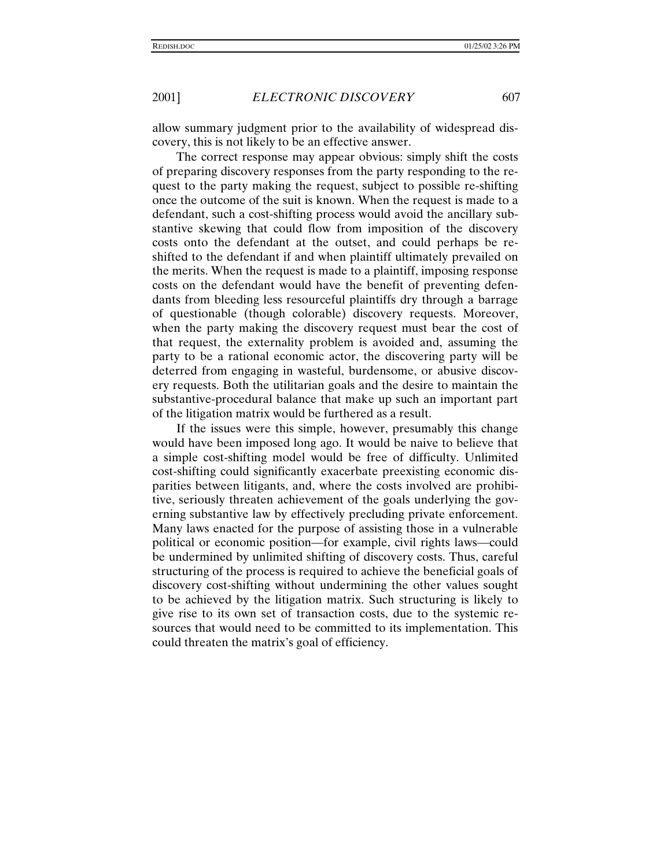allow summary judgment prior to the availability of widespread discovery, this is not likely to be an effective answer.

The correct response may appear obvious: simply shift the costs of preparing discovery responses from the party responding to the request to the party making the request, subject to possible re-shifting once the outcome of the suit is known. When the request is made to a defendant, such a cost-shifting process would avoid the ancillary substantive skewing that could flow from imposition of the discovery costs onto the defendant at the outset, and could perhaps be reshifted to the defendant if and when plaintiff ultimately prevailed on the merits. When the request is made to a plaintiff, imposing response costs on the defendant would have the benefit of preventing defendants from bleeding less resourceful plaintiffs dry through a barrage of questionable (though colorable) discovery requests. Moreover, when the party making the discovery request must bear the cost of that request, the externality problem is avoided and, assuming the party to be a rational economic actor, the discovering party will be deterred from engaging in wasteful, burdensome, or abusive discovery requests. Both the utilitarian goals and the desire to maintain the substantive-procedural balance that make up such an important part of the litigation matrix would be furthered as a result.

If the issues were this simple, however, presumably this change would have been imposed long ago. It would be naive to believe that a simple cost-shifting model would be free of difficulty. Unlimited cost-shifting could significantly exacerbate preexisting economic disparities between litigants, and, where the costs involved are prohibitive, seriously threaten achievement of the goals underlying the governing substantive law by effectively precluding private enforcement. Many laws enacted for the purpose of assisting those in a vulnerable political or economic position—for example, civil rights laws—could be undermined by unlimited shifting of discovery costs. Thus, careful structuring of the process is required to achieve the beneficial goals of discovery cost-shifting without undermining the other values sought to be achieved by the litigation matrix. Such structuring is likely to give rise to its own set of transaction costs, due to the systemic resources that would need to be committed to its implementation. This could threaten the matrix's goal of efficiency.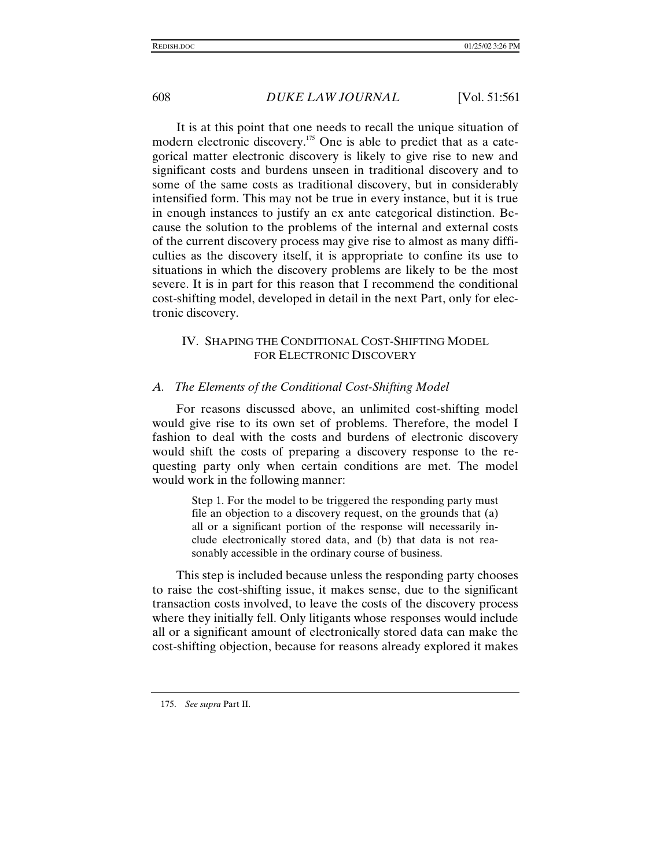It is at this point that one needs to recall the unique situation of modern electronic discovery.175 One is able to predict that as a categorical matter electronic discovery is likely to give rise to new and significant costs and burdens unseen in traditional discovery and to some of the same costs as traditional discovery, but in considerably intensified form. This may not be true in every instance, but it is true in enough instances to justify an ex ante categorical distinction. Because the solution to the problems of the internal and external costs of the current discovery process may give rise to almost as many difficulties as the discovery itself, it is appropriate to confine its use to situations in which the discovery problems are likely to be the most severe. It is in part for this reason that I recommend the conditional cost-shifting model, developed in detail in the next Part, only for electronic discovery.

# IV. SHAPING THE CONDITIONAL COST-SHIFTING MODEL FOR ELECTRONIC DISCOVERY

#### *A. The Elements of the Conditional Cost-Shifting Model*

For reasons discussed above, an unlimited cost-shifting model would give rise to its own set of problems. Therefore, the model I fashion to deal with the costs and burdens of electronic discovery would shift the costs of preparing a discovery response to the requesting party only when certain conditions are met. The model would work in the following manner:

> Step 1. For the model to be triggered the responding party must file an objection to a discovery request, on the grounds that (a) all or a significant portion of the response will necessarily include electronically stored data, and (b) that data is not reasonably accessible in the ordinary course of business.

This step is included because unless the responding party chooses to raise the cost-shifting issue, it makes sense, due to the significant transaction costs involved, to leave the costs of the discovery process where they initially fell. Only litigants whose responses would include all or a significant amount of electronically stored data can make the cost-shifting objection, because for reasons already explored it makes

<sup>175.</sup> *See supra* Part II.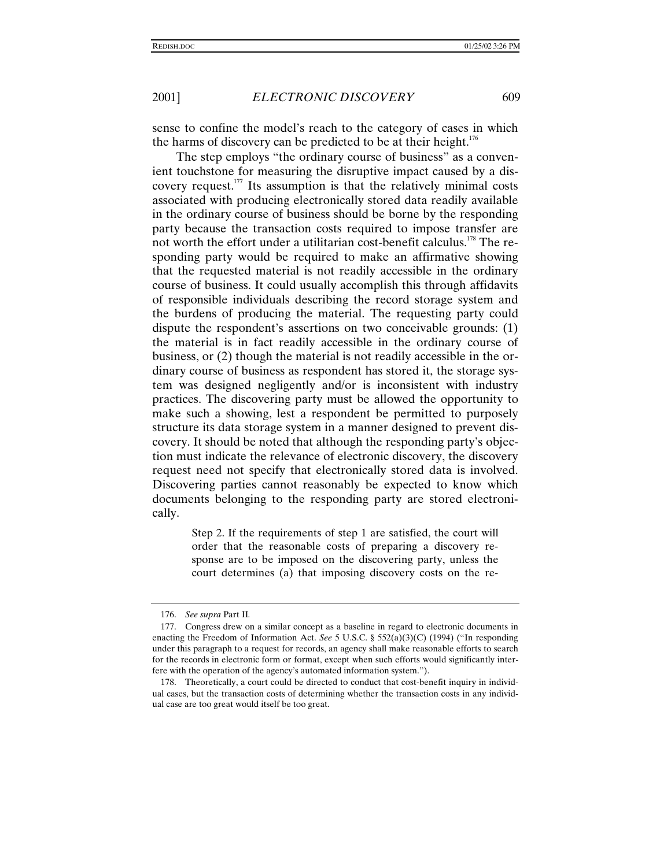sense to confine the model's reach to the category of cases in which the harms of discovery can be predicted to be at their height.<sup>176</sup>

The step employs "the ordinary course of business" as a convenient touchstone for measuring the disruptive impact caused by a discovery request.<sup>177</sup> Its assumption is that the relatively minimal costs associated with producing electronically stored data readily available in the ordinary course of business should be borne by the responding party because the transaction costs required to impose transfer are not worth the effort under a utilitarian cost-benefit calculus.<sup>178</sup> The responding party would be required to make an affirmative showing that the requested material is not readily accessible in the ordinary course of business. It could usually accomplish this through affidavits of responsible individuals describing the record storage system and the burdens of producing the material. The requesting party could dispute the respondent's assertions on two conceivable grounds: (1) the material is in fact readily accessible in the ordinary course of business, or (2) though the material is not readily accessible in the ordinary course of business as respondent has stored it, the storage system was designed negligently and/or is inconsistent with industry practices. The discovering party must be allowed the opportunity to make such a showing, lest a respondent be permitted to purposely structure its data storage system in a manner designed to prevent discovery. It should be noted that although the responding party's objection must indicate the relevance of electronic discovery, the discovery request need not specify that electronically stored data is involved. Discovering parties cannot reasonably be expected to know which documents belonging to the responding party are stored electronically.

> Step 2. If the requirements of step 1 are satisfied, the court will order that the reasonable costs of preparing a discovery response are to be imposed on the discovering party, unless the court determines (a) that imposing discovery costs on the re-

<sup>176.</sup> *See supra* Part II*.*

<sup>177.</sup> Congress drew on a similar concept as a baseline in regard to electronic documents in enacting the Freedom of Information Act. *See* 5 U.S.C. § 552(a)(3)(C) (1994) ("In responding under this paragraph to a request for records, an agency shall make reasonable efforts to search for the records in electronic form or format, except when such efforts would significantly interfere with the operation of the agency's automated information system.").

<sup>178.</sup> Theoretically, a court could be directed to conduct that cost-benefit inquiry in individual cases, but the transaction costs of determining whether the transaction costs in any individual case are too great would itself be too great.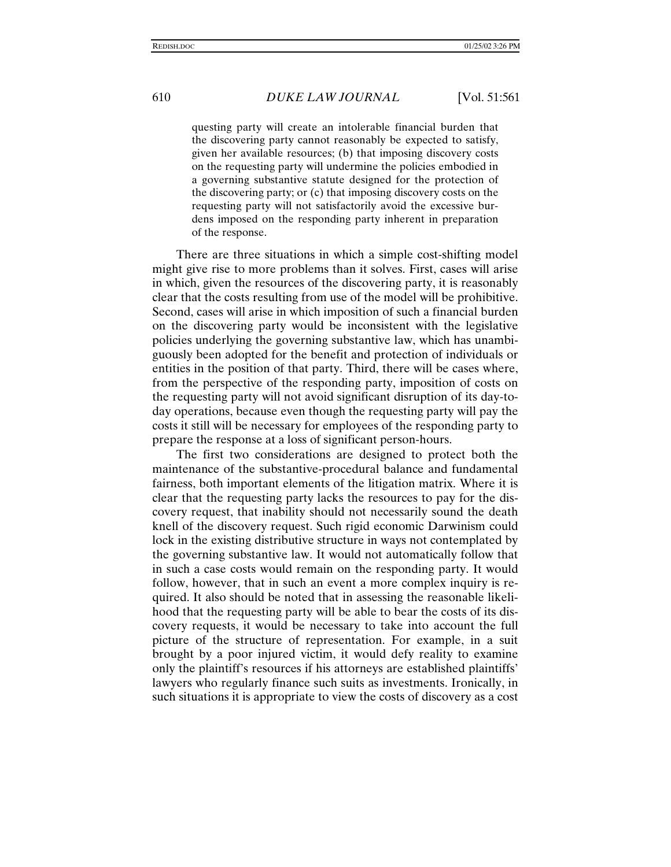questing party will create an intolerable financial burden that the discovering party cannot reasonably be expected to satisfy, given her available resources; (b) that imposing discovery costs on the requesting party will undermine the policies embodied in a governing substantive statute designed for the protection of the discovering party; or (c) that imposing discovery costs on the requesting party will not satisfactorily avoid the excessive burdens imposed on the responding party inherent in preparation of the response.

There are three situations in which a simple cost-shifting model might give rise to more problems than it solves. First, cases will arise in which, given the resources of the discovering party, it is reasonably clear that the costs resulting from use of the model will be prohibitive. Second, cases will arise in which imposition of such a financial burden on the discovering party would be inconsistent with the legislative policies underlying the governing substantive law, which has unambiguously been adopted for the benefit and protection of individuals or entities in the position of that party. Third, there will be cases where, from the perspective of the responding party, imposition of costs on the requesting party will not avoid significant disruption of its day-today operations, because even though the requesting party will pay the costs it still will be necessary for employees of the responding party to prepare the response at a loss of significant person-hours.

The first two considerations are designed to protect both the maintenance of the substantive-procedural balance and fundamental fairness, both important elements of the litigation matrix. Where it is clear that the requesting party lacks the resources to pay for the discovery request, that inability should not necessarily sound the death knell of the discovery request. Such rigid economic Darwinism could lock in the existing distributive structure in ways not contemplated by the governing substantive law. It would not automatically follow that in such a case costs would remain on the responding party. It would follow, however, that in such an event a more complex inquiry is required. It also should be noted that in assessing the reasonable likelihood that the requesting party will be able to bear the costs of its discovery requests, it would be necessary to take into account the full picture of the structure of representation. For example, in a suit brought by a poor injured victim, it would defy reality to examine only the plaintiff's resources if his attorneys are established plaintiffs' lawyers who regularly finance such suits as investments. Ironically, in such situations it is appropriate to view the costs of discovery as a cost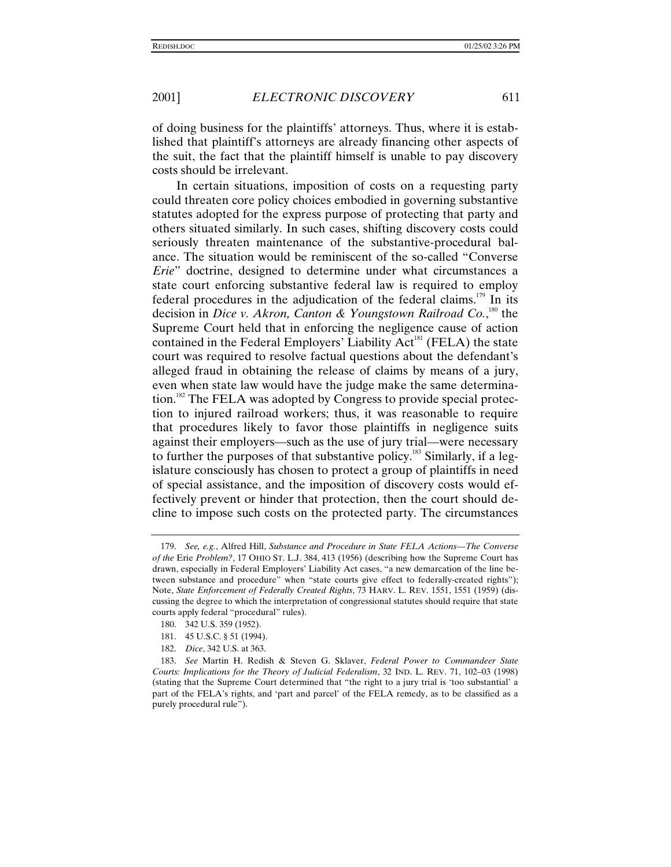of doing business for the plaintiffs' attorneys. Thus, where it is established that plaintiff's attorneys are already financing other aspects of the suit, the fact that the plaintiff himself is unable to pay discovery costs should be irrelevant.

In certain situations, imposition of costs on a requesting party could threaten core policy choices embodied in governing substantive statutes adopted for the express purpose of protecting that party and others situated similarly. In such cases, shifting discovery costs could seriously threaten maintenance of the substantive-procedural balance. The situation would be reminiscent of the so-called "Converse *Erie*" doctrine, designed to determine under what circumstances a state court enforcing substantive federal law is required to employ federal procedures in the adjudication of the federal claims.<sup>179</sup> In its decision in *Dice v. Akron, Canton & Youngstown Railroad Co.*,<sup>180</sup> the Supreme Court held that in enforcing the negligence cause of action contained in the Federal Employers' Liability  $Act^{181}$  (FELA) the state court was required to resolve factual questions about the defendant's alleged fraud in obtaining the release of claims by means of a jury, even when state law would have the judge make the same determination.<sup>182</sup> The FELA was adopted by Congress to provide special protection to injured railroad workers; thus, it was reasonable to require that procedures likely to favor those plaintiffs in negligence suits against their employers—such as the use of jury trial—were necessary to further the purposes of that substantive policy.<sup>183</sup> Similarly, if a legislature consciously has chosen to protect a group of plaintiffs in need of special assistance, and the imposition of discovery costs would effectively prevent or hinder that protection, then the court should decline to impose such costs on the protected party. The circumstances

<sup>179.</sup> *See, e.g.*, Alfred Hill, *Substance and Procedure in State FELA Actions—The Converse of the* Erie *Problem?*, 17 OHIO ST. L.J. 384, 413 (1956) (describing how the Supreme Court has drawn, especially in Federal Employers' Liability Act cases, "a new demarcation of the line between substance and procedure" when "state courts give effect to federally-created rights"); Note, *State Enforcement of Federally Created Rights*, 73 HARV. L. REV. 1551, 1551 (1959) (discussing the degree to which the interpretation of congressional statutes should require that state courts apply federal "procedural" rules).

<sup>180. 342</sup> U.S. 359 (1952).

<sup>181. 45</sup> U.S.C. § 51 (1994).

<sup>182.</sup> *Dice*, 342 U.S. at 363.

<sup>183.</sup> *See* Martin H. Redish & Steven G. Sklaver, *Federal Power to Commandeer State Courts: Implications for the Theory of Judicial Federalism*, 32 IND. L. REV. 71, 102–03 (1998) (stating that the Supreme Court determined that "the right to a jury trial is 'too substantial' a part of the FELA's rights, and 'part and parcel' of the FELA remedy, as to be classified as a purely procedural rule").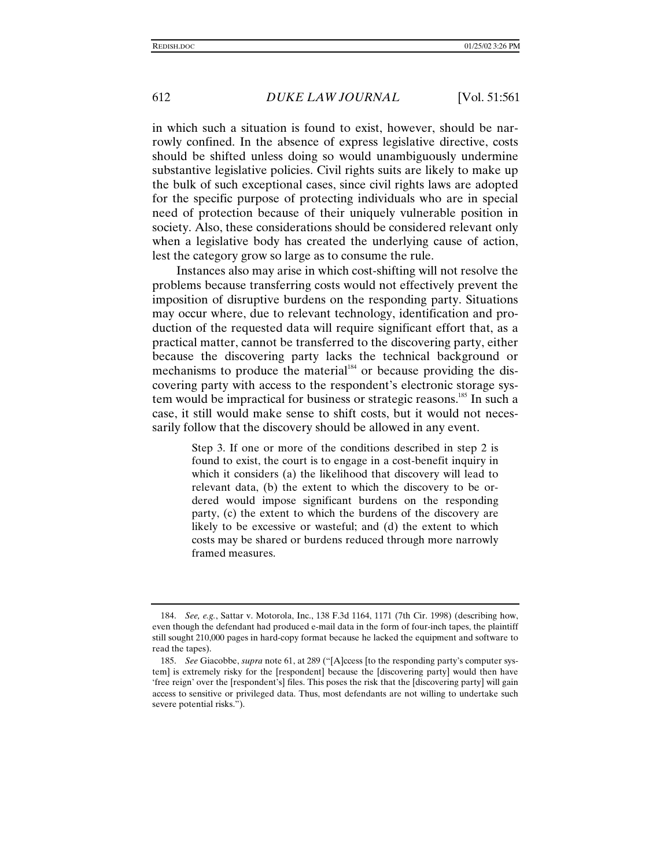in which such a situation is found to exist, however, should be narrowly confined. In the absence of express legislative directive, costs should be shifted unless doing so would unambiguously undermine substantive legislative policies. Civil rights suits are likely to make up the bulk of such exceptional cases, since civil rights laws are adopted for the specific purpose of protecting individuals who are in special need of protection because of their uniquely vulnerable position in society. Also, these considerations should be considered relevant only when a legislative body has created the underlying cause of action, lest the category grow so large as to consume the rule.

Instances also may arise in which cost-shifting will not resolve the problems because transferring costs would not effectively prevent the imposition of disruptive burdens on the responding party. Situations may occur where, due to relevant technology, identification and production of the requested data will require significant effort that, as a practical matter, cannot be transferred to the discovering party, either because the discovering party lacks the technical background or mechanisms to produce the material $184}$  or because providing the discovering party with access to the respondent's electronic storage system would be impractical for business or strategic reasons.<sup>185</sup> In such a case, it still would make sense to shift costs, but it would not necessarily follow that the discovery should be allowed in any event.

> Step 3. If one or more of the conditions described in step 2 is found to exist, the court is to engage in a cost-benefit inquiry in which it considers (a) the likelihood that discovery will lead to relevant data, (b) the extent to which the discovery to be ordered would impose significant burdens on the responding party, (c) the extent to which the burdens of the discovery are likely to be excessive or wasteful; and (d) the extent to which costs may be shared or burdens reduced through more narrowly framed measures.

<sup>184.</sup> *See, e.g.*, Sattar v. Motorola, Inc., 138 F.3d 1164, 1171 (7th Cir. 1998) (describing how, even though the defendant had produced e-mail data in the form of four-inch tapes, the plaintiff still sought 210,000 pages in hard-copy format because he lacked the equipment and software to read the tapes).

<sup>185.</sup> *See* Giacobbe, *supra* note 61, at 289 ("[A]ccess [to the responding party's computer system] is extremely risky for the [respondent] because the [discovering party] would then have 'free reign' over the [respondent's] files. This poses the risk that the [discovering party] will gain access to sensitive or privileged data. Thus, most defendants are not willing to undertake such severe potential risks.").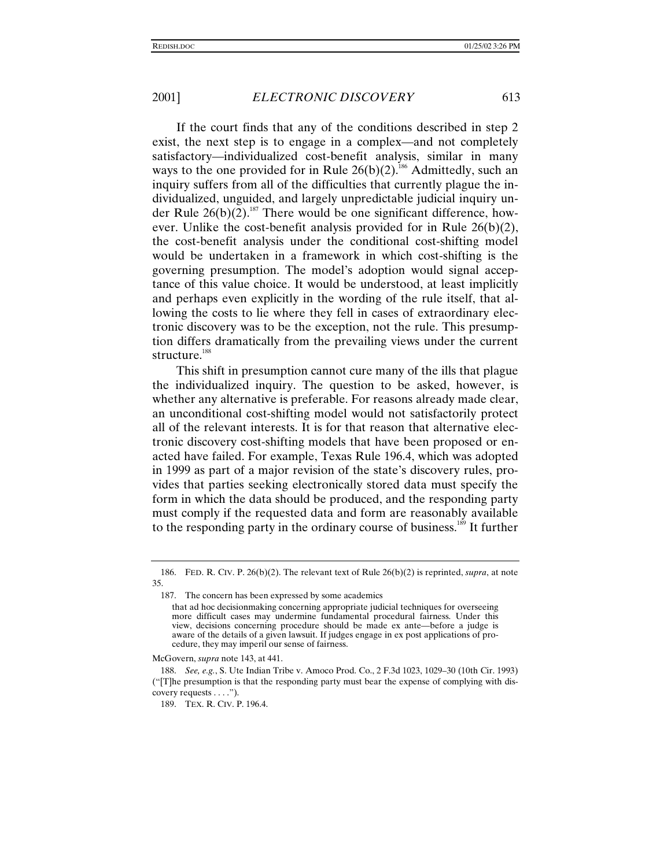If the court finds that any of the conditions described in step 2 exist, the next step is to engage in a complex—and not completely satisfactory—individualized cost-benefit analysis, similar in many ways to the one provided for in Rule  $26(b)(2)$ .<sup>186</sup> Admittedly, such an inquiry suffers from all of the difficulties that currently plague the individualized, unguided, and largely unpredictable judicial inquiry under Rule  $26(b)(2)$ .<sup>187</sup> There would be one significant difference, however. Unlike the cost-benefit analysis provided for in Rule 26(b)(2), the cost-benefit analysis under the conditional cost-shifting model would be undertaken in a framework in which cost-shifting is the governing presumption. The model's adoption would signal acceptance of this value choice. It would be understood, at least implicitly and perhaps even explicitly in the wording of the rule itself, that allowing the costs to lie where they fell in cases of extraordinary electronic discovery was to be the exception, not the rule. This presumption differs dramatically from the prevailing views under the current structure.<sup>188</sup>

This shift in presumption cannot cure many of the ills that plague the individualized inquiry. The question to be asked, however, is whether any alternative is preferable. For reasons already made clear, an unconditional cost-shifting model would not satisfactorily protect all of the relevant interests. It is for that reason that alternative electronic discovery cost-shifting models that have been proposed or enacted have failed. For example, Texas Rule 196.4, which was adopted in 1999 as part of a major revision of the state's discovery rules, provides that parties seeking electronically stored data must specify the form in which the data should be produced, and the responding party must comply if the requested data and form are reasonably available to the responding party in the ordinary course of business.<sup>189</sup> It further

McGovern, *supra* note 143, at 441.

<sup>186.</sup> FED. R. CIV. P. 26(b)(2). The relevant text of Rule 26(b)(2) is reprinted, *supra*, at note 35.

<sup>187.</sup> The concern has been expressed by some academics

that ad hoc decisionmaking concerning appropriate judicial techniques for overseeing more difficult cases may undermine fundamental procedural fairness. Under this view, decisions concerning procedure should be made ex ante—before a judge is aware of the details of a given lawsuit. If judges engage in ex post applications of procedure, they may imperil our sense of fairness.

<sup>188.</sup> *See, e.g.*, S. Ute Indian Tribe v. Amoco Prod. Co., 2 F.3d 1023, 1029–30 (10th Cir. 1993) ("[T]he presumption is that the responding party must bear the expense of complying with discovery requests . . . .").

<sup>189.</sup> TEX. R. CIV. P. 196.4.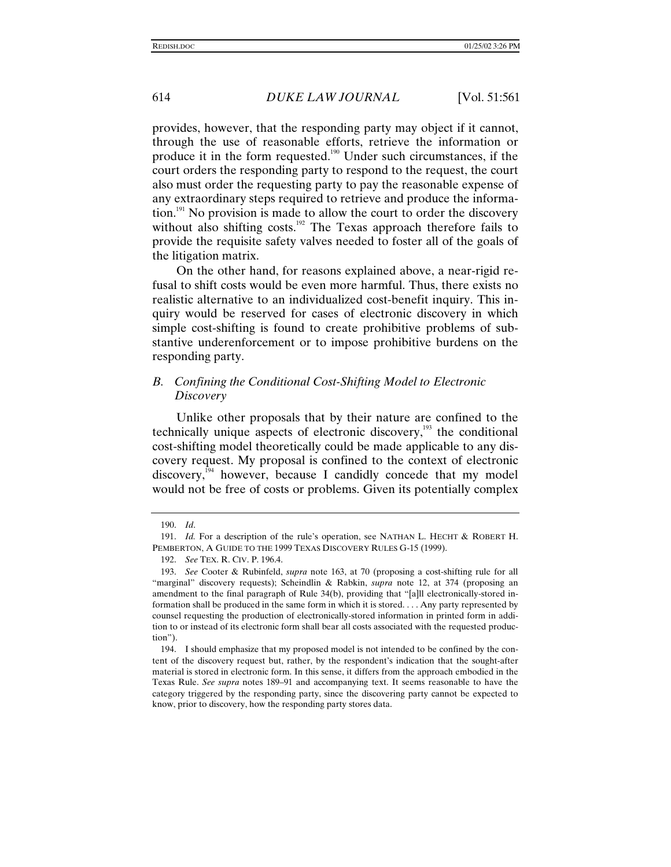provides, however, that the responding party may object if it cannot, through the use of reasonable efforts, retrieve the information or produce it in the form requested.190 Under such circumstances, if the court orders the responding party to respond to the request, the court also must order the requesting party to pay the reasonable expense of any extraordinary steps required to retrieve and produce the information.<sup>191</sup> No provision is made to allow the court to order the discovery without also shifting costs.<sup>192</sup> The Texas approach therefore fails to provide the requisite safety valves needed to foster all of the goals of the litigation matrix.

On the other hand, for reasons explained above, a near-rigid refusal to shift costs would be even more harmful. Thus, there exists no realistic alternative to an individualized cost-benefit inquiry. This inquiry would be reserved for cases of electronic discovery in which simple cost-shifting is found to create prohibitive problems of substantive underenforcement or to impose prohibitive burdens on the responding party.

## *B. Confining the Conditional Cost-Shifting Model to Electronic Discovery*

Unlike other proposals that by their nature are confined to the technically unique aspects of electronic discovery, $193$  the conditional cost-shifting model theoretically could be made applicable to any discovery request. My proposal is confined to the context of electronic discovery,<sup>194</sup> however, because I candidly concede that my model would not be free of costs or problems. Given its potentially complex

<sup>190.</sup> *Id*.

<sup>191.</sup> *Id.* For a description of the rule's operation, see NATHAN L. HECHT & ROBERT H. PEMBERTON, A GUIDE TO THE 1999 TEXAS DISCOVERY RULES G-15 (1999).

<sup>192.</sup> *See* TEX. R. CIV. P. 196.4.

<sup>193.</sup> *See* Cooter & Rubinfeld, *supra* note 163, at 70 (proposing a cost-shifting rule for all "marginal" discovery requests); Scheindlin & Rabkin, *supra* note 12, at 374 (proposing an amendment to the final paragraph of Rule 34(b), providing that "[a]ll electronically-stored information shall be produced in the same form in which it is stored. . . . Any party represented by counsel requesting the production of electronically-stored information in printed form in addition to or instead of its electronic form shall bear all costs associated with the requested production").

<sup>194.</sup> I should emphasize that my proposed model is not intended to be confined by the content of the discovery request but, rather, by the respondent's indication that the sought-after material is stored in electronic form. In this sense, it differs from the approach embodied in the Texas Rule. *See supra* notes 189–91 and accompanying text. It seems reasonable to have the category triggered by the responding party, since the discovering party cannot be expected to know, prior to discovery, how the responding party stores data.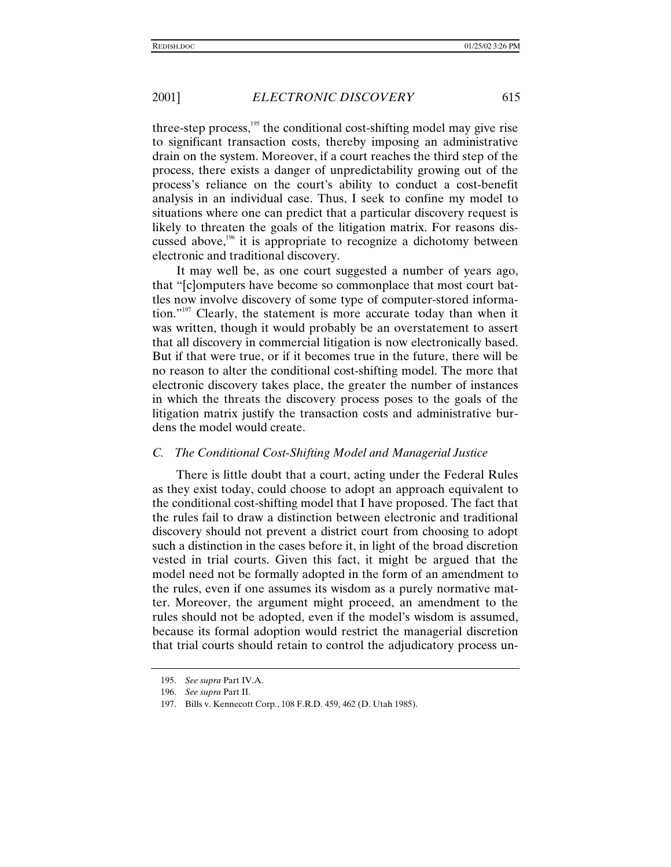three-step process, $195$  the conditional cost-shifting model may give rise to significant transaction costs, thereby imposing an administrative drain on the system. Moreover, if a court reaches the third step of the process, there exists a danger of unpredictability growing out of the process's reliance on the court's ability to conduct a cost-benefit analysis in an individual case. Thus, I seek to confine my model to situations where one can predict that a particular discovery request is likely to threaten the goals of the litigation matrix. For reasons discussed above, $196$  it is appropriate to recognize a dichotomy between electronic and traditional discovery.

It may well be, as one court suggested a number of years ago, that "[c]omputers have become so commonplace that most court battles now involve discovery of some type of computer-stored information."<sup>197</sup> Clearly, the statement is more accurate today than when it was written, though it would probably be an overstatement to assert that all discovery in commercial litigation is now electronically based. But if that were true, or if it becomes true in the future, there will be no reason to alter the conditional cost-shifting model. The more that electronic discovery takes place, the greater the number of instances in which the threats the discovery process poses to the goals of the litigation matrix justify the transaction costs and administrative burdens the model would create.

#### *C. The Conditional Cost-Shifting Model and Managerial Justice*

There is little doubt that a court, acting under the Federal Rules as they exist today, could choose to adopt an approach equivalent to the conditional cost-shifting model that I have proposed. The fact that the rules fail to draw a distinction between electronic and traditional discovery should not prevent a district court from choosing to adopt such a distinction in the cases before it, in light of the broad discretion vested in trial courts. Given this fact, it might be argued that the model need not be formally adopted in the form of an amendment to the rules, even if one assumes its wisdom as a purely normative matter. Moreover, the argument might proceed, an amendment to the rules should not be adopted, even if the model's wisdom is assumed, because its formal adoption would restrict the managerial discretion that trial courts should retain to control the adjudicatory process un-

<sup>195.</sup> *See supra* Part IV.A.

<sup>196.</sup> *See supra* Part II.

<sup>197.</sup> Bills v. Kennecott Corp., 108 F.R.D. 459, 462 (D. Utah 1985).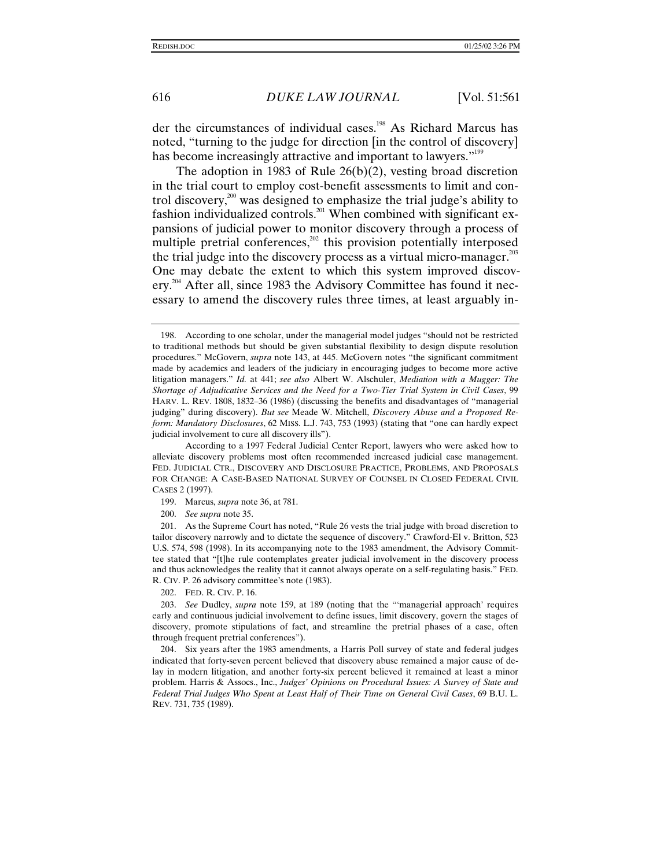der the circumstances of individual cases.<sup>198</sup> As Richard Marcus has noted, "turning to the judge for direction [in the control of discovery] has become increasingly attractive and important to lawyers."<sup>199</sup>

The adoption in 1983 of Rule 26(b)(2), vesting broad discretion in the trial court to employ cost-benefit assessments to limit and control discovery,<sup>200</sup> was designed to emphasize the trial judge's ability to fashion individualized controls.<sup>201</sup> When combined with significant expansions of judicial power to monitor discovery through a process of multiple pretrial conferences, $202$  this provision potentially interposed the trial judge into the discovery process as a virtual micro-manager.<sup>203</sup> One may debate the extent to which this system improved discovery.<sup>204</sup> After all, since 1983 the Advisory Committee has found it necessary to amend the discovery rules three times, at least arguably in-

202. FED. R. CIV. P. 16.

203. *See* Dudley, *supra* note 159, at 189 (noting that the "'managerial approach' requires early and continuous judicial involvement to define issues, limit discovery, govern the stages of discovery, promote stipulations of fact, and streamline the pretrial phases of a case, often through frequent pretrial conferences").

204. Six years after the 1983 amendments, a Harris Poll survey of state and federal judges indicated that forty-seven percent believed that discovery abuse remained a major cause of delay in modern litigation, and another forty-six percent believed it remained at least a minor problem. Harris & Assocs., Inc., *Judges' Opinions on Procedural Issues: A Survey of State and Federal Trial Judges Who Spent at Least Half of Their Time on General Civil Cases*, 69 B.U. L. REV. 731, 735 (1989).

<sup>198.</sup> According to one scholar, under the managerial model judges "should not be restricted to traditional methods but should be given substantial flexibility to design dispute resolution procedures." McGovern, *supra* note 143, at 445. McGovern notes "the significant commitment made by academics and leaders of the judiciary in encouraging judges to become more active litigation managers." *Id.* at 441; *see also* Albert W. Alschuler, *Mediation with a Mugger: The Shortage of Adjudicative Services and the Need for a Two-Tier Trial System in Civil Cases*, 99 HARV. L. REV. 1808, 1832–36 (1986) (discussing the benefits and disadvantages of "managerial judging" during discovery). *But see* Meade W. Mitchell, *Discovery Abuse and a Proposed Reform: Mandatory Disclosures*, 62 MISS. L.J. 743, 753 (1993) (stating that "one can hardly expect judicial involvement to cure all discovery ills").

According to a 1997 Federal Judicial Center Report, lawyers who were asked how to alleviate discovery problems most often recommended increased judicial case management. FED. JUDICIAL CTR., DISCOVERY AND DISCLOSURE PRACTICE, PROBLEMS, AND PROPOSALS FOR CHANGE: A CASE-BASED NATIONAL SURVEY OF COUNSEL IN CLOSED FEDERAL CIVIL CASES 2 (1997).

<sup>199.</sup> Marcus, *supra* note 36, at 781.

<sup>200.</sup> *See supra* note 35.

<sup>201.</sup> As the Supreme Court has noted, "Rule 26 vests the trial judge with broad discretion to tailor discovery narrowly and to dictate the sequence of discovery." Crawford-El v. Britton, 523 U.S. 574, 598 (1998). In its accompanying note to the 1983 amendment, the Advisory Committee stated that "[t]he rule contemplates greater judicial involvement in the discovery process and thus acknowledges the reality that it cannot always operate on a self-regulating basis." FED. R. CIV. P. 26 advisory committee's note (1983).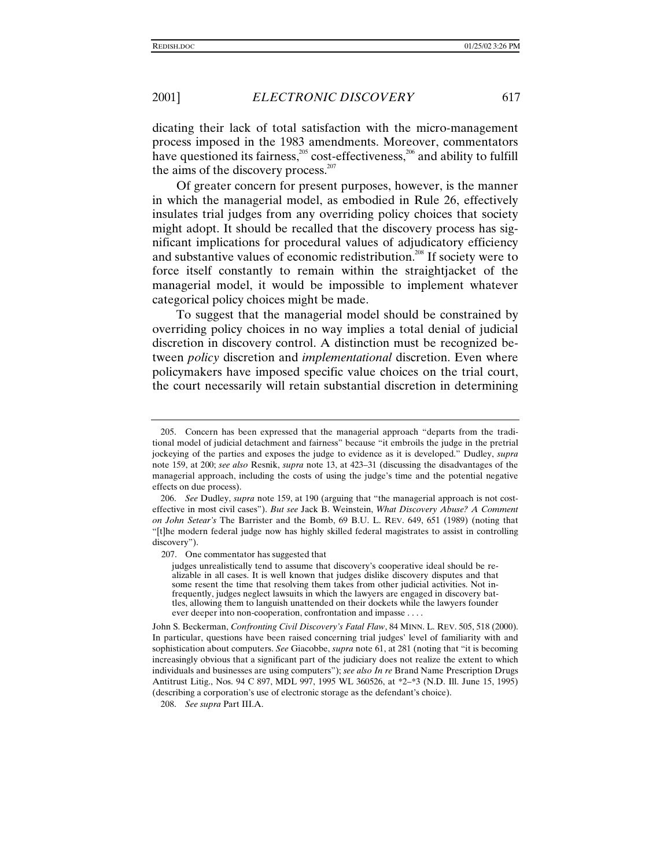dicating their lack of total satisfaction with the micro-management process imposed in the 1983 amendments. Moreover, commentators have questioned its fairness,<sup>205</sup> cost-effectiveness,<sup>206</sup> and ability to fulfill the aims of the discovery process. $207$ 

Of greater concern for present purposes, however, is the manner in which the managerial model, as embodied in Rule 26, effectively insulates trial judges from any overriding policy choices that society might adopt. It should be recalled that the discovery process has significant implications for procedural values of adjudicatory efficiency and substantive values of economic redistribution.<sup>208</sup> If society were to force itself constantly to remain within the straightjacket of the managerial model, it would be impossible to implement whatever categorical policy choices might be made.

To suggest that the managerial model should be constrained by overriding policy choices in no way implies a total denial of judicial discretion in discovery control. A distinction must be recognized between *policy* discretion and *implementational* discretion. Even where policymakers have imposed specific value choices on the trial court, the court necessarily will retain substantial discretion in determining

208. *See supra* Part III.A.

<sup>205.</sup> Concern has been expressed that the managerial approach "departs from the traditional model of judicial detachment and fairness" because "it embroils the judge in the pretrial jockeying of the parties and exposes the judge to evidence as it is developed." Dudley, *supra* note 159, at 200; *see also* Resnik, *supra* note 13, at 423–31 (discussing the disadvantages of the managerial approach, including the costs of using the judge's time and the potential negative effects on due process).

<sup>206.</sup> *See* Dudley, *supra* note 159, at 190 (arguing that "the managerial approach is not costeffective in most civil cases"). *But see* Jack B. Weinstein, *What Discovery Abuse? A Comment on John Setear's* The Barrister and the Bomb, 69 B.U. L. REV. 649, 651 (1989) (noting that "[t]he modern federal judge now has highly skilled federal magistrates to assist in controlling discovery").

<sup>207.</sup> One commentator has suggested that

judges unrealistically tend to assume that discovery's cooperative ideal should be realizable in all cases. It is well known that judges dislike discovery disputes and that some resent the time that resolving them takes from other judicial activities. Not infrequently, judges neglect lawsuits in which the lawyers are engaged in discovery battles, allowing them to languish unattended on their dockets while the lawyers founder ever deeper into non-cooperation, confrontation and impasse . . . .

John S. Beckerman, *Confronting Civil Discovery's Fatal Flaw*, 84 MINN. L. REV. 505, 518 (2000). In particular, questions have been raised concerning trial judges' level of familiarity with and sophistication about computers. *See* Giacobbe, *supra* note 61, at 281 (noting that "it is becoming increasingly obvious that a significant part of the judiciary does not realize the extent to which individuals and businesses are using computers"); *see also In re* Brand Name Prescription Drugs Antitrust Litig., Nos. 94 C 897, MDL 997, 1995 WL 360526, at \*2–\*3 (N.D. Ill. June 15, 1995) (describing a corporation's use of electronic storage as the defendant's choice).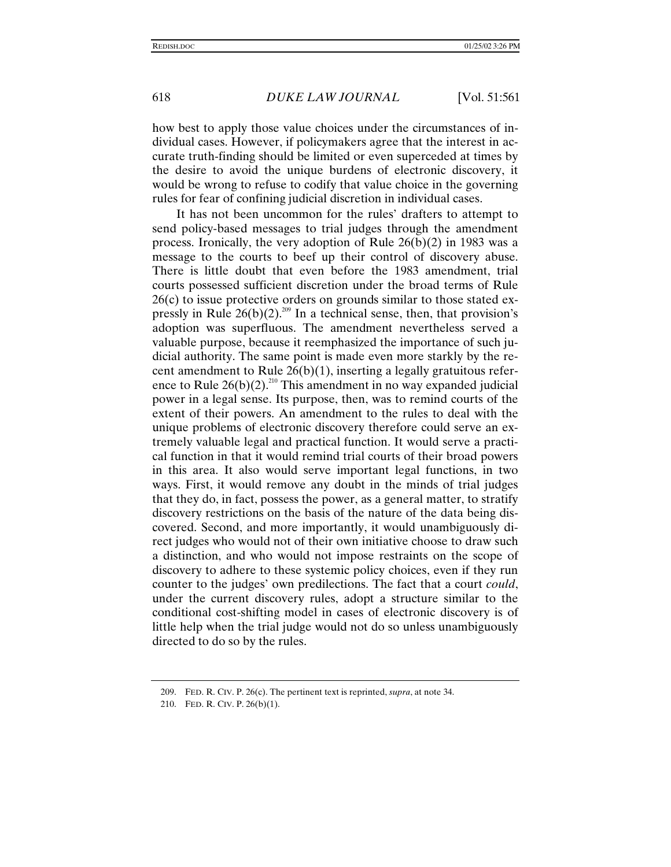how best to apply those value choices under the circumstances of individual cases. However, if policymakers agree that the interest in accurate truth-finding should be limited or even superceded at times by the desire to avoid the unique burdens of electronic discovery, it would be wrong to refuse to codify that value choice in the governing rules for fear of confining judicial discretion in individual cases.

It has not been uncommon for the rules' drafters to attempt to send policy-based messages to trial judges through the amendment process. Ironically, the very adoption of Rule 26(b)(2) in 1983 was a message to the courts to beef up their control of discovery abuse. There is little doubt that even before the 1983 amendment, trial courts possessed sufficient discretion under the broad terms of Rule 26(c) to issue protective orders on grounds similar to those stated expressly in Rule  $26(b)(2)^{209}$  In a technical sense, then, that provision's adoption was superfluous. The amendment nevertheless served a valuable purpose, because it reemphasized the importance of such judicial authority. The same point is made even more starkly by the recent amendment to Rule 26(b)(1), inserting a legally gratuitous reference to Rule  $26(b)(2)$ <sup>210</sup> This amendment in no way expanded judicial power in a legal sense. Its purpose, then, was to remind courts of the extent of their powers. An amendment to the rules to deal with the unique problems of electronic discovery therefore could serve an extremely valuable legal and practical function. It would serve a practical function in that it would remind trial courts of their broad powers in this area. It also would serve important legal functions, in two ways. First, it would remove any doubt in the minds of trial judges that they do, in fact, possess the power, as a general matter, to stratify discovery restrictions on the basis of the nature of the data being discovered. Second, and more importantly, it would unambiguously direct judges who would not of their own initiative choose to draw such a distinction, and who would not impose restraints on the scope of discovery to adhere to these systemic policy choices, even if they run counter to the judges' own predilections. The fact that a court *could*, under the current discovery rules, adopt a structure similar to the conditional cost-shifting model in cases of electronic discovery is of little help when the trial judge would not do so unless unambiguously directed to do so by the rules.

<sup>209.</sup> FED. R. CIV. P. 26(c). The pertinent text is reprinted, *supra*, at note 34.

<sup>210.</sup> FED. R. CIV. P. 26(b)(1).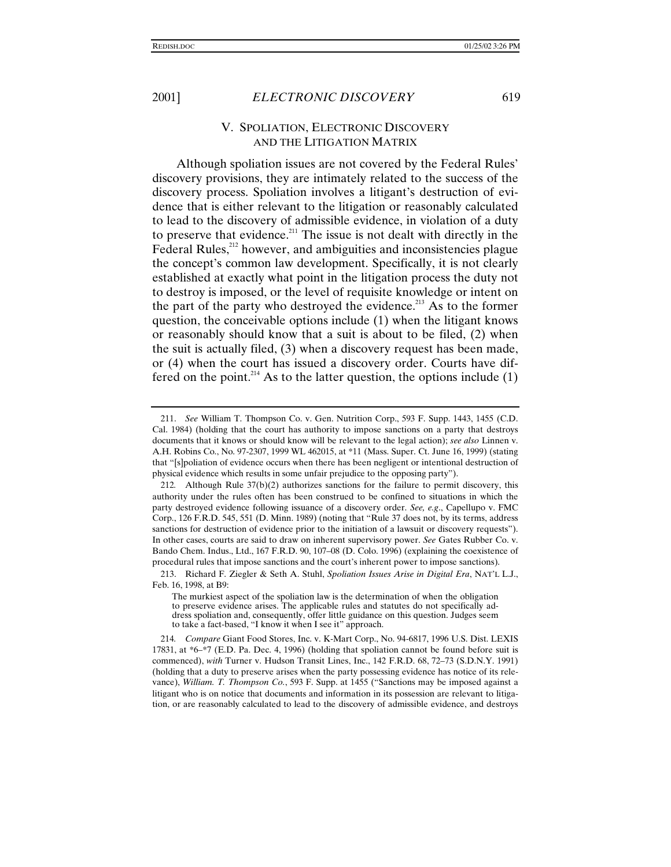## V. SPOLIATION, ELECTRONIC DISCOVERY AND THE LITIGATION MATRIX

Although spoliation issues are not covered by the Federal Rules' discovery provisions, they are intimately related to the success of the discovery process. Spoliation involves a litigant's destruction of evidence that is either relevant to the litigation or reasonably calculated to lead to the discovery of admissible evidence, in violation of a duty to preserve that evidence.<sup>211</sup> The issue is not dealt with directly in the Federal Rules,<sup>212</sup> however, and ambiguities and inconsistencies plague the concept's common law development. Specifically, it is not clearly established at exactly what point in the litigation process the duty not to destroy is imposed, or the level of requisite knowledge or intent on the part of the party who destroyed the evidence.<sup>213</sup> As to the former question, the conceivable options include (1) when the litigant knows or reasonably should know that a suit is about to be filed, (2) when the suit is actually filed, (3) when a discovery request has been made, or (4) when the court has issued a discovery order. Courts have differed on the point.<sup>214</sup> As to the latter question, the options include  $(1)$ 

<sup>211.</sup> *See* William T. Thompson Co. v. Gen. Nutrition Corp., 593 F. Supp. 1443, 1455 (C.D. Cal. 1984) (holding that the court has authority to impose sanctions on a party that destroys documents that it knows or should know will be relevant to the legal action); *see also* Linnen v. A.H. Robins Co., No. 97-2307, 1999 WL 462015, at \*11 (Mass. Super. Ct. June 16, 1999) (stating that "[s]poliation of evidence occurs when there has been negligent or intentional destruction of physical evidence which results in some unfair prejudice to the opposing party").

<sup>212</sup>*.* Although Rule 37(b)(2) authorizes sanctions for the failure to permit discovery, this authority under the rules often has been construed to be confined to situations in which the party destroyed evidence following issuance of a discovery order. *See, e.g*., Capellupo v. FMC Corp., 126 F.R.D. 545, 551 (D. Minn. 1989) (noting that "Rule 37 does not, by its terms, address sanctions for destruction of evidence prior to the initiation of a lawsuit or discovery requests"). In other cases, courts are said to draw on inherent supervisory power. *See* Gates Rubber Co. v. Bando Chem. Indus., Ltd., 167 F.R.D. 90, 107–08 (D. Colo. 1996) (explaining the coexistence of procedural rules that impose sanctions and the court's inherent power to impose sanctions).

<sup>213.</sup> Richard F. Ziegler & Seth A. Stuhl, *Spoliation Issues Arise in Digital Era*, NAT'L L.J., Feb. 16, 1998, at B9:

The murkiest aspect of the spoliation law is the determination of when the obligation to preserve evidence arises. The applicable rules and statutes do not specifically address spoliation and, consequently, offer little guidance on this question. Judges seem to take a fact-based, "I know it when I see it" approach.

<sup>214</sup>*. Compare* Giant Food Stores, Inc. v. K-Mart Corp., No. 94-6817, 1996 U.S. Dist. LEXIS 17831, at \*6–\*7 (E.D. Pa. Dec. 4, 1996) (holding that spoliation cannot be found before suit is commenced), *with* Turner v. Hudson Transit Lines, Inc., 142 F.R.D. 68, 72–73 (S.D.N.Y. 1991) (holding that a duty to preserve arises when the party possessing evidence has notice of its relevance), *William. T. Thompson Co.*, 593 F. Supp. at 1455 ("Sanctions may be imposed against a litigant who is on notice that documents and information in its possession are relevant to litigation, or are reasonably calculated to lead to the discovery of admissible evidence, and destroys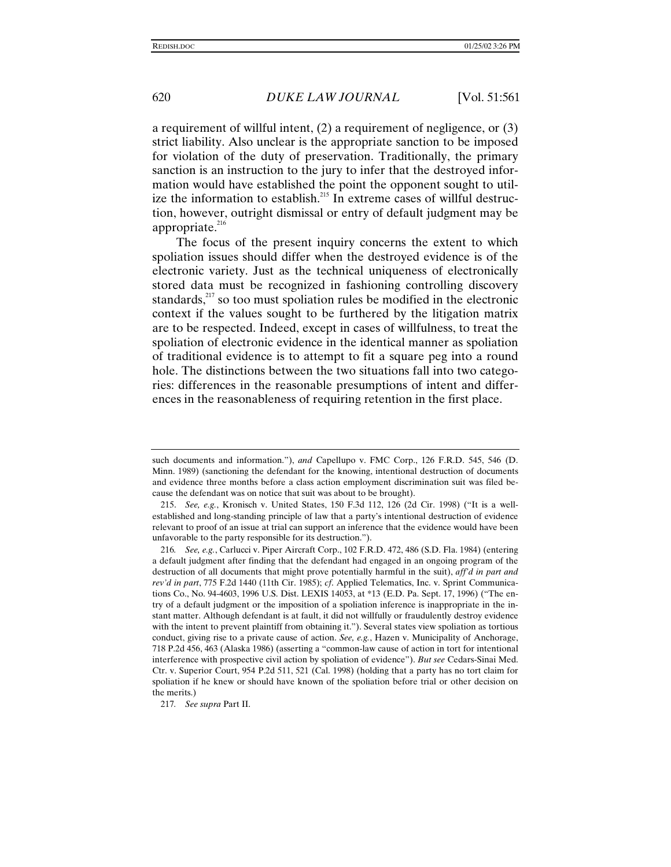a requirement of willful intent, (2) a requirement of negligence, or (3) strict liability. Also unclear is the appropriate sanction to be imposed for violation of the duty of preservation. Traditionally, the primary sanction is an instruction to the jury to infer that the destroyed information would have established the point the opponent sought to utilize the information to establish.<sup>215</sup> In extreme cases of willful destruction, however, outright dismissal or entry of default judgment may be appropriate. $216$ 

The focus of the present inquiry concerns the extent to which spoliation issues should differ when the destroyed evidence is of the electronic variety. Just as the technical uniqueness of electronically stored data must be recognized in fashioning controlling discovery standards, $^{217}$  so too must spoliation rules be modified in the electronic context if the values sought to be furthered by the litigation matrix are to be respected. Indeed, except in cases of willfulness, to treat the spoliation of electronic evidence in the identical manner as spoliation of traditional evidence is to attempt to fit a square peg into a round hole. The distinctions between the two situations fall into two categories: differences in the reasonable presumptions of intent and differences in the reasonableness of requiring retention in the first place.

such documents and information."), *and* Capellupo v. FMC Corp., 126 F.R.D. 545, 546 (D. Minn. 1989) (sanctioning the defendant for the knowing, intentional destruction of documents and evidence three months before a class action employment discrimination suit was filed because the defendant was on notice that suit was about to be brought).

<sup>215.</sup> *See, e.g.*, Kronisch v. United States, 150 F.3d 112, 126 (2d Cir. 1998) ("It is a wellestablished and long-standing principle of law that a party's intentional destruction of evidence relevant to proof of an issue at trial can support an inference that the evidence would have been unfavorable to the party responsible for its destruction.").

<sup>216</sup>*. See, e.g.*, Carlucci v. Piper Aircraft Corp., 102 F.R.D. 472, 486 (S.D. Fla. 1984) (entering a default judgment after finding that the defendant had engaged in an ongoing program of the destruction of all documents that might prove potentially harmful in the suit), *aff'd in part and rev'd in part*, 775 F.2d 1440 (11th Cir. 1985); *cf*. Applied Telematics, Inc. v. Sprint Communications Co., No. 94-4603, 1996 U.S. Dist. LEXIS 14053, at \*13 (E.D. Pa. Sept. 17, 1996) ("The entry of a default judgment or the imposition of a spoliation inference is inappropriate in the instant matter. Although defendant is at fault, it did not willfully or fraudulently destroy evidence with the intent to prevent plaintiff from obtaining it."). Several states view spoliation as tortious conduct, giving rise to a private cause of action. *See, e.g.*, Hazen v. Municipality of Anchorage, 718 P.2d 456, 463 (Alaska 1986) (asserting a "common-law cause of action in tort for intentional interference with prospective civil action by spoliation of evidence"). *But see* Cedars-Sinai Med. Ctr. v. Superior Court, 954 P.2d 511, 521 (Cal. 1998) (holding that a party has no tort claim for spoliation if he knew or should have known of the spoliation before trial or other decision on the merits.)

<sup>217</sup>*. See supra* Part II.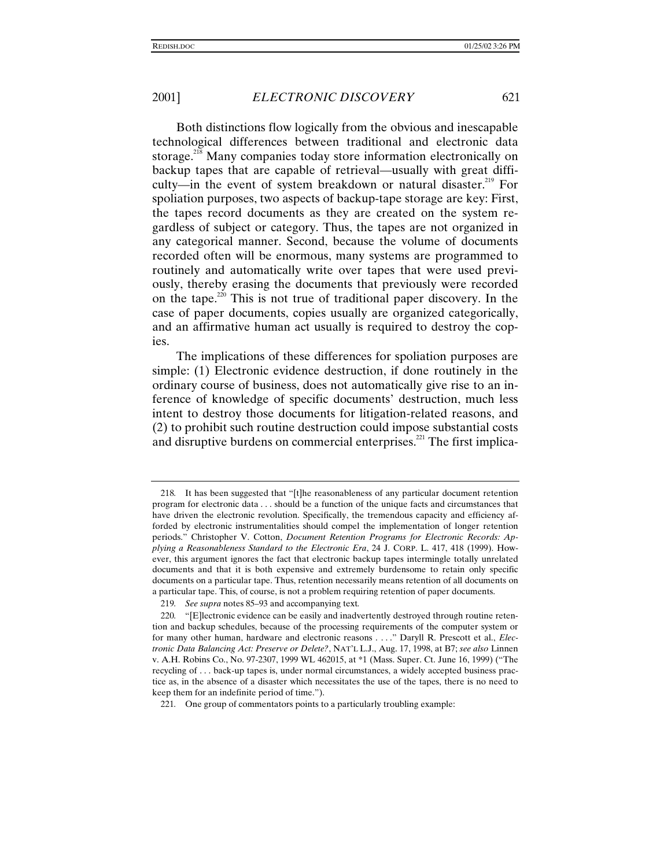Both distinctions flow logically from the obvious and inescapable technological differences between traditional and electronic data storage.<sup>218</sup> Many companies today store information electronically on backup tapes that are capable of retrieval—usually with great difficulty—in the event of system breakdown or natural disaster.<sup>219</sup> For spoliation purposes, two aspects of backup-tape storage are key: First, the tapes record documents as they are created on the system regardless of subject or category. Thus, the tapes are not organized in any categorical manner. Second, because the volume of documents recorded often will be enormous, many systems are programmed to routinely and automatically write over tapes that were used previously, thereby erasing the documents that previously were recorded on the tape.<sup>220</sup> This is not true of traditional paper discovery. In the case of paper documents, copies usually are organized categorically, and an affirmative human act usually is required to destroy the copies.

The implications of these differences for spoliation purposes are simple: (1) Electronic evidence destruction, if done routinely in the ordinary course of business, does not automatically give rise to an inference of knowledge of specific documents' destruction, much less intent to destroy those documents for litigation-related reasons, and (2) to prohibit such routine destruction could impose substantial costs and disruptive burdens on commercial enterprises. $^{221}$  The first implica-

<sup>218</sup>*.* It has been suggested that "[t]he reasonableness of any particular document retention program for electronic data . . . should be a function of the unique facts and circumstances that have driven the electronic revolution. Specifically, the tremendous capacity and efficiency afforded by electronic instrumentalities should compel the implementation of longer retention periods." Christopher V. Cotton, *Document Retention Programs for Electronic Records: Applying a Reasonableness Standard to the Electronic Era*, 24 J. CORP. L. 417, 418 (1999). However, this argument ignores the fact that electronic backup tapes intermingle totally unrelated documents and that it is both expensive and extremely burdensome to retain only specific documents on a particular tape. Thus, retention necessarily means retention of all documents on a particular tape. This, of course, is not a problem requiring retention of paper documents.

<sup>219</sup>*. See supra* notes 85–93 and accompanying text*.*

<sup>220</sup>*.* "[E]lectronic evidence can be easily and inadvertently destroyed through routine retention and backup schedules, because of the processing requirements of the computer system or for many other human, hardware and electronic reasons . . . ." Daryll R. Prescott et al., *Electronic Data Balancing Act: Preserve or Delete?*, NAT'L L.J., Aug. 17, 1998, at B7; *see also* Linnen v. A.H. Robins Co., No. 97-2307, 1999 WL 462015, at \*1 (Mass. Super. Ct. June 16, 1999) ("The recycling of . . . back-up tapes is, under normal circumstances, a widely accepted business practice as, in the absence of a disaster which necessitates the use of the tapes, there is no need to keep them for an indefinite period of time.").

<sup>221</sup>*.* One group of commentators points to a particularly troubling example: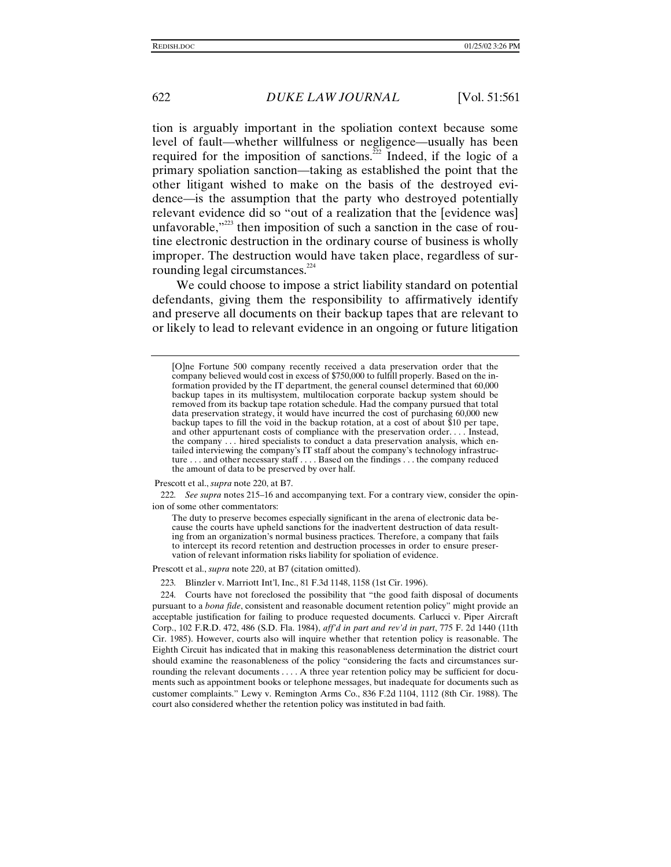tion is arguably important in the spoliation context because some level of fault—whether willfulness or negligence—usually has been required for the imposition of sanctions.<sup> $\frac{5}{22}$ </sup> Indeed, if the logic of a primary spoliation sanction—taking as established the point that the other litigant wished to make on the basis of the destroyed evidence—is the assumption that the party who destroyed potentially relevant evidence did so "out of a realization that the [evidence was] unfavorable," $223$  then imposition of such a sanction in the case of routine electronic destruction in the ordinary course of business is wholly improper. The destruction would have taken place, regardless of surrounding legal circumstances.<sup>224</sup>

We could choose to impose a strict liability standard on potential defendants, giving them the responsibility to affirmatively identify and preserve all documents on their backup tapes that are relevant to or likely to lead to relevant evidence in an ongoing or future litigation

Prescott et al., *supra* note 220, at B7.

Prescott et al., *supra* note 220, at B7 (citation omitted).

223*.* Blinzler v. Marriott Int'l, Inc., 81 F.3d 1148, 1158 (1st Cir. 1996).

224*.* Courts have not foreclosed the possibility that "the good faith disposal of documents pursuant to a *bona fide*, consistent and reasonable document retention policy" might provide an acceptable justification for failing to produce requested documents. Carlucci v. Piper Aircraft Corp., 102 F.R.D. 472, 486 (S.D. Fla. 1984), *aff'd in part and rev'd in part*, 775 F. 2d 1440 (11th Cir. 1985). However, courts also will inquire whether that retention policy is reasonable. The Eighth Circuit has indicated that in making this reasonableness determination the district court should examine the reasonableness of the policy "considering the facts and circumstances surrounding the relevant documents . . . . A three year retention policy may be sufficient for documents such as appointment books or telephone messages, but inadequate for documents such as customer complaints." Lewy v. Remington Arms Co., 836 F.2d 1104, 1112 (8th Cir. 1988). The court also considered whether the retention policy was instituted in bad faith.

<sup>[</sup>O]ne Fortune 500 company recently received a data preservation order that the company believed would cost in excess of \$750,000 to fulfill properly. Based on the information provided by the IT department, the general counsel determined that 60,000 backup tapes in its multisystem, multilocation corporate backup system should be removed from its backup tape rotation schedule. Had the company pursued that total data preservation strategy, it would have incurred the cost of purchasing 60,000 new backup tapes to fill the void in the backup rotation, at a cost of about \$10 per tape, and other appurtenant costs of compliance with the preservation order. . . . Instead, the company . . . hired specialists to conduct a data preservation analysis, which entailed interviewing the company's IT staff about the company's technology infrastructure . . . and other necessary staff . . . . Based on the findings . . . the company reduced the amount of data to be preserved by over half.

<sup>222</sup>*. See supra* notes 215–16 and accompanying text. For a contrary view, consider the opinion of some other commentators:

The duty to preserve becomes especially significant in the arena of electronic data because the courts have upheld sanctions for the inadvertent destruction of data resulting from an organization's normal business practices. Therefore, a company that fails to intercept its record retention and destruction processes in order to ensure preservation of relevant information risks liability for spoliation of evidence.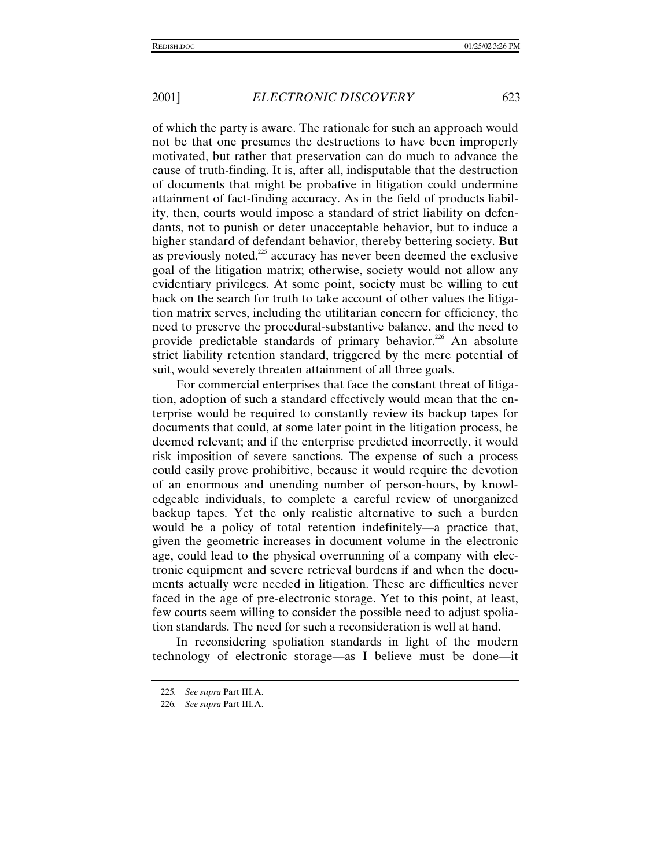of which the party is aware. The rationale for such an approach would not be that one presumes the destructions to have been improperly motivated, but rather that preservation can do much to advance the cause of truth-finding. It is, after all, indisputable that the destruction of documents that might be probative in litigation could undermine attainment of fact-finding accuracy. As in the field of products liability, then, courts would impose a standard of strict liability on defendants, not to punish or deter unacceptable behavior, but to induce a higher standard of defendant behavior, thereby bettering society. But as previously noted, $225$  accuracy has never been deemed the exclusive goal of the litigation matrix; otherwise, society would not allow any evidentiary privileges. At some point, society must be willing to cut back on the search for truth to take account of other values the litigation matrix serves, including the utilitarian concern for efficiency, the need to preserve the procedural-substantive balance, and the need to provide predictable standards of primary behavior.<sup>226</sup> An absolute strict liability retention standard, triggered by the mere potential of suit, would severely threaten attainment of all three goals.

For commercial enterprises that face the constant threat of litigation, adoption of such a standard effectively would mean that the enterprise would be required to constantly review its backup tapes for documents that could, at some later point in the litigation process, be deemed relevant; and if the enterprise predicted incorrectly, it would risk imposition of severe sanctions. The expense of such a process could easily prove prohibitive, because it would require the devotion of an enormous and unending number of person-hours, by knowledgeable individuals, to complete a careful review of unorganized backup tapes. Yet the only realistic alternative to such a burden would be a policy of total retention indefinitely—a practice that, given the geometric increases in document volume in the electronic age, could lead to the physical overrunning of a company with electronic equipment and severe retrieval burdens if and when the documents actually were needed in litigation. These are difficulties never faced in the age of pre-electronic storage. Yet to this point, at least, few courts seem willing to consider the possible need to adjust spoliation standards. The need for such a reconsideration is well at hand.

In reconsidering spoliation standards in light of the modern technology of electronic storage—as I believe must be done—it

<sup>225</sup>*. See supra* Part III.A.

<sup>226</sup>*. See supra* Part III.A.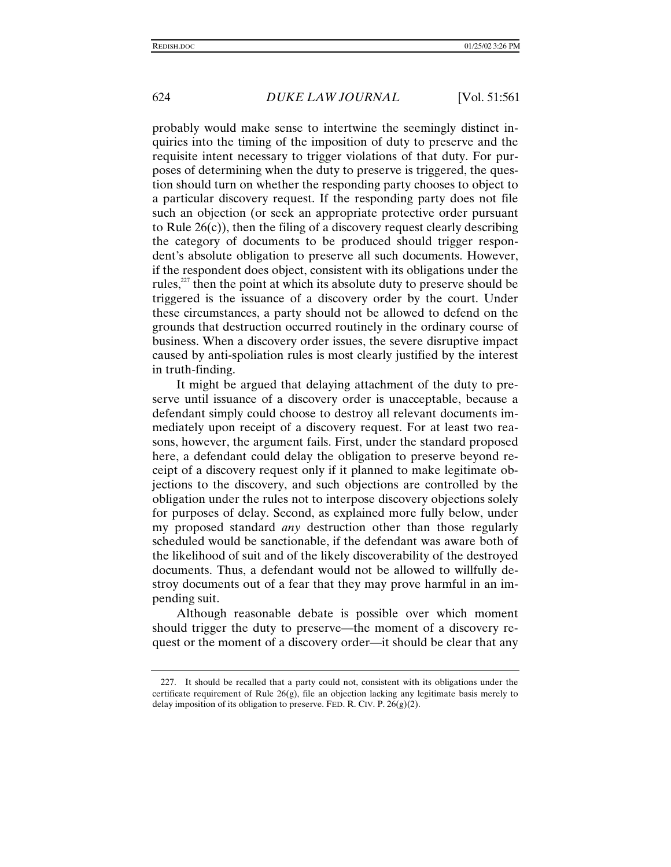probably would make sense to intertwine the seemingly distinct inquiries into the timing of the imposition of duty to preserve and the requisite intent necessary to trigger violations of that duty. For purposes of determining when the duty to preserve is triggered, the question should turn on whether the responding party chooses to object to a particular discovery request. If the responding party does not file such an objection (or seek an appropriate protective order pursuant to Rule 26(c)), then the filing of a discovery request clearly describing the category of documents to be produced should trigger respondent's absolute obligation to preserve all such documents. However, if the respondent does object, consistent with its obligations under the rules, $z<sup>227</sup>$  then the point at which its absolute duty to preserve should be triggered is the issuance of a discovery order by the court. Under these circumstances, a party should not be allowed to defend on the grounds that destruction occurred routinely in the ordinary course of business. When a discovery order issues, the severe disruptive impact caused by anti-spoliation rules is most clearly justified by the interest in truth-finding.

It might be argued that delaying attachment of the duty to preserve until issuance of a discovery order is unacceptable, because a defendant simply could choose to destroy all relevant documents immediately upon receipt of a discovery request. For at least two reasons, however, the argument fails. First, under the standard proposed here, a defendant could delay the obligation to preserve beyond receipt of a discovery request only if it planned to make legitimate objections to the discovery, and such objections are controlled by the obligation under the rules not to interpose discovery objections solely for purposes of delay. Second, as explained more fully below, under my proposed standard *any* destruction other than those regularly scheduled would be sanctionable, if the defendant was aware both of the likelihood of suit and of the likely discoverability of the destroyed documents. Thus, a defendant would not be allowed to willfully destroy documents out of a fear that they may prove harmful in an impending suit.

Although reasonable debate is possible over which moment should trigger the duty to preserve—the moment of a discovery request or the moment of a discovery order—it should be clear that any

<sup>227.</sup> It should be recalled that a party could not, consistent with its obligations under the certificate requirement of Rule  $26(g)$ , file an objection lacking any legitimate basis merely to delay imposition of its obligation to preserve. FED. R. CIV. P. 26(g)(2).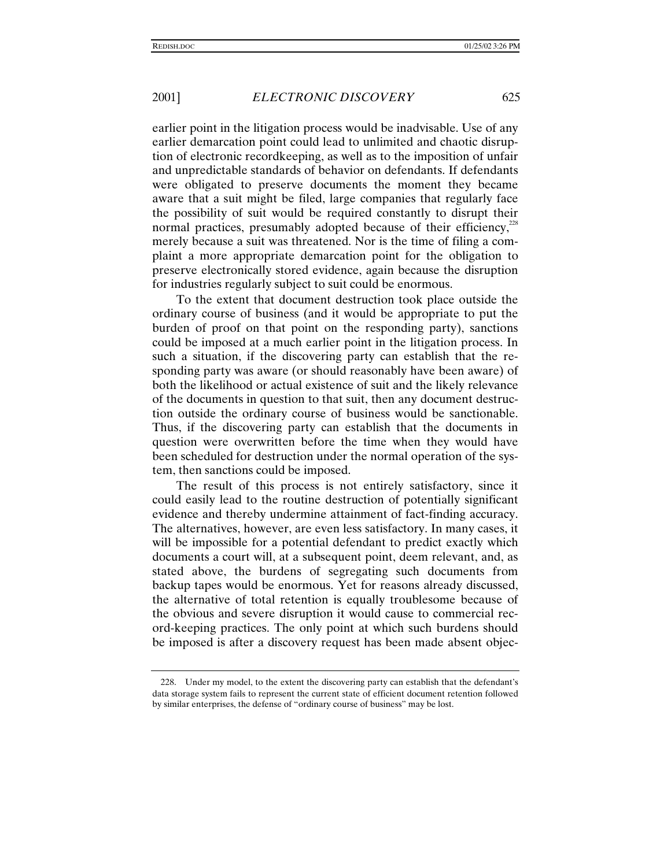earlier point in the litigation process would be inadvisable. Use of any earlier demarcation point could lead to unlimited and chaotic disruption of electronic recordkeeping, as well as to the imposition of unfair and unpredictable standards of behavior on defendants. If defendants were obligated to preserve documents the moment they became aware that a suit might be filed, large companies that regularly face the possibility of suit would be required constantly to disrupt their normal practices, presumably adopted because of their efficiency, $^{228}$ merely because a suit was threatened. Nor is the time of filing a complaint a more appropriate demarcation point for the obligation to preserve electronically stored evidence, again because the disruption for industries regularly subject to suit could be enormous.

To the extent that document destruction took place outside the ordinary course of business (and it would be appropriate to put the burden of proof on that point on the responding party), sanctions could be imposed at a much earlier point in the litigation process. In such a situation, if the discovering party can establish that the responding party was aware (or should reasonably have been aware) of both the likelihood or actual existence of suit and the likely relevance of the documents in question to that suit, then any document destruction outside the ordinary course of business would be sanctionable. Thus, if the discovering party can establish that the documents in question were overwritten before the time when they would have been scheduled for destruction under the normal operation of the system, then sanctions could be imposed.

The result of this process is not entirely satisfactory, since it could easily lead to the routine destruction of potentially significant evidence and thereby undermine attainment of fact-finding accuracy. The alternatives, however, are even less satisfactory. In many cases, it will be impossible for a potential defendant to predict exactly which documents a court will, at a subsequent point, deem relevant, and, as stated above, the burdens of segregating such documents from backup tapes would be enormous. Yet for reasons already discussed, the alternative of total retention is equally troublesome because of the obvious and severe disruption it would cause to commercial record-keeping practices. The only point at which such burdens should be imposed is after a discovery request has been made absent objec-

<sup>228.</sup> Under my model, to the extent the discovering party can establish that the defendant's data storage system fails to represent the current state of efficient document retention followed by similar enterprises, the defense of "ordinary course of business" may be lost.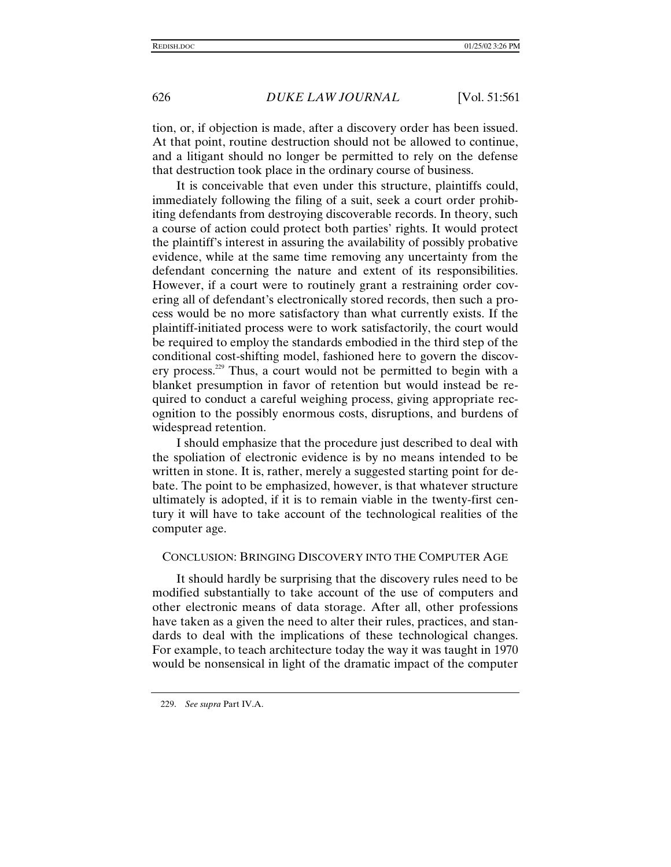tion, or, if objection is made, after a discovery order has been issued. At that point, routine destruction should not be allowed to continue, and a litigant should no longer be permitted to rely on the defense that destruction took place in the ordinary course of business.

It is conceivable that even under this structure, plaintiffs could, immediately following the filing of a suit, seek a court order prohibiting defendants from destroying discoverable records. In theory, such a course of action could protect both parties' rights. It would protect the plaintiff's interest in assuring the availability of possibly probative evidence, while at the same time removing any uncertainty from the defendant concerning the nature and extent of its responsibilities. However, if a court were to routinely grant a restraining order covering all of defendant's electronically stored records, then such a process would be no more satisfactory than what currently exists. If the plaintiff-initiated process were to work satisfactorily, the court would be required to employ the standards embodied in the third step of the conditional cost-shifting model, fashioned here to govern the discovery process.<sup>229</sup> Thus, a court would not be permitted to begin with a blanket presumption in favor of retention but would instead be required to conduct a careful weighing process, giving appropriate recognition to the possibly enormous costs, disruptions, and burdens of widespread retention.

I should emphasize that the procedure just described to deal with the spoliation of electronic evidence is by no means intended to be written in stone. It is, rather, merely a suggested starting point for debate. The point to be emphasized, however, is that whatever structure ultimately is adopted, if it is to remain viable in the twenty-first century it will have to take account of the technological realities of the computer age.

#### CONCLUSION: BRINGING DISCOVERY INTO THE COMPUTER AGE

It should hardly be surprising that the discovery rules need to be modified substantially to take account of the use of computers and other electronic means of data storage. After all, other professions have taken as a given the need to alter their rules, practices, and standards to deal with the implications of these technological changes. For example, to teach architecture today the way it was taught in 1970 would be nonsensical in light of the dramatic impact of the computer

<sup>229.</sup> *See supra* Part IV.A.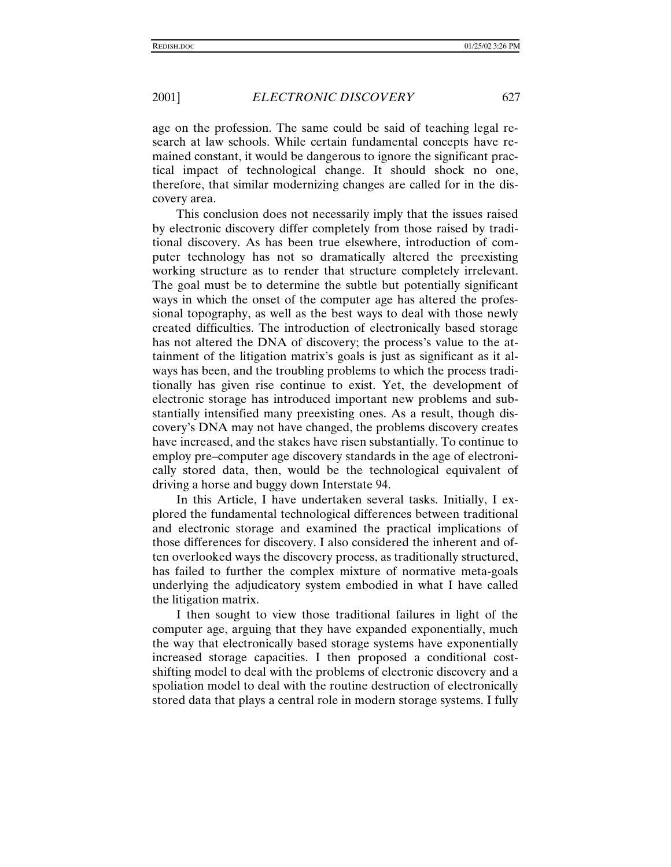age on the profession. The same could be said of teaching legal research at law schools. While certain fundamental concepts have remained constant, it would be dangerous to ignore the significant practical impact of technological change. It should shock no one, therefore, that similar modernizing changes are called for in the discovery area.

This conclusion does not necessarily imply that the issues raised by electronic discovery differ completely from those raised by traditional discovery. As has been true elsewhere, introduction of computer technology has not so dramatically altered the preexisting working structure as to render that structure completely irrelevant. The goal must be to determine the subtle but potentially significant ways in which the onset of the computer age has altered the professional topography, as well as the best ways to deal with those newly created difficulties. The introduction of electronically based storage has not altered the DNA of discovery; the process's value to the attainment of the litigation matrix's goals is just as significant as it always has been, and the troubling problems to which the process traditionally has given rise continue to exist. Yet, the development of electronic storage has introduced important new problems and substantially intensified many preexisting ones. As a result, though discovery's DNA may not have changed, the problems discovery creates have increased, and the stakes have risen substantially. To continue to employ pre–computer age discovery standards in the age of electronically stored data, then, would be the technological equivalent of driving a horse and buggy down Interstate 94.

In this Article, I have undertaken several tasks. Initially, I explored the fundamental technological differences between traditional and electronic storage and examined the practical implications of those differences for discovery. I also considered the inherent and often overlooked ways the discovery process, as traditionally structured, has failed to further the complex mixture of normative meta-goals underlying the adjudicatory system embodied in what I have called the litigation matrix.

I then sought to view those traditional failures in light of the computer age, arguing that they have expanded exponentially, much the way that electronically based storage systems have exponentially increased storage capacities. I then proposed a conditional costshifting model to deal with the problems of electronic discovery and a spoliation model to deal with the routine destruction of electronically stored data that plays a central role in modern storage systems. I fully